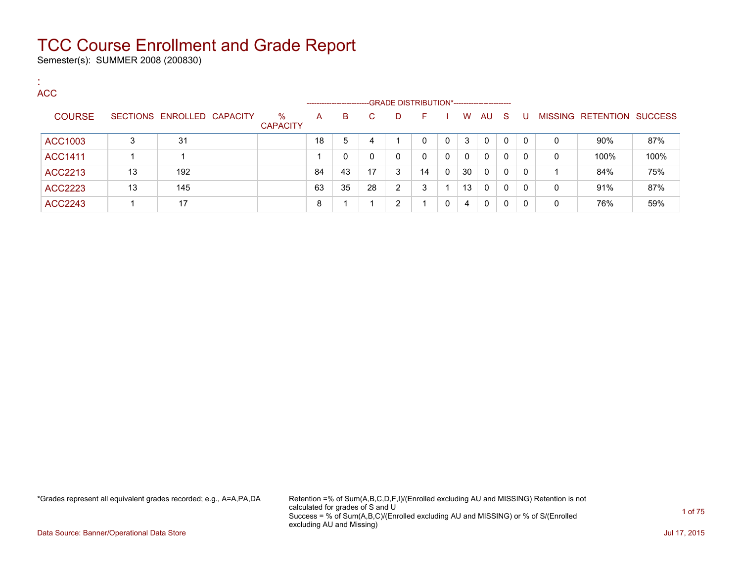Semester(s): SUMMER 2008 (200830)

:

| <b>ACC</b> |                |    |                            |                         |    | ---------------------- |    | -GRADE DISTRIBUTION*---------------------- |              |              |          |              |     |              |   |                           |      |
|------------|----------------|----|----------------------------|-------------------------|----|------------------------|----|--------------------------------------------|--------------|--------------|----------|--------------|-----|--------------|---|---------------------------|------|
|            | <b>COURSE</b>  |    | SECTIONS ENROLLED CAPACITY | $\%$<br><b>CAPACITY</b> | A  | B                      | C. | D                                          | $\vdash$     |              | W        | AU           | - S | U            |   | MISSING RETENTION SUCCESS |      |
|            | ACC1003        | 3  | 31                         |                         | 18 | 5                      | 4  |                                            | $\mathbf{0}$ | 0            | 3        | 0            | 0   | $\mathbf{0}$ | 0 | $90\%$                    | 87%  |
|            | <b>ACC1411</b> |    |                            |                         |    | 0                      |    | 0                                          | $\Omega$     | $\mathbf{0}$ | $\Omega$ | 0            | 0   | $\Omega$     | 0 | 100%                      | 100% |
|            | ACC2213        | 13 | 192                        |                         | 84 | 43                     | 17 | 3                                          | 14           | $\mathbf{0}$ | 30       | $\mathbf{0}$ | 0   | $\Omega$     |   | 84%                       | 75%  |
|            | <b>ACC2223</b> | 13 | 145                        |                         | 63 | 35                     | 28 | 2                                          | 3            |              | 13       | 0            | 0   | $\Omega$     | 0 | 91%                       | 87%  |
|            | <b>ACC2243</b> |    | 17                         |                         | 8  |                        |    | 2                                          |              | 0            | 4        | 0            | 0   | $\Omega$     | 0 | 76%                       | 59%  |

\*Grades represent all equivalent grades recorded; e.g., A=A,PA,DA Retention =% of Sum(A,B,C,D,F,I)/(Enrolled excluding AU and MISSING) Retention is not calculated for grades of S and U Success = % of Sum(A,B,C)/(Enrolled excluding AU and MISSING) or % of S/(Enrolled excluding AU and Missing)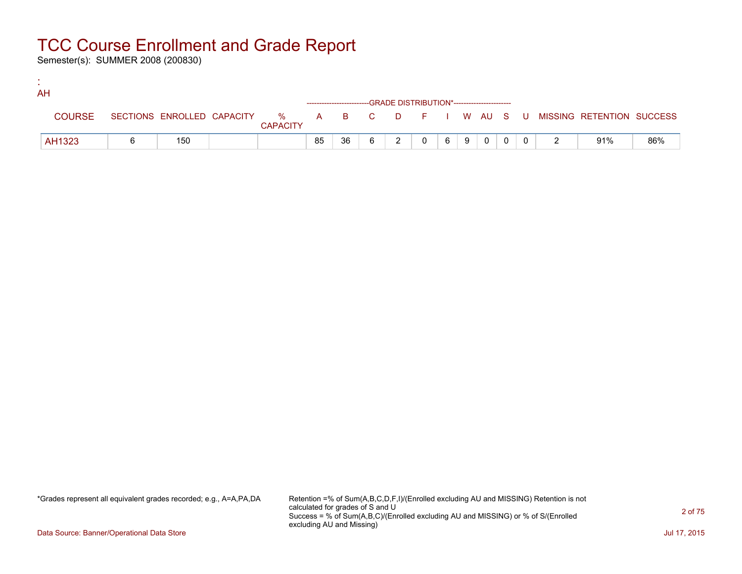Semester(s): SUMMER 2008 (200830)

:

| AH            |     |                 |    |    |                                             |          |    |                |                |                                                                             |     |
|---------------|-----|-----------------|----|----|---------------------------------------------|----------|----|----------------|----------------|-----------------------------------------------------------------------------|-----|
|               |     |                 |    |    | -GRADE DISTRIBUTION*----------------------- |          |    |                |                |                                                                             |     |
| <b>COURSE</b> |     | <b>CAPACITY</b> |    |    |                                             |          |    |                |                | SECTIONS ENROLLED CAPACITY % A B C D F I W AU S U MISSING RETENTION SUCCESS |     |
| AH1323        | 150 |                 | 85 | 36 | $\mathcal{D}$                               | $\Omega$ | 69 | $\overline{0}$ | $\overline{0}$ | 91%                                                                         | 86% |

\*Grades represent all equivalent grades recorded; e.g., A=A,PA,DA Retention =% of Sum(A,B,C,D,F,I)/(Enrolled excluding AU and MISSING) Retention is not calculated for grades of S and U Success = % of Sum(A,B,C)/(Enrolled excluding AU and MISSING) or % of S/(Enrolled excluding AU and Missing)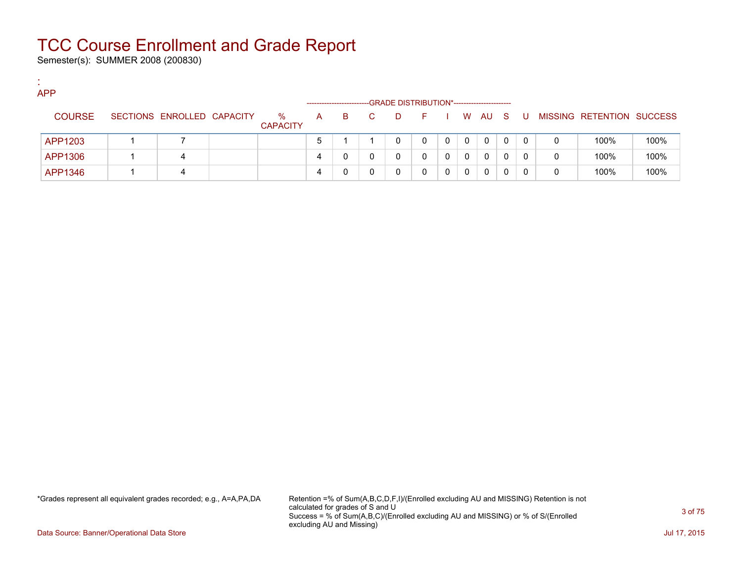Semester(s): SUMMER 2008 (200830)

:

| <b>APP</b>    |                            |                      | -------------------- |    |    | -GRADE DISTRIBUTION*----------------------- |    |   |          |    |    |     |          |                           |      |
|---------------|----------------------------|----------------------|----------------------|----|----|---------------------------------------------|----|---|----------|----|----|-----|----------|---------------------------|------|
| <b>COURSE</b> | SECTIONS ENROLLED CAPACITY | %<br><b>CAPACITY</b> | A                    | B. | C. | D                                           | E. |   | <b>W</b> | AU | S. | . U |          | MISSING RETENTION SUCCESS |      |
| APP1203       |                            |                      | 5                    |    |    |                                             | 0  | 0 | $\Omega$ | 0  | 0  | 0   | 0        | 100%                      | 100% |
| APP1306       | 4                          |                      |                      |    |    |                                             |    | 0 | 0        | 0  | 0  | 0   | $\Omega$ | 100%                      | 100% |
| APP1346       | 4                          |                      | 4                    |    |    |                                             |    | 0 | $\Omega$ | 0  | 0  |     | 0        | 100%                      | 100% |

\*Grades represent all equivalent grades recorded; e.g., A=A,PA,DA Retention =% of Sum(A,B,C,D,F,I)/(Enrolled excluding AU and MISSING) Retention is not calculated for grades of S and U Success = % of Sum(A,B,C)/(Enrolled excluding AU and MISSING) or % of S/(Enrolled excluding AU and Missing)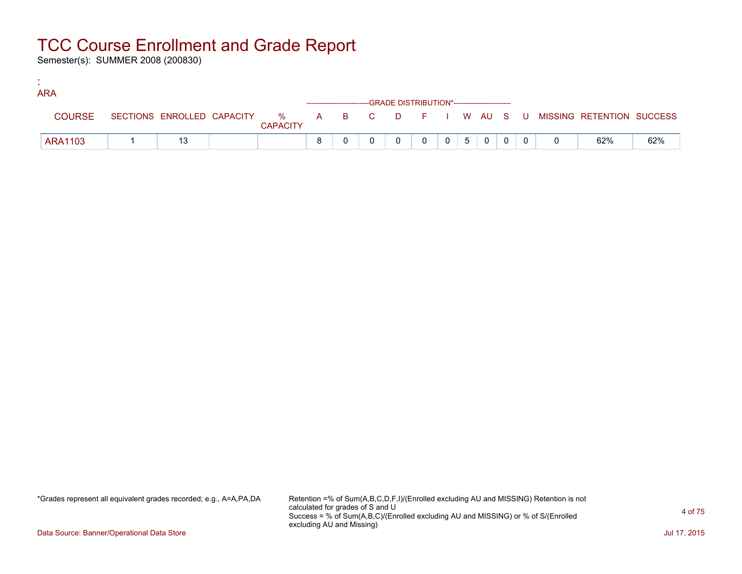Semester(s): SUMMER 2008 (200830)

:

| <b>ARA</b>    |  |                 |  |                                                                    |          |                 |                |  |                                                                             |     |
|---------------|--|-----------------|--|--------------------------------------------------------------------|----------|-----------------|----------------|--|-----------------------------------------------------------------------------|-----|
|               |  |                 |  | ------------------------GRADE DISTRIBUTION*----------------------- |          |                 |                |  |                                                                             |     |
| <b>COURSE</b> |  | <b>CAPACITY</b> |  |                                                                    |          |                 |                |  | SECTIONS ENROLLED CAPACITY % A B C D F I W AU S U MISSING RETENTION SUCCESS |     |
| ARA1103       |  |                 |  |                                                                    | $\Omega$ | $0 \mid 5 \mid$ | $\overline{0}$ |  | 62%                                                                         | 62% |

\*Grades represent all equivalent grades recorded; e.g., A=A,PA,DA Retention =% of Sum(A,B,C,D,F,I)/(Enrolled excluding AU and MISSING) Retention is not calculated for grades of S and U Success = % of Sum(A,B,C)/(Enrolled excluding AU and MISSING) or % of S/(Enrolled excluding AU and Missing)

Data Source: Banner/Operational Data Store Jul 17, 2015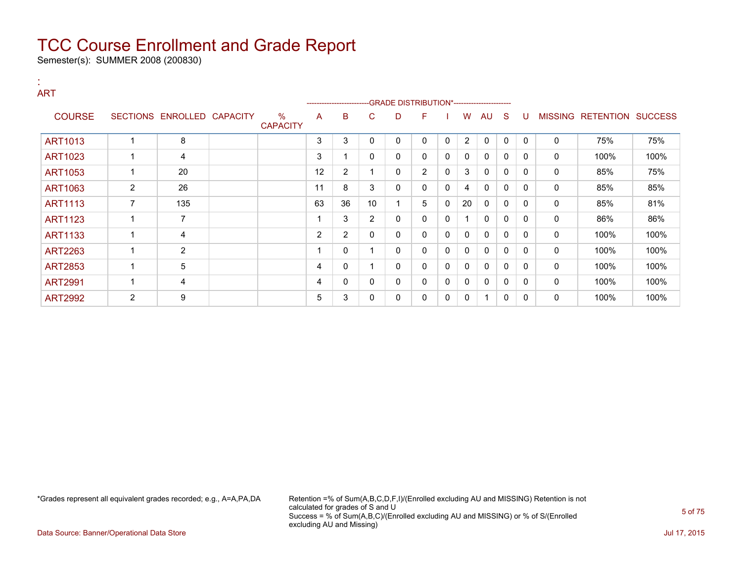Semester(s): SUMMER 2008 (200830)

#### : ART

| .              |   |                            |                      |    | ---------------------- |                |   |                |   |                |              |              |              |                |                          |      |
|----------------|---|----------------------------|----------------------|----|------------------------|----------------|---|----------------|---|----------------|--------------|--------------|--------------|----------------|--------------------------|------|
| <b>COURSE</b>  |   | SECTIONS ENROLLED CAPACITY | %<br><b>CAPACITY</b> | A  | B                      | C              | D | F              |   | W              | <b>AU</b>    | S            | U            | <b>MISSING</b> | <b>RETENTION SUCCESS</b> |      |
| <b>ART1013</b> |   | 8                          |                      | 3  | 3                      |                | 0 | 0              | 0 | $\overline{2}$ | $\mathbf{0}$ | 0            | $\mathbf{0}$ | 0              | 75%                      | 75%  |
| <b>ART1023</b> |   | 4                          |                      | 3  |                        | $\Omega$       | 0 | 0              | 0 | 0              | $\mathbf{0}$ | 0            | $\Omega$     | 0              | 100%                     | 100% |
| <b>ART1053</b> |   | 20                         |                      | 12 | $\overline{2}$         |                | 0 | $\overline{2}$ | 0 | 3              | $\mathbf{0}$ | $\mathbf{0}$ | $\Omega$     | 0              | 85%                      | 75%  |
| <b>ART1063</b> | 2 | 26                         |                      | 11 | 8                      | 3              | 0 | 0              | 0 | 4              | 0            | 0            | $\Omega$     | 0              | 85%                      | 85%  |
| <b>ART1113</b> | 7 | 135                        |                      | 63 | 36                     | 10             |   | 5              | 0 | 20             | $\mathbf{0}$ | 0            | $\Omega$     | 0              | 85%                      | 81%  |
| <b>ART1123</b> |   | 7                          |                      |    | 3                      | $\overline{2}$ | 0 | 0              | 0 |                | 0            | 0            | $\mathbf{0}$ | 0              | 86%                      | 86%  |
| <b>ART1133</b> |   | 4                          |                      | 2  | $\overline{2}$         | 0              | 0 | 0              | 0 | 0              | $\mathbf{0}$ | 0            | $\Omega$     | 0              | 100%                     | 100% |
| <b>ART2263</b> |   | $\overline{2}$             |                      |    | 0                      |                | 0 | 0              | 0 | 0              | 0            | 0            | 0            | 0              | 100%                     | 100% |
| <b>ART2853</b> |   | 5                          |                      | 4  | 0                      |                | 0 | 0              | 0 | 0              | $\mathbf{0}$ | $\mathbf{0}$ | $\Omega$     | 0              | 100%                     | 100% |
| <b>ART2991</b> |   | 4                          |                      | 4  | 0                      | 0              | 0 | 0              | 0 | 0              | $\mathbf{0}$ | 0            | $\Omega$     | 0              | 100%                     | 100% |
| <b>ART2992</b> | 2 | 9                          |                      | 5  | 3                      |                | 0 | 0              | 0 | 0              | 1            | 0            | 0            | 0              | 100%                     | 100% |

\*Grades represent all equivalent grades recorded; e.g., A=A,PA,DA Retention =% of Sum(A,B,C,D,F,I)/(Enrolled excluding AU and MISSING) Retention is not calculated for grades of S and U Success = % of Sum(A,B,C)/(Enrolled excluding AU and MISSING) or % of S/(Enrolled excluding AU and Missing)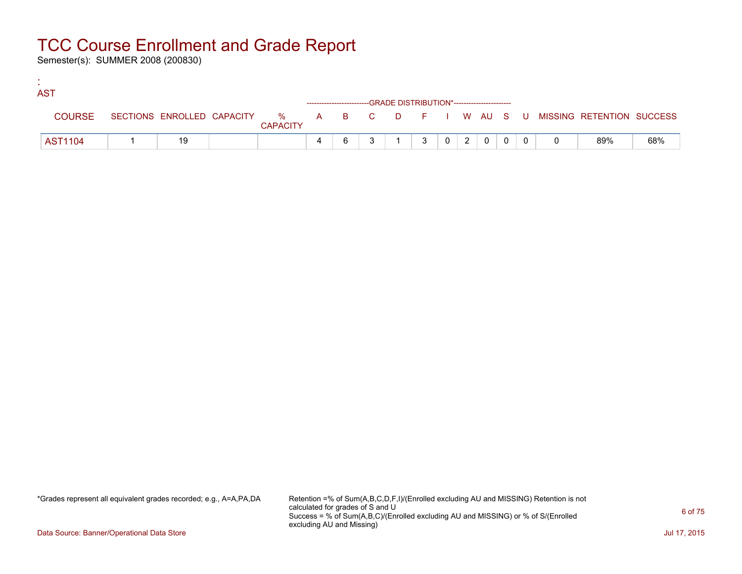Semester(s): SUMMER 2008 (200830)

:

| <b>AST</b>     |    |                 |  |                                                                    |                |  |  |                |                                                                               |     |
|----------------|----|-----------------|--|--------------------------------------------------------------------|----------------|--|--|----------------|-------------------------------------------------------------------------------|-----|
|                |    |                 |  | ------------------------GRADE DISTRIBUTION*----------------------- |                |  |  |                |                                                                               |     |
| <b>COURSE</b>  |    | <b>CAPACITY</b> |  |                                                                    |                |  |  |                | SECTIONS ENROLLED CAPACITY 5 % A B C D F I W AU S U MISSING RETENTION SUCCESS |     |
| <b>AST1104</b> | 19 |                 |  |                                                                    | 3 <sup>1</sup> |  |  | $\overline{0}$ | 89%                                                                           | 68% |

\*Grades represent all equivalent grades recorded; e.g., A=A,PA,DA Retention =% of Sum(A,B,C,D,F,I)/(Enrolled excluding AU and MISSING) Retention is not calculated for grades of S and U Success = % of Sum(A,B,C)/(Enrolled excluding AU and MISSING) or % of S/(Enrolled excluding AU and Missing)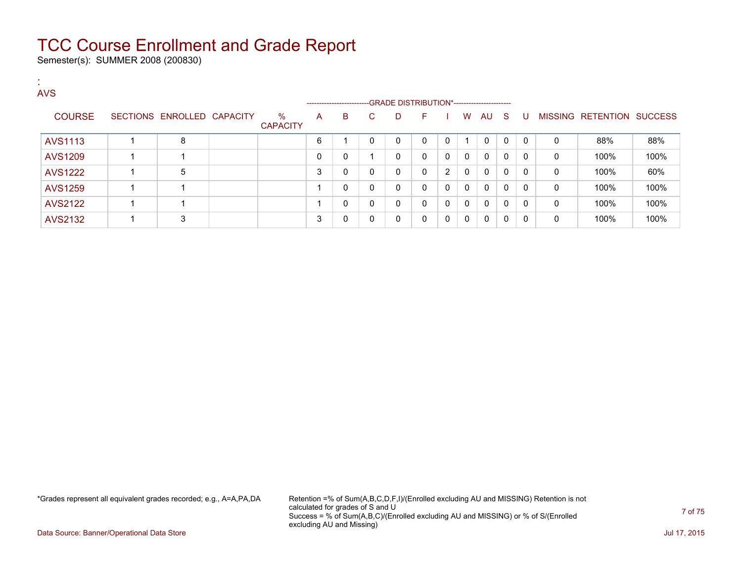Semester(s): SUMMER 2008 (200830)

:

| <b>AVS</b>     |                            |                         |   | ----------------------- |   | --GRADE DISTRIBUTION*----------------------- |              |                |              |              |              |          |   |                           |      |
|----------------|----------------------------|-------------------------|---|-------------------------|---|----------------------------------------------|--------------|----------------|--------------|--------------|--------------|----------|---|---------------------------|------|
| <b>COURSE</b>  | SECTIONS ENROLLED CAPACITY | $\%$<br><b>CAPACITY</b> | A | B                       | C | D                                            | F            |                | W            | AU S         |              | U        |   | MISSING RETENTION SUCCESS |      |
| <b>AVS1113</b> | 8                          |                         | 6 |                         | 0 | 0                                            | $\Omega$     | 0              |              | $\mathbf{0}$ | $\mathbf{0}$ | $\Omega$ | 0 | 88%                       | 88%  |
| <b>AVS1209</b> |                            |                         | 0 | 0                       |   | 0                                            | $\mathbf{0}$ | 0              | 0            | 0            | 0            | 0        | 0 | 100%                      | 100% |
| <b>AVS1222</b> | 5                          |                         | 3 | 0                       | 0 | 0                                            | $\mathbf{0}$ | $\overline{2}$ | 0            | 0            | $\mathbf{0}$ | $\Omega$ | 0 | 100%                      | 60%  |
| <b>AVS1259</b> |                            |                         |   | 0                       | 0 | 0                                            | $\mathbf{0}$ | 0              | $\mathbf{0}$ | 0            | 0            | $\Omega$ | 0 | 100%                      | 100% |
| <b>AVS2122</b> |                            |                         |   | 0                       | 0 | 0                                            | $\mathbf{0}$ | 0              | $\mathbf{0}$ | $\mathbf{0}$ | $\mathbf{0}$ | $\Omega$ | 0 | 100%                      | 100% |
| <b>AVS2132</b> | 3                          |                         | 3 | 0                       | 0 | 0                                            | 0            | 0              | 0            | 0            | 0            | 0        | 0 | 100%                      | 100% |

\*Grades represent all equivalent grades recorded; e.g., A=A,PA,DA Retention =% of Sum(A,B,C,D,F,I)/(Enrolled excluding AU and MISSING) Retention is not calculated for grades of S and U Success = % of Sum(A,B,C)/(Enrolled excluding AU and MISSING) or % of S/(Enrolled excluding AU and Missing)

Data Source: Banner/Operational Data Store **July 17, 2015**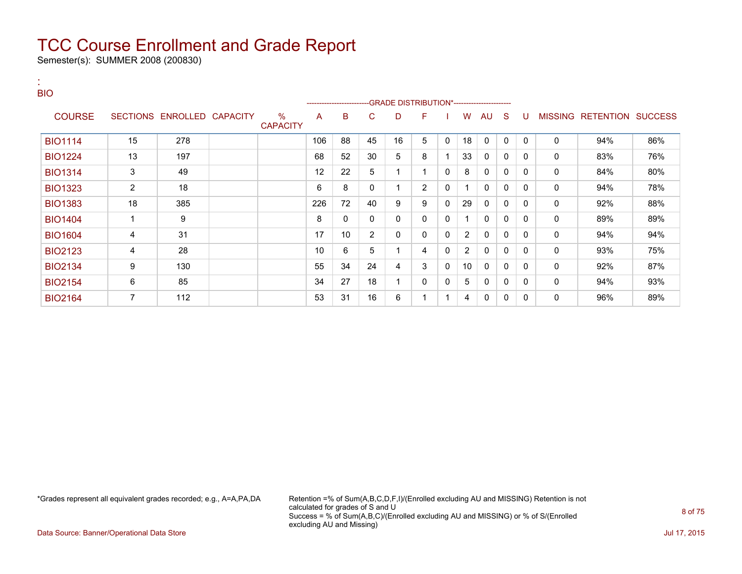Semester(s): SUMMER 2008 (200830)

:

| <b>BIO</b>     |                |                            |                         |     | ----------------------- |                | -GRADE DISTRIBUTION*---------------------- |                |   |                |             |              |              |                |                          |     |
|----------------|----------------|----------------------------|-------------------------|-----|-------------------------|----------------|--------------------------------------------|----------------|---|----------------|-------------|--------------|--------------|----------------|--------------------------|-----|
| <b>COURSE</b>  |                | SECTIONS ENROLLED CAPACITY | $\%$<br><b>CAPACITY</b> | A   | B                       | C              | D                                          | F              |   | W              | AU          | <sub>S</sub> | U            | <b>MISSING</b> | <b>RETENTION SUCCESS</b> |     |
| <b>BIO1114</b> | 15             | 278                        |                         | 106 | 88                      | 45             | 16                                         | 5              | 0 | 18             | $\mathbf 0$ | $\Omega$     | $\mathbf{0}$ | $\mathbf{0}$   | 94%                      | 86% |
| <b>BIO1224</b> | 13             | 197                        |                         | 68  | 52                      | 30             | 5                                          | 8              |   | 33             | 0           | 0            | $\mathbf{0}$ | $\mathbf 0$    | 83%                      | 76% |
| <b>BIO1314</b> | 3              | 49                         |                         | 12  | 22                      | 5              |                                            |                | 0 | 8              | 0           | 0            | 0            | 0              | 84%                      | 80% |
| <b>BIO1323</b> | $\overline{2}$ | 18                         |                         | 6   | 8                       | 0              |                                            | $\overline{2}$ | 0 | 1              | 0           | 0            | 0            | 0              | 94%                      | 78% |
| <b>BIO1383</b> | 18             | 385                        |                         | 226 | 72                      | 40             | 9                                          | 9              | 0 | 29             | 0           | 0            | $\mathbf{0}$ | $\mathbf 0$    | 92%                      | 88% |
| <b>BIO1404</b> | 1              | 9                          |                         | 8   | 0                       | 0              | 0                                          | 0              | 0 | 1              | 0           | 0            | 0            | 0              | 89%                      | 89% |
| <b>BIO1604</b> | 4              | 31                         |                         | 17  | 10                      | $\overline{2}$ | 0                                          | 0              | 0 | $\overline{2}$ | 0           | 0            | 0            | 0              | 94%                      | 94% |
| <b>BIO2123</b> | 4              | 28                         |                         | 10  | 6                       | 5              |                                            | 4              | 0 | $\overline{2}$ | $\mathbf 0$ | 0            | 0            | $\mathbf 0$    | 93%                      | 75% |
| <b>BIO2134</b> | 9              | 130                        |                         | 55  | 34                      | 24             | 4                                          | 3              | 0 | 10             | 0           | 0            | 0            | 0              | 92%                      | 87% |
| <b>BIO2154</b> | 6              | 85                         |                         | 34  | 27                      | 18             |                                            | $\mathbf{0}$   | 0 | 5              | 0           | 0            | 0            | 0              | 94%                      | 93% |
| <b>BIO2164</b> | 7              | 112                        |                         | 53  | 31                      | 16             | 6                                          |                |   | 4              | 0           | 0            | 0            | 0              | 96%                      | 89% |

\*Grades represent all equivalent grades recorded; e.g., A=A,PA,DA Retention =% of Sum(A,B,C,D,F,I)/(Enrolled excluding AU and MISSING) Retention is not calculated for grades of S and U Success = % of Sum(A,B,C)/(Enrolled excluding AU and MISSING) or % of S/(Enrolled excluding AU and Missing)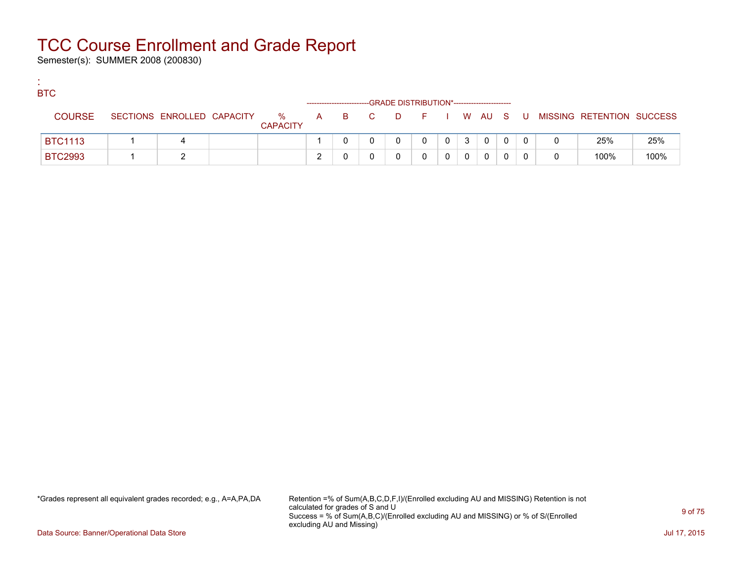Semester(s): SUMMER 2008 (200830)

:

| <b>BTC</b>     |                            |                      |  |       | -GRADE DISTRIBUTION*----------------------- |   |              |     |   |  |                             |      |
|----------------|----------------------------|----------------------|--|-------|---------------------------------------------|---|--------------|-----|---|--|-----------------------------|------|
| <b>COURSE</b>  | SECTIONS ENROLLED CAPACITY | %<br><b>CAPACITY</b> |  | A B C | D F I W AU S                                |   |              |     |   |  | U MISSING RETENTION SUCCESS |      |
| <b>BTC1113</b> |                            |                      |  |       |                                             | 0 | $\mathbf{0}$ | - 3 | 0 |  | 25%                         | 25%  |
| <b>BTC2993</b> |                            |                      |  |       |                                             |   |              |     |   |  | 100%                        | 100% |

\*Grades represent all equivalent grades recorded; e.g., A=A,PA,DA Retention =% of Sum(A,B,C,D,F,I)/(Enrolled excluding AU and MISSING) Retention is not calculated for grades of S and U Success = % of Sum(A,B,C)/(Enrolled excluding AU and MISSING) or % of S/(Enrolled excluding AU and Missing)

Data Source: Banner/Operational Data Store **July 17, 2015**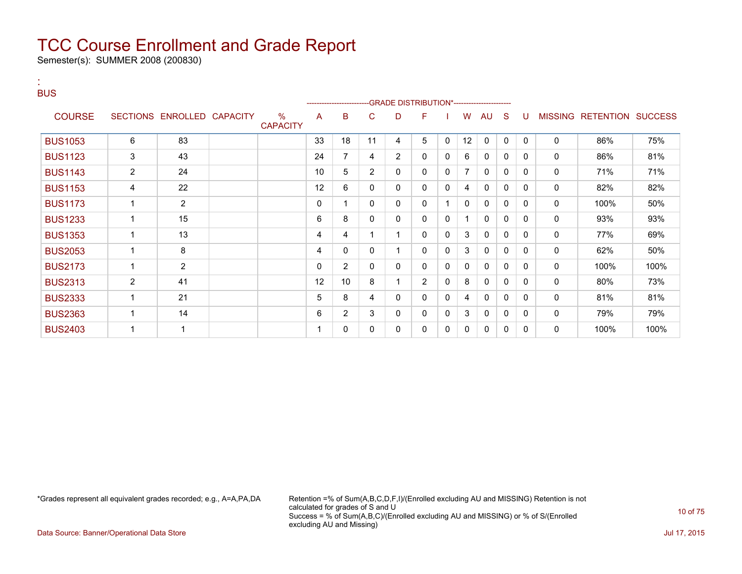Semester(s): SUMMER 2008 (200830)

:

| <b>BUS</b>     |                         |                            |                         |    | ---------------------- |                | -GRADE DISTRIBUTION*---------------------- |                |              |    |              |              |              |             |                                  |      |
|----------------|-------------------------|----------------------------|-------------------------|----|------------------------|----------------|--------------------------------------------|----------------|--------------|----|--------------|--------------|--------------|-------------|----------------------------------|------|
| <b>COURSE</b>  |                         | SECTIONS ENROLLED CAPACITY | $\%$<br><b>CAPACITY</b> | A  | B                      | С              | D                                          | F              |              | W  | AU           | -S           | -U           |             | <b>MISSING RETENTION SUCCESS</b> |      |
| <b>BUS1053</b> | 6                       | 83                         |                         | 33 | 18                     | 11             | 4                                          | 5              | $\mathbf{0}$ | 12 | $\mathbf{0}$ | $\mathbf{0}$ | $\mathbf{0}$ | 0           | 86%                              | 75%  |
| <b>BUS1123</b> | 3                       | 43                         |                         | 24 | $\overline{7}$         | 4              | $\overline{2}$                             | 0              | $\mathbf{0}$ | 6  | $\mathbf{0}$ | $\mathbf{0}$ | 0            | 0           | 86%                              | 81%  |
| <b>BUS1143</b> | $\overline{2}$          | 24                         |                         | 10 | 5                      | $\overline{2}$ | 0                                          | 0              | 0            | 7  | $\mathbf{0}$ | 0            | 0            | 0           | 71%                              | 71%  |
| <b>BUS1153</b> | 4                       | 22                         |                         | 12 | 6                      | 0              | 0                                          | $\mathbf{0}$   | $\Omega$     | 4  | $\mathbf{0}$ | 0            | $\Omega$     | 0           | 82%                              | 82%  |
| <b>BUS1173</b> | -1                      | $\overline{2}$             |                         | 0  | 1                      | 0              | 0                                          | 0              |              | 0  | 0            | 0            | 0            | $\mathbf 0$ | 100%                             | 50%  |
| <b>BUS1233</b> |                         | 15                         |                         | 6  | 8                      | 0              | 0                                          | $\mathbf{0}$   | $\mathbf{0}$ |    | $\mathbf{0}$ | 0            | 0            | 0           | 93%                              | 93%  |
| <b>BUS1353</b> | $\overline{1}$          | 13                         |                         | 4  | 4                      | 1              | 1                                          | $\mathbf{0}$   | $\mathbf{0}$ | 3  | $\mathbf{0}$ | 0            | 0            | 0           | 77%                              | 69%  |
| <b>BUS2053</b> | -1                      | 8                          |                         | 4  | 0                      | 0              | 1                                          | $\mathbf{0}$   | 0            | 3  | $\mathbf{0}$ | 0            | 0            | 0           | 62%                              | 50%  |
| <b>BUS2173</b> | $\overline{\mathbf{A}}$ | $\overline{2}$             |                         | 0  | $\overline{2}$         | 0              | 0                                          | 0              | 0            | 0  | 0            | $\mathbf{0}$ | $\Omega$     | 0           | 100%                             | 100% |
| <b>BUS2313</b> | 2                       | 41                         |                         | 12 | 10                     | 8              | 1                                          | $\overline{2}$ | 0            | 8  | $\mathbf{0}$ | 0            | 0            | 0           | 80%                              | 73%  |
| <b>BUS2333</b> | -1                      | 21                         |                         | 5  | 8                      | 4              | 0                                          | $\mathbf{0}$   | 0            | 4  | 0            | 0            | 0            | 0           | 81%                              | 81%  |
| <b>BUS2363</b> |                         | 14                         |                         | 6  | $\overline{2}$         | 3              | 0                                          | 0              | 0            | 3  | 0            | 0            | 0            | $\mathbf 0$ | 79%                              | 79%  |
| <b>BUS2403</b> | 1                       |                            |                         |    | 0                      | 0              | 0                                          | $\mathbf{0}$   | $\mathbf{0}$ | 0  | $\mathbf{0}$ | 0            | 0            | 0           | 100%                             | 100% |

\*Grades represent all equivalent grades recorded; e.g., A=A,PA,DA Retention =% of Sum(A,B,C,D,F,I)/(Enrolled excluding AU and MISSING) Retention is not calculated for grades of S and U Success = % of Sum(A,B,C)/(Enrolled excluding AU and MISSING) or % of S/(Enrolled excluding AU and Missing)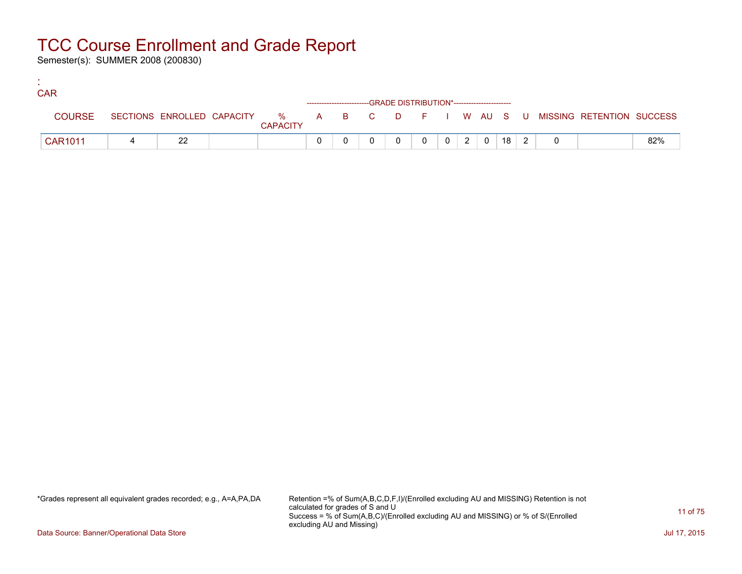Semester(s): SUMMER 2008 (200830)

:

| <b>CAR</b>     |    |                 |  |                                                                    |              |                |  |        |  |                                                                             |     |
|----------------|----|-----------------|--|--------------------------------------------------------------------|--------------|----------------|--|--------|--|-----------------------------------------------------------------------------|-----|
|                |    |                 |  | ------------------------GRADE DISTRIBUTION*----------------------- |              |                |  |        |  |                                                                             |     |
| <b>COURSE</b>  |    | <b>CAPACITY</b> |  |                                                                    |              |                |  |        |  | SECTIONS ENROLLED CAPACITY % A B C D F I W AU S U MISSING RETENTION SUCCESS |     |
| <b>CAR1011</b> | 22 |                 |  |                                                                    | $\mathbf{0}$ | 0 <sup>1</sup> |  | $18$ 2 |  |                                                                             | 82% |

\*Grades represent all equivalent grades recorded; e.g., A=A,PA,DA Retention =% of Sum(A,B,C,D,F,I)/(Enrolled excluding AU and MISSING) Retention is not calculated for grades of S and U Success = % of Sum(A,B,C)/(Enrolled excluding AU and MISSING) or % of S/(Enrolled excluding AU and Missing)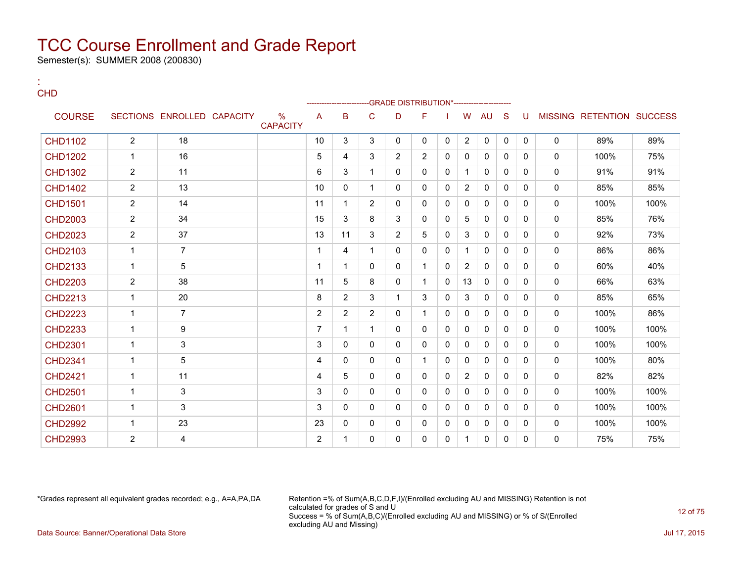Semester(s): SUMMER 2008 (200830)

:

| <b>CHD</b>     |                |                            |                                  |                |                |                | -GRADE DISTRIBUTION*----------------------- |                |              |                |              |              |              |              |                                  |      |
|----------------|----------------|----------------------------|----------------------------------|----------------|----------------|----------------|---------------------------------------------|----------------|--------------|----------------|--------------|--------------|--------------|--------------|----------------------------------|------|
| <b>COURSE</b>  |                | SECTIONS ENROLLED CAPACITY | $\frac{0}{0}$<br><b>CAPACITY</b> | A              | в              | C              | D                                           | F              |              | W              | AU           | S            | U            |              | <b>MISSING RETENTION SUCCESS</b> |      |
| <b>CHD1102</b> | $\overline{2}$ | 18                         |                                  | 10             | 3              | 3              | $\mathbf{0}$                                | 0              | $\mathbf{0}$ | $\overline{2}$ | 0            | $\mathbf{0}$ | $\mathbf{0}$ | $\mathbf{0}$ | 89%                              | 89%  |
| <b>CHD1202</b> | $\mathbf{1}$   | 16                         |                                  | 5              | 4              | 3              | $\overline{2}$                              | $\overline{2}$ | $\mathbf{0}$ | $\Omega$       | $\mathbf{0}$ | $\mathbf{0}$ | 0            | $\mathbf{0}$ | 100%                             | 75%  |
| <b>CHD1302</b> | 2              | 11                         |                                  | 6              | 3              | 1              | 0                                           | 0              | 0            | 1              | $\mathbf{0}$ | $\mathbf{0}$ | $\Omega$     | 0            | 91%                              | 91%  |
| <b>CHD1402</b> | $\overline{2}$ | 13                         |                                  | 10             | 0              | 1              | 0                                           | 0              | 0            | $\overline{2}$ | 0            | 0            | 0            | 0            | 85%                              | 85%  |
| <b>CHD1501</b> | $\overline{2}$ | 14                         |                                  | 11             | 1              | $\overline{2}$ | $\Omega$                                    | $\Omega$       | $\mathbf{0}$ | $\mathbf{0}$   | $\mathbf{0}$ | $\Omega$     | 0            | 0            | 100%                             | 100% |
| <b>CHD2003</b> | $\overline{2}$ | 34                         |                                  | 15             | 3              | 8              | 3                                           | 0              | $\mathbf 0$  | 5              | $\mathbf{0}$ | $\Omega$     | 0            | 0            | 85%                              | 76%  |
| <b>CHD2023</b> | $\overline{2}$ | 37                         |                                  | 13             | 11             | 3              | 2                                           | 5              | $\mathbf 0$  | 3              | $\mathbf{0}$ | $\Omega$     | 0            | $\mathbf{0}$ | 92%                              | 73%  |
| CHD2103        | $\mathbf{1}$   | $\overline{7}$             |                                  | 1              | 4              | 1              | $\mathbf{0}$                                | 0              | $\mathbf{0}$ | $\mathbf{1}$   | $\mathbf{0}$ | $\mathbf{0}$ | 0            | $\mathbf{0}$ | 86%                              | 86%  |
| <b>CHD2133</b> | $\mathbf{1}$   | 5                          |                                  | 1              | 1              | 0              | 0                                           | 1              | 0            | $\overline{2}$ | $\mathbf{0}$ | 0            | 0            | 0            | 60%                              | 40%  |
| <b>CHD2203</b> | 2              | 38                         |                                  | 11             | 5              | 8              | 0                                           | 1              | $\mathbf 0$  | 13             | $\mathbf{0}$ | $\mathbf{0}$ | $\Omega$     | 0            | 66%                              | 63%  |
| <b>CHD2213</b> | 1              | 20                         |                                  | 8              | $\overline{2}$ | 3              | $\mathbf 1$                                 | 3              | $\mathbf 0$  | 3              | $\mathbf{0}$ | $\Omega$     | 0            | 0            | 85%                              | 65%  |
| <b>CHD2223</b> | 1              | $\overline{7}$             |                                  | $\overline{2}$ | $\overline{2}$ | $\overline{2}$ | $\Omega$                                    | $\mathbf 1$    | $\mathbf 0$  | $\Omega$       | $\mathbf{0}$ | $\Omega$     | 0            | 0            | 100%                             | 86%  |
| <b>CHD2233</b> | $\mathbf{1}$   | 9                          |                                  | $\overline{7}$ | 1              | $\mathbf{1}$   | $\Omega$                                    | $\Omega$       | $\mathbf{0}$ | $\mathbf{0}$   | $\mathbf{0}$ | $\Omega$     | 0            | 0            | 100%                             | 100% |
| <b>CHD2301</b> | 1              | 3                          |                                  | 3              | $\mathbf{0}$   | $\Omega$       | 0                                           | 0              | $\mathbf 0$  | $\mathbf{0}$   | $\mathbf{0}$ | $\mathbf{0}$ | 0            | $\mathbf{0}$ | 100%                             | 100% |
| <b>CHD2341</b> | $\mathbf{1}$   | 5                          |                                  | 4              | 0              | 0              | $\mathbf{0}$                                | 1              | 0            | 0              | 0            | 0            | 0            | 0            | 100%                             | 80%  |
| <b>CHD2421</b> | $\mathbf{1}$   | 11                         |                                  | 4              | 5              | 0              | 0                                           | 0              | 0            | $\overline{2}$ | $\mathbf{0}$ | $\Omega$     | 0            | 0            | 82%                              | 82%  |
| <b>CHD2501</b> | 1              | 3                          |                                  | 3              | $\Omega$       | $\Omega$       | $\Omega$                                    | 0              | $\mathbf{0}$ | $\mathbf{0}$   | $\mathbf{0}$ | $\Omega$     | $\Omega$     | 0            | 100%                             | 100% |
| <b>CHD2601</b> | 1              | 3                          |                                  | 3              | $\Omega$       | $\Omega$       | 0                                           | 0              | $\mathbf 0$  | $\mathbf{0}$   | $\mathbf{0}$ | $\Omega$     | 0            | $\mathbf{0}$ | 100%                             | 100% |
| <b>CHD2992</b> | $\mathbf{1}$   | 23                         |                                  | 23             | 0              | $\Omega$       | $\Omega$                                    | 0              | $\mathbf{0}$ | $\mathbf{0}$   | $\mathbf{0}$ | $\Omega$     | 0            | 0            | 100%                             | 100% |
| <b>CHD2993</b> | $\overline{2}$ | 4                          |                                  | 2              | 1              | 0              | 0                                           | 0              | $\mathbf{0}$ | $\mathbf{1}$   | $\mathbf{0}$ | $\mathbf{0}$ | $\Omega$     | $\mathbf{0}$ | 75%                              | 75%  |

\*Grades represent all equivalent grades recorded; e.g., A=A,PA,DA Retention =% of Sum(A,B,C,D,F,I)/(Enrolled excluding AU and MISSING) Retention is not calculated for grades of S and U Success = % of Sum(A,B,C)/(Enrolled excluding AU and MISSING) or % of S/(Enrolled excluding AU and Missing) Data Source: Banner/Operational Data Store Jul 17, 2015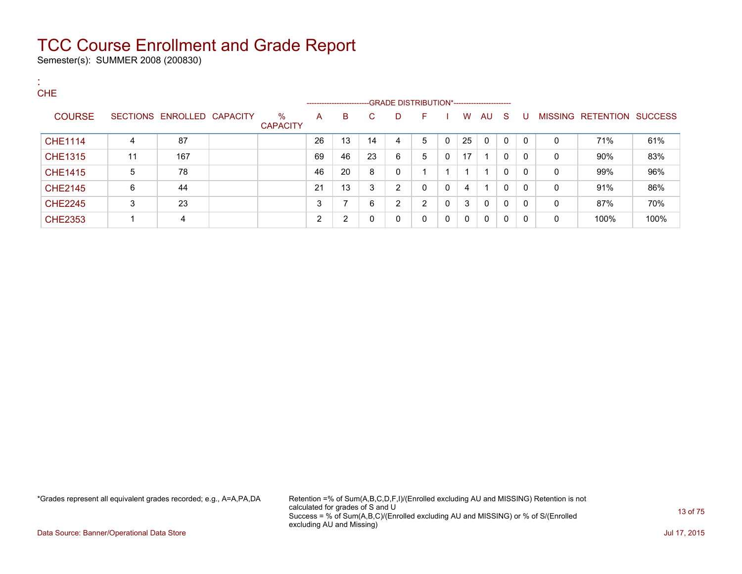Semester(s): SUMMER 2008 (200830)

:

| <b>CHE</b>     |    |                            |                         |    | ------------------------ |    |   |   |          |    |              |     |              |   |                           |      |
|----------------|----|----------------------------|-------------------------|----|--------------------------|----|---|---|----------|----|--------------|-----|--------------|---|---------------------------|------|
| <b>COURSE</b>  |    | SECTIONS ENROLLED CAPACITY | $\%$<br><b>CAPACITY</b> | A  | B                        | C  | D | F |          | W  | AU           | - S | -U           |   | MISSING RETENTION SUCCESS |      |
| <b>CHE1114</b> | 4  | 87                         |                         | 26 | 13                       | 14 | 4 | 5 | $\Omega$ | 25 | $\mathbf{0}$ | 0   | $\mathbf{0}$ | 0 | 71%                       | 61%  |
| <b>CHE1315</b> | 11 | 167                        |                         | 69 | 46                       | 23 | 6 | 5 | $\Omega$ | 17 |              | 0   | 0            | 0 | 90%                       | 83%  |
| <b>CHE1415</b> | 5  | 78                         |                         | 46 | 20                       | 8  | 0 |   |          |    |              | 0   | 0            | 0 | 99%                       | 96%  |
| <b>CHE2145</b> | 6  | 44                         |                         | 21 | 13                       | 3  | 2 | 0 | $\Omega$ | 4  |              | 0   | 0            | 0 | 91%                       | 86%  |
| <b>CHE2245</b> | 3  | 23                         |                         | 3  | ⇁                        | 6  | 2 | 2 | $\Omega$ | 3  | $\mathbf{0}$ | 0   | 0            | 0 | 87%                       | 70%  |
| <b>CHE2353</b> |    | 4                          |                         | 2  | 2                        | 0  | 0 | 0 | $\Omega$ | 0  | $\mathbf{0}$ | 0   | 0            | 0 | 100%                      | 100% |

\*Grades represent all equivalent grades recorded; e.g., A=A,PA,DA Retention =% of Sum(A,B,C,D,F,I)/(Enrolled excluding AU and MISSING) Retention is not calculated for grades of S and U Success = % of Sum(A,B,C)/(Enrolled excluding AU and MISSING) or % of S/(Enrolled excluding AU and Missing)

Data Source: Banner/Operational Data Store Jul 17, 2015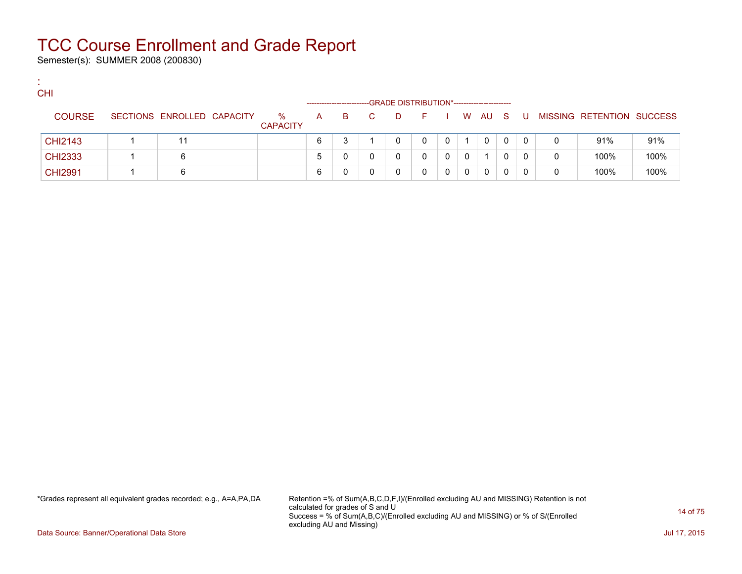Semester(s): SUMMER 2008 (200830)

:

| <b>CHI</b>     |                            |                         |              |    |    |    | -GRADE DISTRIBUTION*----------------------- |              |              |          |   |   |              |                           |      |
|----------------|----------------------------|-------------------------|--------------|----|----|----|---------------------------------------------|--------------|--------------|----------|---|---|--------------|---------------------------|------|
| <b>COURSE</b>  | SECTIONS ENROLLED CAPACITY | $\%$<br><b>CAPACITY</b> | $\mathsf{A}$ | B. | C. | D. | E.                                          |              |              | I W AU S |   | U |              | MISSING RETENTION SUCCESS |      |
| <b>CHI2143</b> | 11                         |                         | 6            |    |    | 0  | 0                                           | $\mathbf{0}$ |              | 0        | 0 | 0 | 0            | 91%                       | 91%  |
| <b>CHI2333</b> |                            |                         |              |    |    |    |                                             | 0            | $\mathbf{0}$ |          | 0 | 0 | $\mathbf{0}$ | 100%                      | 100% |
| <b>CHI2991</b> |                            |                         | 6            |    |    |    |                                             | 0            | 0            | 0        | 0 | 0 | 0            | 100%                      | 100% |

\*Grades represent all equivalent grades recorded; e.g., A=A,PA,DA Retention =% of Sum(A,B,C,D,F,I)/(Enrolled excluding AU and MISSING) Retention is not calculated for grades of S and U Success = % of Sum(A,B,C)/(Enrolled excluding AU and MISSING) or % of S/(Enrolled excluding AU and Missing)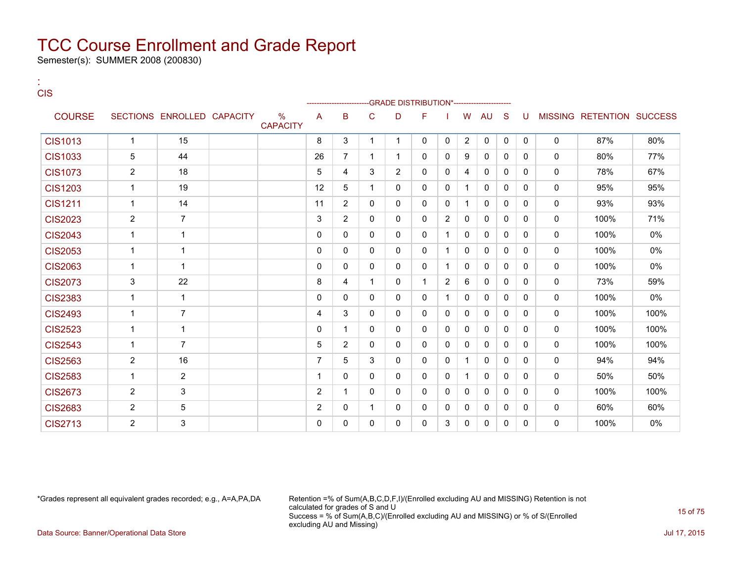Semester(s): SUMMER 2008 (200830)

| <b>CIS</b>     |                |                            |                                  |                |                |             | -GRADE DISTRIBUTION*---------------------- |              |                |                |              |              |   |              |                           |       |
|----------------|----------------|----------------------------|----------------------------------|----------------|----------------|-------------|--------------------------------------------|--------------|----------------|----------------|--------------|--------------|---|--------------|---------------------------|-------|
| <b>COURSE</b>  |                | SECTIONS ENROLLED CAPACITY | $\frac{0}{0}$<br><b>CAPACITY</b> | A              | B              | C           | D                                          | F            |                | W              | AU           | S            | U |              | MISSING RETENTION SUCCESS |       |
| <b>CIS1013</b> | 1              | 15                         |                                  | 8              | 3              | 1           | $\mathbf 1$                                | 0            | 0              | $\overline{2}$ | 0            | 0            | 0 | 0            | 87%                       | 80%   |
| <b>CIS1033</b> | 5              | 44                         |                                  | 26             | $\overline{7}$ | $\mathbf 1$ | $\mathbf 1$                                | 0            | 0              | 9              | 0            | 0            | 0 | 0            | 80%                       | 77%   |
| <b>CIS1073</b> | $\overline{c}$ | 18                         |                                  | 5              | 4              | 3           | $\overline{2}$                             | $\mathbf{0}$ | 0              | 4              | $\mathbf{0}$ | 0            | 0 | $\mathbf{0}$ | 78%                       | 67%   |
| <b>CIS1203</b> | 1              | 19                         |                                  | 12             | 5              | 1           | 0                                          | 0            | 0              | 1              | 0            | 0            | 0 | 0            | 95%                       | 95%   |
| <b>CIS1211</b> | 1              | 14                         |                                  | 11             | $\overline{2}$ | 0           | $\Omega$                                   | 0            | 0              | 1              | $\mathbf{0}$ | 0            | 0 | 0            | 93%                       | 93%   |
| <b>CIS2023</b> | $\overline{2}$ | $\overline{7}$             |                                  | 3              | $\overline{2}$ | 0           | 0                                          | 0            | $\overline{2}$ | 0              | $\mathbf{0}$ | $\mathbf{0}$ | 0 | 0            | 100%                      | 71%   |
| <b>CIS2043</b> | $\mathbf{1}$   | $\mathbf 1$                |                                  | $\Omega$       | 0              | $\Omega$    | $\mathbf{0}$                               | $\Omega$     | 1              | $\mathbf{0}$   | $\mathbf{0}$ | $\Omega$     | 0 | 0            | 100%                      | 0%    |
| <b>CIS2053</b> | 1              | -1                         |                                  | $\mathbf{0}$   | 0              | $\Omega$    | $\mathbf{0}$                               | $\mathbf{0}$ | 1              | 0              | 0            | $\Omega$     | 0 | $\mathbf{0}$ | 100%                      | 0%    |
| <b>CIS2063</b> | 1              | $\mathbf 1$                |                                  | $\mathbf{0}$   | 0              | 0           | 0                                          | $\mathbf{0}$ | 1              | 0              | 0            | 0            | 0 | 0            | 100%                      | 0%    |
| <b>CIS2073</b> | 3              | 22                         |                                  | 8              | 4              | $\mathbf 1$ | $\mathbf{0}$                               | 1            | $\overline{2}$ | 6              | $\mathbf{0}$ | 0            | 0 | $\mathbf{0}$ | 73%                       | 59%   |
| <b>CIS2383</b> | 1              | $\mathbf{1}$               |                                  | $\mathbf{0}$   | 0              | 0           | $\mathbf{0}$                               | $\mathbf{0}$ | 1              | 0              | $\mathbf{0}$ | $\mathbf{0}$ | 0 | 0            | 100%                      | $0\%$ |
| <b>CIS2493</b> | 1              | $\overline{7}$             |                                  | 4              | 3              | 0           | 0                                          | 0            | 0              | 0              | 0            | $\Omega$     | 0 | 0            | 100%                      | 100%  |
| <b>CIS2523</b> | 1              | $\overline{1}$             |                                  | 0              | 1              | 0           | 0                                          | 0            | 0              | 0              | 0            | 0            | 0 | 0            | 100%                      | 100%  |
| <b>CIS2543</b> | $\mathbf 1$    | $\overline{7}$             |                                  | 5              | $\overline{2}$ | 0           | 0                                          | $\mathbf{0}$ | 0              | $\mathbf{0}$   | $\mathbf{0}$ | $\mathbf{0}$ | 0 | 0            | 100%                      | 100%  |
| <b>CIS2563</b> | 2              | 16                         |                                  | $\overline{7}$ | 5              | 3           | $\mathbf{0}$                               | $\mathbf{0}$ | 0              | 1              | $\mathbf{0}$ | $\Omega$     | 0 | $\mathbf{0}$ | 94%                       | 94%   |
| <b>CIS2583</b> | 1              | $\overline{2}$             |                                  | $\mathbf 1$    | 0              | 0           | $\mathbf{0}$                               | 0            | 0              | 1              | $\mathbf{0}$ | 0            | 0 | 0            | 50%                       | 50%   |
| <b>CIS2673</b> | $\overline{2}$ | 3                          |                                  | 2              | 1              | 0           | 0                                          | 0            | 0              | 0              | 0            | $\Omega$     | 0 | 0            | 100%                      | 100%  |
| <b>CIS2683</b> | $\overline{2}$ | 5                          |                                  | $\overline{2}$ | 0              | 1           | 0                                          | 0            | 0              | 0              | 0            | 0            | 0 | 0            | 60%                       | 60%   |
| <b>CIS2713</b> | 2              | 3                          |                                  | 0              | 0              | 0           | 0                                          | 0            | 3              | $\mathbf{0}$   | 0            | 0            | 0 | 0            | 100%                      | 0%    |

:

\*Grades represent all equivalent grades recorded; e.g., A=A,PA,DA Retention =% of Sum(A,B,C,D,F,I)/(Enrolled excluding AU and MISSING) Retention is not calculated for grades of S and U Success = % of Sum(A,B,C)/(Enrolled excluding AU and MISSING) or % of S/(Enrolled excluding AU and Missing) Data Source: Banner/Operational Data Store Jul 17, 2015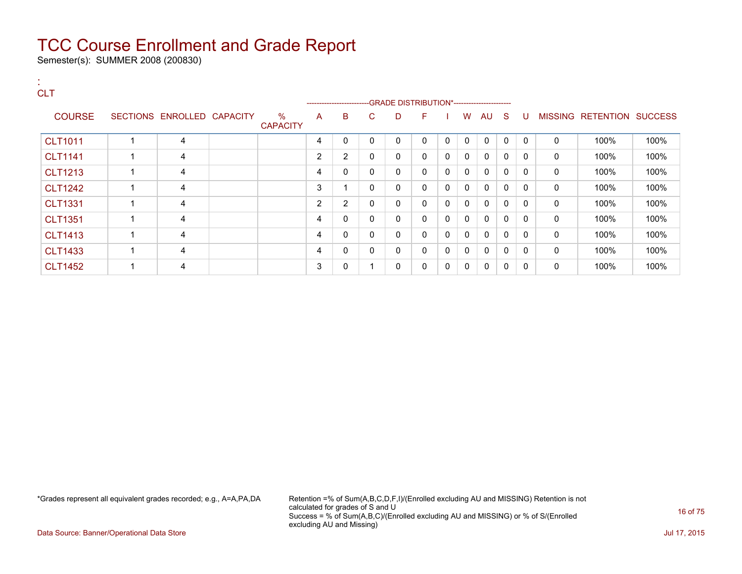Semester(s): SUMMER 2008 (200830)

#### : **CLT**

|                |                            |                         |   |                |   | -----------------------GRADE DISTRIBUTION*----------------------- |   |   |              |              |              |              |                |                          |      |
|----------------|----------------------------|-------------------------|---|----------------|---|-------------------------------------------------------------------|---|---|--------------|--------------|--------------|--------------|----------------|--------------------------|------|
| <b>COURSE</b>  | SECTIONS ENROLLED CAPACITY | $\%$<br><b>CAPACITY</b> | A | B              | C | D                                                                 | F |   | W            | AU           | <sub>S</sub> | U            | <b>MISSING</b> | <b>RETENTION SUCCESS</b> |      |
| <b>CLT1011</b> | 4                          |                         | 4 | 0              |   | 0                                                                 | 0 | 0 | $\mathbf{0}$ | 0            | $\mathbf 0$  | 0            | 0              | 100%                     | 100% |
| <b>CLT1141</b> | 4                          |                         | 2 | $\overline{2}$ |   | 0                                                                 | 0 | 0 | $\Omega$     | 0            | $\mathbf{0}$ | $\Omega$     | 0              | 100%                     | 100% |
| <b>CLT1213</b> | 4                          |                         | 4 | $\mathbf{0}$   |   | 0                                                                 | 0 | 0 | 0            | 0            | 0            | 0            | 0              | 100%                     | 100% |
| <b>CLT1242</b> | 4                          |                         | 3 |                |   | 0                                                                 | 0 | 0 | $\mathbf{0}$ | $\mathbf{0}$ | $\mathbf 0$  | $\Omega$     | 0              | 100%                     | 100% |
| <b>CLT1331</b> | 4                          |                         | 2 | 2              | 0 | $\Omega$                                                          | 0 | 0 | $\mathbf{0}$ | $\mathbf{0}$ | $\mathbf 0$  | <sup>0</sup> | 0              | 100%                     | 100% |
| <b>CLT1351</b> | 4                          |                         | 4 | $\Omega$       |   | 0                                                                 | 0 | 0 | 0            | $\mathbf{0}$ | 0            | $\Omega$     | 0              | 100%                     | 100% |
| <b>CLT1413</b> | 4                          |                         | 4 | 0              |   | 0                                                                 | 0 | 0 | $\Omega$     | 0            | 0            | $\Omega$     | 0              | 100%                     | 100% |
| <b>CLT1433</b> | 4                          |                         | 4 | $\Omega$       |   | 0                                                                 | 0 | 0 | $\Omega$     | $\mathbf{0}$ | $\Omega$     | <sup>0</sup> | 0              | 100%                     | 100% |
| <b>CLT1452</b> | 4                          |                         | 3 | 0              |   | 0                                                                 | 0 | 0 | $\Omega$     | 0            | 0            | <sup>0</sup> | 0              | 100%                     | 100% |

\*Grades represent all equivalent grades recorded; e.g., A=A,PA,DA Retention =% of Sum(A,B,C,D,F,I)/(Enrolled excluding AU and MISSING) Retention is not calculated for grades of S and U Success = % of Sum(A,B,C)/(Enrolled excluding AU and MISSING) or % of S/(Enrolled excluding AU and Missing)

Data Source: Banner/Operational Data Store Jul 17, 2015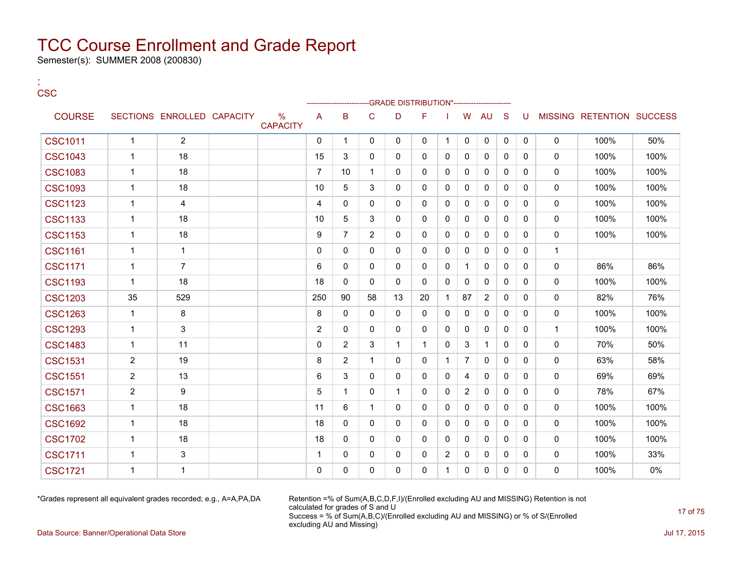Semester(s): SUMMER 2008 (200830)

:

| <b>CSC</b>     |                |                            |                                  |                |                |                | -GRADE DISTRIBUTION*---------------- |              |                |                |                |              |              |              |                           |      |
|----------------|----------------|----------------------------|----------------------------------|----------------|----------------|----------------|--------------------------------------|--------------|----------------|----------------|----------------|--------------|--------------|--------------|---------------------------|------|
| <b>COURSE</b>  |                | SECTIONS ENROLLED CAPACITY | $\frac{0}{0}$<br><b>CAPACITY</b> | A              | B              | C              | D                                    | F            |                | W              | <b>AU</b>      | <sub>S</sub> | U            |              | MISSING RETENTION SUCCESS |      |
| <b>CSC1011</b> | $\mathbf{1}$   | $\overline{2}$             |                                  | $\mathbf{0}$   | 1              | $\mathbf{0}$   | 0                                    | $\mathbf{0}$ | 1              | 0              | 0              | $\mathbf{0}$ | $\mathbf{0}$ | $\mathbf{0}$ | 100%                      | 50%  |
| <b>CSC1043</b> | $\mathbf{1}$   | 18                         |                                  | 15             | 3              | $\mathbf 0$    | 0                                    | 0            | 0              | 0              | $\mathbf 0$    | $\mathbf{0}$ | $\mathbf{0}$ | $\mathbf{0}$ | 100%                      | 100% |
| <b>CSC1083</b> | 1              | 18                         |                                  | $\overline{7}$ | 10             | 1              | 0                                    | $\mathbf{0}$ | 0              | $\mathbf{0}$   | 0              | $\Omega$     | 0            | 0            | 100%                      | 100% |
| <b>CSC1093</b> | $\mathbf{1}$   | 18                         |                                  | 10             | 5              | 3              | 0                                    | 0            | 0              | 0              | 0              | $\mathbf{0}$ | 0            | $\mathbf 0$  | 100%                      | 100% |
| <b>CSC1123</b> | $\mathbf{1}$   | 4                          |                                  | 4              | $\Omega$       | $\mathbf{0}$   | 0                                    | $\Omega$     | $\Omega$       | $\Omega$       | $\mathbf{0}$   | $\Omega$     | $\Omega$     | $\mathbf 0$  | 100%                      | 100% |
| <b>CSC1133</b> | $\mathbf{1}$   | 18                         |                                  | 10             | 5              | 3              | 0                                    | 0            | 0              | 0              | 0              | 0            | 0            | 0            | 100%                      | 100% |
| <b>CSC1153</b> | $\mathbf{1}$   | 18                         |                                  | 9              | $\overline{7}$ | $\overline{2}$ | 0                                    | $\Omega$     | 0              | $\Omega$       | $\mathbf{0}$   | $\Omega$     | 0            | $\mathbf 0$  | 100%                      | 100% |
| <b>CSC1161</b> | 1              | $\mathbf{1}$               |                                  | $\mathbf{0}$   | $\Omega$       | $\mathbf{0}$   | 0                                    | $\mathbf{0}$ | 0              | $\mathbf{0}$   | $\mathbf{0}$   | $\mathbf{0}$ | 0            | $\mathbf{1}$ |                           |      |
| <b>CSC1171</b> | $\mathbf{1}$   | $\overline{7}$             |                                  | 6              | $\Omega$       | $\Omega$       | 0                                    | $\Omega$     | $\Omega$       | $\mathbf{1}$   | $\Omega$       | $\Omega$     | 0            | $\mathbf 0$  | 86%                       | 86%  |
| <b>CSC1193</b> | $\mathbf{1}$   | 18                         |                                  | 18             | 0              | $\mathbf{0}$   | 0                                    | $\Omega$     | 0              | $\mathbf{0}$   | $\mathbf{0}$   | $\Omega$     | 0            | $\mathbf{0}$ | 100%                      | 100% |
| <b>CSC1203</b> | 35             | 529                        |                                  | 250            | 90             | 58             | 13                                   | 20           | $\mathbf 1$    | 87             | $\overline{2}$ | $\mathbf{0}$ | 0            | $\mathbf 0$  | 82%                       | 76%  |
| <b>CSC1263</b> | $\mathbf{1}$   | 8                          |                                  | 8              | $\Omega$       | $\mathbf{0}$   | $\mathbf{0}$                         | $\mathbf{0}$ | 0              | $\mathbf{0}$   | $\mathbf{0}$   | $\Omega$     | 0            | $\mathbf 0$  | 100%                      | 100% |
| <b>CSC1293</b> | $\mathbf{1}$   | 3                          |                                  | $\overline{2}$ | $\Omega$       | $\mathbf{0}$   | 0                                    | $\Omega$     | 0              | $\mathbf{0}$   | $\Omega$       | $\Omega$     | 0            | $\mathbf{1}$ | 100%                      | 100% |
| <b>CSC1483</b> | $\mathbf{1}$   | 11                         |                                  | $\mathbf{0}$   | $\overline{2}$ | 3              | $\mathbf 1$                          | $\mathbf 1$  | 0              | 3              | $\mathbf{1}$   | $\Omega$     | $\mathbf{0}$ | $\mathbf{0}$ | 70%                       | 50%  |
| <b>CSC1531</b> | $\overline{2}$ | 19                         |                                  | 8              | $\overline{2}$ | $\mathbf{1}$   | 0                                    | $\Omega$     | 1              | $\overline{7}$ | $\mathbf{0}$   | $\Omega$     | 0            | $\mathbf 0$  | 63%                       | 58%  |
| <b>CSC1551</b> | $\overline{2}$ | 13                         |                                  | 6              | 3              | $\mathbf{0}$   | 0                                    | $\mathbf{0}$ | 0              | 4              | $\mathbf{0}$   | $\Omega$     | $\Omega$     | 0            | 69%                       | 69%  |
| <b>CSC1571</b> | $\overline{2}$ | 9                          |                                  | 5              | $\mathbf{1}$   | $\mathbf{0}$   | $\mathbf{1}$                         | $\Omega$     | $\Omega$       | $\overline{2}$ | $\mathbf{0}$   | $\Omega$     | 0            | $\mathbf 0$  | 78%                       | 67%  |
| <b>CSC1663</b> | $\mathbf{1}$   | 18                         |                                  | 11             | 6              | $\mathbf 1$    | 0                                    | $\mathbf{0}$ | $\mathbf{0}$   | $\mathbf{0}$   | $\mathbf{0}$   | $\Omega$     | $\mathbf{0}$ | 0            | 100%                      | 100% |
| <b>CSC1692</b> | $\mathbf{1}$   | 18                         |                                  | 18             | $\Omega$       | $\mathbf{0}$   | 0                                    | $\Omega$     | $\Omega$       | $\mathbf{0}$   | $\mathbf 0$    | $\Omega$     | $\Omega$     | $\mathbf 0$  | 100%                      | 100% |
| <b>CSC1702</b> | $\mathbf{1}$   | 18                         |                                  | 18             | $\Omega$       | $\mathbf{0}$   | 0                                    | $\mathbf{0}$ | $\Omega$       | $\mathbf{0}$   | $\Omega$       | $\Omega$     | $\mathbf{0}$ | $\mathbf 0$  | 100%                      | 100% |
| <b>CSC1711</b> | $\mathbf{1}$   | 3                          |                                  | $\mathbf{1}$   | $\Omega$       | $\mathbf{0}$   | 0                                    | $\mathbf{0}$ | $\overline{2}$ | 0              | $\mathbf{0}$   | $\mathbf{0}$ | $\mathbf{0}$ | 0            | 100%                      | 33%  |
| <b>CSC1721</b> | 1              | $\mathbf 1$                |                                  | $\mathbf{0}$   | $\Omega$       | $\Omega$       | 0                                    | $\Omega$     | 1              | 0              | 0              | $\mathbf{0}$ | $\Omega$     | $\mathbf 0$  | 100%                      | 0%   |

\*Grades represent all equivalent grades recorded; e.g., A=A,PA,DA Retention =% of Sum(A,B,C,D,F,I)/(Enrolled excluding AU and MISSING) Retention is not calculated for grades of S and U Success = % of Sum(A,B,C)/(Enrolled excluding AU and MISSING) or % of S/(Enrolled excluding AU and Missing)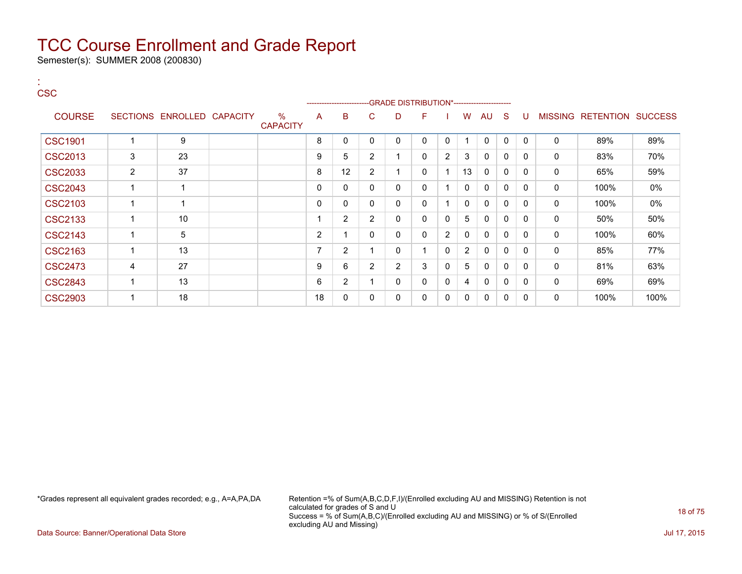Semester(s): SUMMER 2008 (200830)

:

#### **CSC** ---GRADE DISTRIBUTION\*------------------------COURSE SECTIONS ENROLLED CAPACITY % **CAPACITY** A B C D F I W AU S U MISSING RETENTION SUCCESS CSC1901 1 9 8 0 0 0 0 0 1 0 0 0 0 89% 89% CSC2013 | 3 | 23 | | 9 | 5 | 2 | 1 | 0 | 2 | 3 | 0 | 0 | 0 | 0 | 83% | 70% CSC2033 2 37 37 8 12 2 1 0 1 13 0 0 0 0 65% 59%  $\text{CSC2043} \hspace{1.3cm} 1 \hspace{1.3cm} 1 \hspace{1.3cm} 1 \hspace{1.3cm} 0 \hspace{1.3cm} 0 \hspace{1.3cm} 0 \hspace{1.3cm} 0 \hspace{1.3cm} 0 \hspace{1.3cm} 0 \hspace{1.3cm} 1 \hspace{1.3cm} 0 \hspace{1.3cm} 0 \hspace{1.3cm} 0 \hspace{1.3cm} 0 \hspace{1.3cm} 0 \hspace{1.3cm} 0 \hspace{1.3cm} 0 \hspace{1.3cm} 0 \hspace{1.3cm} 0 \hs$ CSC2103 1 1 0 0 0 0 0 1 0 0 0 0 0 100% 0% CSC2133 | 1 | 10 | | 1 | 2 | 2 | 0 | 0 | 5 | 0 | 0 | 0 | 0 | 50% | 50% 50%  $\text{CSC2143} \hspace{1.3cm} 1 \hspace{1.3cm} 5 \hspace{1.3cm} 1 \hspace{1.3cm} 2 \hspace{1.3cm} 1 \hspace{1.3cm} 0 \hspace{1.3cm} 0 \hspace{1.3cm} 2 \hspace{1.3cm} 0 \hspace{1.3cm} 0 \hspace{1.3cm} 0 \hspace{1.3cm} 0 \hspace{1.3cm} 0 \hspace{1.3cm} 0 \hspace{1.3cm} 0 \hspace{1.3cm} 0 \hspace{1.3cm} 0 \hspace{1.3cm} 0 \hspace{1.3cm} 0 \$ CSC2163 | 1 | 13 | | 7 | 2 | 1 | 0 | 1 | 0 | 2 | 0 | 0 | 0 | 85% | 77% CSC2473 | 4 | 27 | | 9 | 6 | 2 | 2 | 3 | 0 | 5 | 0 | 0 | 0 | 0 | 81% | 63% CSC2843 | 1 13 | 6 2 1 0 0 0 4 | 0 | 0 | 0 | 0 69% 69% CSC2903 1 18 18 0 0 0 0 0 0 0 0 0 0 100% 100%

\*Grades represent all equivalent grades recorded; e.g., A=A,PA,DA Retention =% of Sum(A,B,C,D,F,I)/(Enrolled excluding AU and MISSING) Retention is not calculated for grades of S and U Success = % of Sum(A,B,C)/(Enrolled excluding AU and MISSING) or % of S/(Enrolled excluding AU and Missing)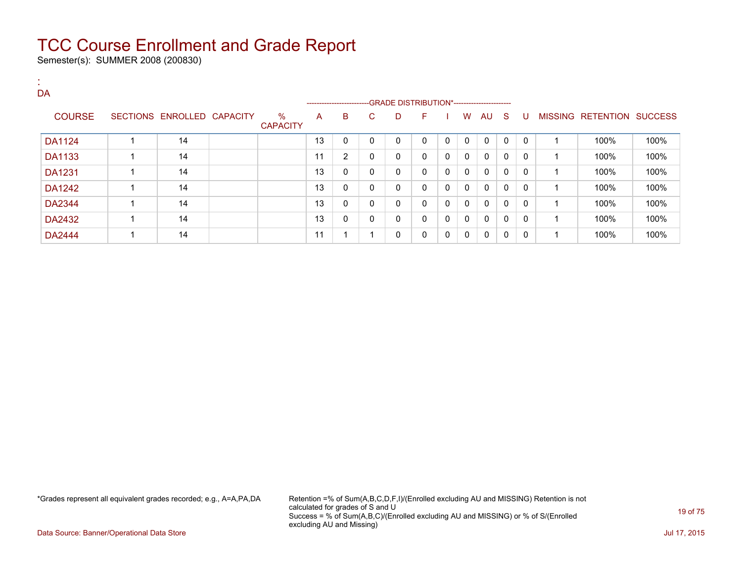Semester(s): SUMMER 2008 (200830)

| . .<br>DA     |                            |                         |    |                        |              |                                              |              |              |              |              |              |              |    |                           |      |
|---------------|----------------------------|-------------------------|----|------------------------|--------------|----------------------------------------------|--------------|--------------|--------------|--------------|--------------|--------------|----|---------------------------|------|
|               |                            |                         |    | ---------------------- |              | --GRADE DISTRIBUTION*----------------------- |              |              |              |              |              |              |    |                           |      |
| <b>COURSE</b> | SECTIONS ENROLLED CAPACITY | $\%$<br><b>CAPACITY</b> | A  | B                      | C.           | D                                            | F.           |              | W            | AU S         |              | U            |    | MISSING RETENTION SUCCESS |      |
| DA1124        | 14                         |                         | 13 | 0                      | $\mathbf{0}$ | $\mathbf{0}$                                 | $\mathbf{0}$ | $\mathbf{0}$ | $\mathbf{0}$ | $\mathbf{0}$ | $\mathbf{0}$ | $\mathbf{0}$ |    | 100%                      | 100% |
| DA1133        | 14                         |                         | 11 | 2                      | 0            | 0                                            | $\Omega$     | 0            | $\mathbf{0}$ | $\mathbf{0}$ | $\mathbf{0}$ | $\mathbf{0}$ | -4 | 100%                      | 100% |
| DA1231        | 14                         |                         | 13 | 0                      | $\mathbf{0}$ | 0                                            | $\Omega$     | 0            | $\mathbf{0}$ | $\mathbf{0}$ | $\mathbf{0}$ | $\mathbf{0}$ | -4 | 100%                      | 100% |
| DA1242        | 14                         |                         | 13 | 0                      | $\mathbf{0}$ | 0                                            | $\Omega$     | $\Omega$     | $\mathbf{0}$ | $\mathbf{0}$ | $\mathbf{0}$ | $\mathbf{0}$ | -4 | 100%                      | 100% |
| <b>DA2344</b> | 14                         |                         | 13 | 0                      | $\mathbf{0}$ | 0                                            | $\Omega$     | $\Omega$     | $\mathbf{0}$ | $\mathbf{0}$ | $\mathbf{0}$ | $\mathbf{0}$ | -4 | 100%                      | 100% |
| DA2432        | 14                         |                         | 13 | 0                      | $\mathbf{0}$ | 0                                            | $\Omega$     | $\Omega$     | $\mathbf{0}$ | $\mathbf{0}$ | $\mathbf{0}$ | $\mathbf{0}$ | -1 | 100%                      | 100% |
| DA2444        | 14                         |                         | 11 |                        | -4           | 0                                            | $\Omega$     | $\mathbf{0}$ | $\mathbf{0}$ | $\mathbf{0}$ | $\mathbf{0}$ | $\mathbf{0}$ | -4 | 100%                      | 100% |

\*Grades represent all equivalent grades recorded; e.g., A=A,PA,DA Retention =% of Sum(A,B,C,D,F,I)/(Enrolled excluding AU and MISSING) Retention is not calculated for grades of S and U Success = % of Sum(A,B,C)/(Enrolled excluding AU and MISSING) or % of S/(Enrolled excluding AU and Missing)

Data Source: Banner/Operational Data Store Jul 17, 2015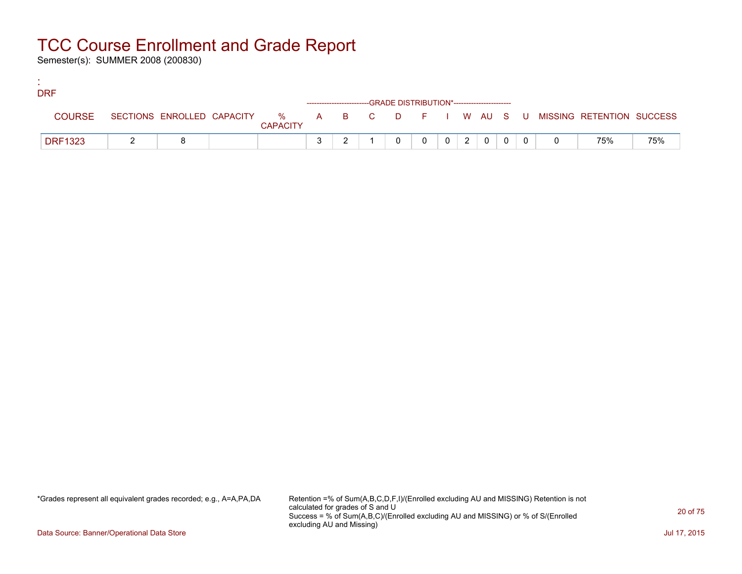Semester(s): SUMMER 2008 (200830)

:

| <b>DRF</b>     |  |                 |  |                                              |                |                |                |  |                                                                             |     |
|----------------|--|-----------------|--|----------------------------------------------|----------------|----------------|----------------|--|-----------------------------------------------------------------------------|-----|
|                |  |                 |  | --GRADE DISTRIBUTION*----------------------- |                |                |                |  |                                                                             |     |
| <b>COURSE</b>  |  | <b>CAPACITY</b> |  |                                              |                |                |                |  | SECTIONS ENROLLED CAPACITY % A B C D F I W AU S U MISSING RETENTION SUCCESS |     |
| <b>DRF1323</b> |  |                 |  |                                              | 0 <sup>1</sup> | 2 <sup>1</sup> | 0 <sup>1</sup> |  | 75%                                                                         | 75% |

\*Grades represent all equivalent grades recorded; e.g., A=A,PA,DA Retention =% of Sum(A,B,C,D,F,I)/(Enrolled excluding AU and MISSING) Retention is not calculated for grades of S and U Success = % of Sum(A,B,C)/(Enrolled excluding AU and MISSING) or % of S/(Enrolled excluding AU and Missing)

Data Source: Banner/Operational Data Store Jul 17, 2015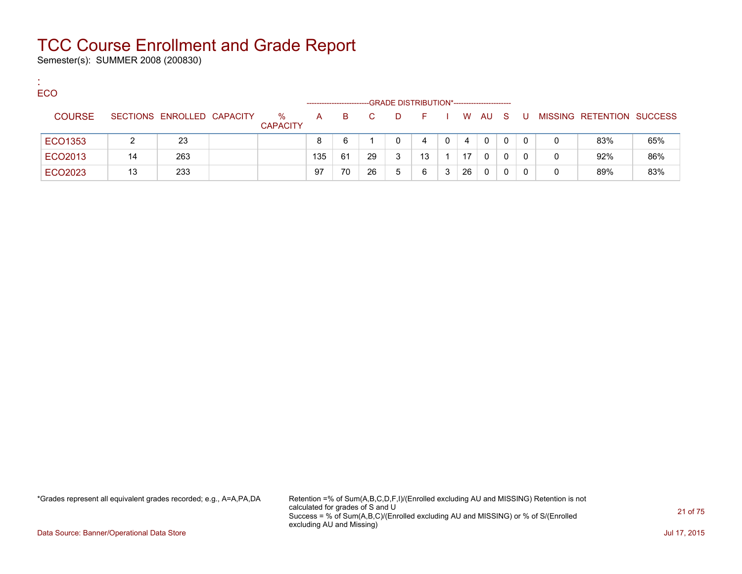Semester(s): SUMMER 2008 (200830)

:

| <b>ECO</b>    |    |                            |                         |     | ---------------------- |    |    | -GRADE DISTRIBUTION*---------------------- |   |    |          |   |     |   |                           |     |
|---------------|----|----------------------------|-------------------------|-----|------------------------|----|----|--------------------------------------------|---|----|----------|---|-----|---|---------------------------|-----|
| <b>COURSE</b> |    | SECTIONS ENROLLED CAPACITY | $\%$<br><b>CAPACITY</b> | A   | B.                     | C. | D. | - F -                                      |   |    | W AU S   |   | . U |   | MISSING RETENTION SUCCESS |     |
| ECO1353       |    | 23                         |                         |     | 6                      |    | 0  | 4                                          | 0 | 4  | $\Omega$ | 0 |     | 0 | 83%                       | 65% |
| ECO2013       | 14 | 263                        |                         | 135 | -61                    | 29 | 3  | 13                                         |   | 17 | 0        | 0 |     | 0 | 92%                       | 86% |
| ECO2023       | 13 | 233                        |                         | 97  | 70                     | 26 | 5  | 6                                          | 3 | 26 | 0        | 0 |     |   | 89%                       | 83% |

\*Grades represent all equivalent grades recorded; e.g., A=A,PA,DA Retention =% of Sum(A,B,C,D,F,I)/(Enrolled excluding AU and MISSING) Retention is not calculated for grades of S and U Success = % of Sum(A,B,C)/(Enrolled excluding AU and MISSING) or % of S/(Enrolled excluding AU and Missing)

Data Source: Banner/Operational Data Store Jul 17, 2015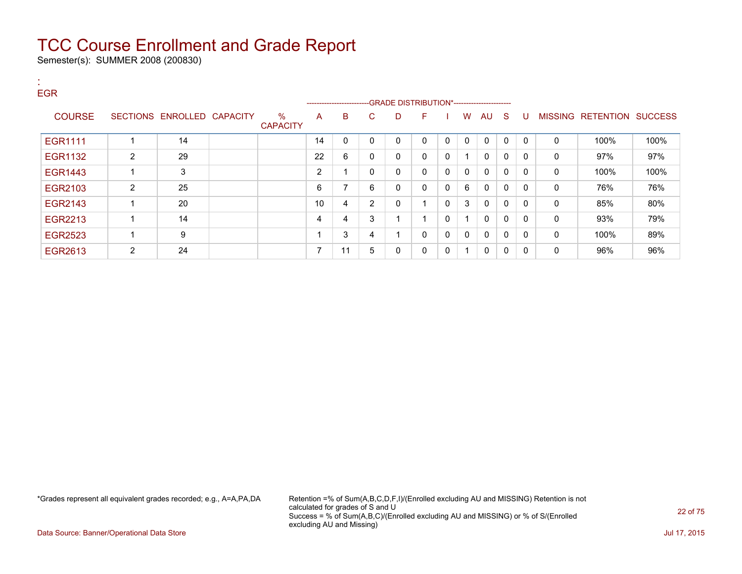Semester(s): SUMMER 2008 (200830)

:

| <b>EGR</b>     |                |                            |                         |                | ---------------------- |                       | -- GRADE DISTRIBUTION*------------------------ |              |              |                          |              |             |          |          |                           |      |
|----------------|----------------|----------------------------|-------------------------|----------------|------------------------|-----------------------|------------------------------------------------|--------------|--------------|--------------------------|--------------|-------------|----------|----------|---------------------------|------|
| <b>COURSE</b>  |                | SECTIONS ENROLLED CAPACITY | $\%$<br><b>CAPACITY</b> | A              | В                      | C.                    | D                                              | F            |              | W                        | AU           | -S          | U        |          | MISSING RETENTION SUCCESS |      |
| <b>EGR1111</b> |                | 14                         |                         | 14             | $\mathbf{0}$           | 0                     | $\mathbf 0$                                    | $\Omega$     | $\mathbf{0}$ | $\Omega$                 | $\mathbf 0$  | 0           | $\Omega$ | $\Omega$ | 100%                      | 100% |
| <b>EGR1132</b> | 2              | 29                         |                         | 22             | 6                      | 0                     | 0                                              | $\mathbf{0}$ | 0            | $\overline{\phantom{a}}$ | $\mathbf{0}$ | 0           | 0        | 0        | 97%                       | 97%  |
| <b>EGR1443</b> |                | 3                          |                         | $\overline{2}$ |                        | 0                     | 0                                              | $\mathbf{0}$ | $\mathbf{0}$ | $\Omega$                 | $\mathbf{0}$ | $\mathbf 0$ | 0        | 0        | 100%                      | 100% |
| EGR2103        | $\overline{2}$ | 25                         |                         | 6              | $\overline{ }$         | 6                     | 0                                              | 0            | $\mathbf{0}$ | 6                        | $\mathbf 0$  | $\mathbf 0$ | 0        | 0        | 76%                       | 76%  |
| EGR2143        |                | 20                         |                         | 10             | 4                      | $\mathbf{2}^{\prime}$ | 0                                              |              | 0            | 3                        | $\Omega$     | $\mathbf 0$ | 0        | 0        | 85%                       | 80%  |
| EGR2213        |                | 14                         |                         | 4              | 4                      | 3                     |                                                |              | $\Omega$     | $\overline{\mathbf{A}}$  | $\mathbf 0$  | 0           | 0        | 0        | 93%                       | 79%  |
| <b>EGR2523</b> |                | 9                          |                         |                | 3                      | 4                     |                                                | $\mathbf{0}$ | $\mathbf{0}$ | $\mathbf{0}$             | $\mathbf{0}$ | $\Omega$    | $\Omega$ | 0        | 100%                      | 89%  |
| EGR2613        | $\overline{2}$ | 24                         |                         | 7              | 11                     | 5                     | 0                                              | 0            | $\mathbf{0}$ | -1                       | 0            | 0           | 0        | 0        | 96%                       | 96%  |

\*Grades represent all equivalent grades recorded; e.g., A=A,PA,DA Retention =% of Sum(A,B,C,D,F,I)/(Enrolled excluding AU and MISSING) Retention is not calculated for grades of S and U Success = % of Sum(A,B,C)/(Enrolled excluding AU and MISSING) or % of S/(Enrolled excluding AU and Missing)

Data Source: Banner/Operational Data Store Jul 17, 2015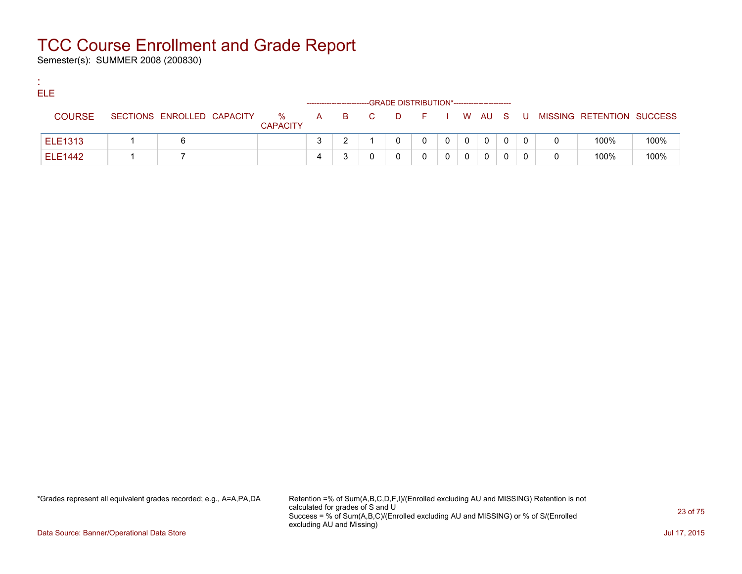Semester(s): SUMMER 2008 (200830)

:

| ELE            |                            |                      |       |  | -GRADE DISTRIBUTION*----------------------- |              |          |  |                             |      |
|----------------|----------------------------|----------------------|-------|--|---------------------------------------------|--------------|----------|--|-----------------------------|------|
| <b>COURSE</b>  | SECTIONS ENROLLED CAPACITY | %<br><b>CAPACITY</b> | A B C |  | DFIWAUS                                     |              |          |  | U MISSING RETENTION SUCCESS |      |
| <b>ELE1313</b> | 6                          |                      |       |  | 0                                           | $\mathbf{0}$ | $\Omega$ |  | 100%                        | 100% |
| <b>ELE1442</b> |                            |                      |       |  |                                             |              | 0        |  | 100%                        | 100% |

\*Grades represent all equivalent grades recorded; e.g., A=A,PA,DA Retention =% of Sum(A,B,C,D,F,I)/(Enrolled excluding AU and MISSING) Retention is not calculated for grades of S and U Success = % of Sum(A,B,C)/(Enrolled excluding AU and MISSING) or % of S/(Enrolled excluding AU and Missing)

Data Source: Banner/Operational Data Store Jul 17, 2015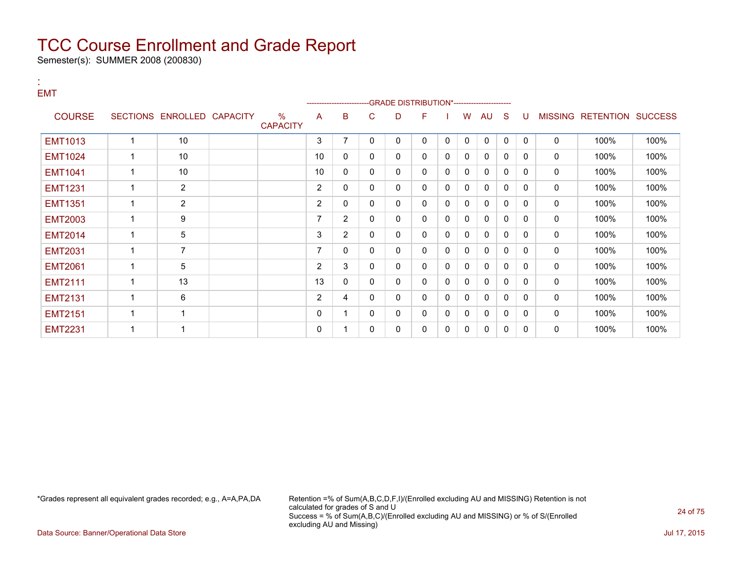Semester(s): SUMMER 2008 (200830)

#### : EMT

|                |                            |                         | -------------------- |                |              | -GRADE DISTRIBUTION*---------------------- |   |              |              |              |              |              |                |                          |      |
|----------------|----------------------------|-------------------------|----------------------|----------------|--------------|--------------------------------------------|---|--------------|--------------|--------------|--------------|--------------|----------------|--------------------------|------|
| <b>COURSE</b>  | SECTIONS ENROLLED CAPACITY | $\%$<br><b>CAPACITY</b> | A                    | B              | C            | D                                          | F |              | W            | AU           | S            | U            | <b>MISSING</b> | <b>RETENTION SUCCESS</b> |      |
| <b>EMT1013</b> | 10                         |                         | 3                    | 7              | $\Omega$     | 0                                          | 0 | $\mathbf{0}$ | $\mathbf{0}$ | $\mathbf{0}$ | $\mathbf{0}$ | $\Omega$     | 0              | 100%                     | 100% |
| <b>EMT1024</b> | 10                         |                         | 10                   | $\mathbf{0}$   | $\Omega$     | 0                                          | 0 | 0            | 0            | $\mathbf{0}$ | 0            | $\Omega$     | 0              | 100%                     | 100% |
| <b>EMT1041</b> | 10                         |                         | 10                   | $\mathbf{0}$   | $\Omega$     | 0                                          | 0 | $\mathbf{0}$ | 0            | $\mathbf{0}$ | 0            | $\Omega$     | 0              | 100%                     | 100% |
| <b>EMT1231</b> | $\overline{2}$             |                         | 2                    | 0              | 0            | 0                                          | 0 | 0            | 0            | $\mathbf{0}$ | $\Omega$     | 0            | 0              | 100%                     | 100% |
| <b>EMT1351</b> | $\overline{2}$             |                         | $\overline{2}$       | $\mathbf{0}$   | 0            | 0                                          | 0 | 0            | 0            | 0            | 0            | $\Omega$     | 0              | 100%                     | 100% |
| <b>EMT2003</b> | 9                          |                         | $\overline{7}$       | $\overline{2}$ | $\mathbf{0}$ | 0                                          | 0 | $\mathbf 0$  | 0            | $\mathbf{0}$ | $\Omega$     | $\mathbf{0}$ | 0              | 100%                     | 100% |
| <b>EMT2014</b> | 5                          |                         | 3                    | $\overline{2}$ | $\mathbf{0}$ | 0                                          | 0 | 0            | 0            | $\mathbf{0}$ | 0            | $\Omega$     | 0              | 100%                     | 100% |
| <b>EMT2031</b> | $\overline{7}$             |                         | $\overline{7}$       | $\mathbf{0}$   | $\mathbf{0}$ | 0                                          | 0 | 0            | 0            | $\mathbf{0}$ | 0            | 0            | 0              | 100%                     | 100% |
| <b>EMT2061</b> | 5                          |                         | 2                    | 3              | 0            | 0                                          | 0 | 0            | 0            | $\mathbf{0}$ | 0            | $\Omega$     | 0              | 100%                     | 100% |
| <b>EMT2111</b> | 13                         |                         | 13                   | 0              | $\mathbf{0}$ | 0                                          | 0 | 0            | 0            | 0            | 0            | 0            | 0              | 100%                     | 100% |
| <b>EMT2131</b> | 6                          |                         | 2                    | 4              | 0            | 0                                          | 0 | 0            | 0            | $\mathbf{0}$ | 0            | $\Omega$     | 0              | 100%                     | 100% |
| <b>EMT2151</b> | 1                          |                         | 0                    | 1              | 0            | 0                                          | 0 | 0            | $\mathbf 0$  | 0            | 0            | $\Omega$     | 0              | 100%                     | 100% |
| <b>EMT2231</b> | 1                          |                         | 0                    |                | $\Omega$     | 0                                          | 0 | 0            | 0            | $\mathbf{0}$ | 0            | 0            | 0              | 100%                     | 100% |

\*Grades represent all equivalent grades recorded; e.g., A=A,PA,DA Retention =% of Sum(A,B,C,D,F,I)/(Enrolled excluding AU and MISSING) Retention is not calculated for grades of S and U Success = % of Sum(A,B,C)/(Enrolled excluding AU and MISSING) or % of S/(Enrolled excluding AU and Missing)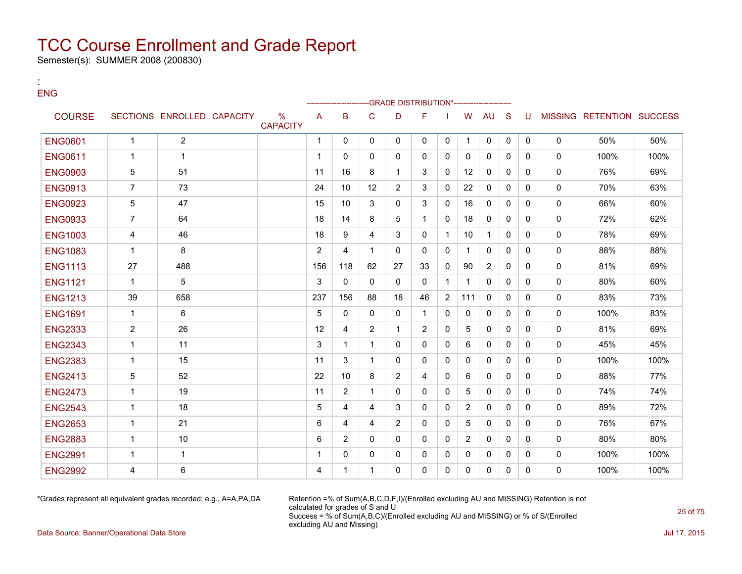Semester(s): SUMMER 2008 (200830)

:

| <b>ENG</b>     |                |                            |                      |                |                |                |                | -GRADE DISTRIBUTION*-------------------- |              |                |              |              |              |              |                           |      |
|----------------|----------------|----------------------------|----------------------|----------------|----------------|----------------|----------------|------------------------------------------|--------------|----------------|--------------|--------------|--------------|--------------|---------------------------|------|
| <b>COURSE</b>  |                | SECTIONS ENROLLED CAPACITY | %<br><b>CAPACITY</b> | $\overline{A}$ | B              | C              | D              | F                                        |              | W              | <b>AU</b>    | <sub>S</sub> | U            |              | MISSING RETENTION SUCCESS |      |
| <b>ENG0601</b> | $\mathbf{1}$   | $\overline{2}$             |                      | 1              | $\mathbf{0}$   | $\mathbf{0}$   | $\mathbf{0}$   | $\mathbf{0}$                             | $\mathbf{0}$ | $\mathbf 1$    | $\mathbf 0$  | $\mathbf{0}$ | $\mathbf{0}$ | $\mathbf{0}$ | 50%                       | 50%  |
| <b>ENG0611</b> | $\mathbf{1}$   | $\mathbf{1}$               |                      | $\mathbf{1}$   | $\mathbf{0}$   | 0              | $\Omega$       | $\mathbf{0}$                             | $\mathbf{0}$ | $\mathbf{0}$   | $\mathbf{0}$ | 0            | $\mathbf{0}$ | $\mathbf{0}$ | 100%                      | 100% |
| <b>ENG0903</b> | 5              | 51                         |                      | 11             | 16             | 8              | 1              | 3                                        | $\Omega$     | 12             | $\mathbf{0}$ | $\Omega$     | $\Omega$     | $\mathbf{0}$ | 76%                       | 69%  |
| <b>ENG0913</b> | $\overline{7}$ | 73                         |                      | 24             | 10             | 12             | $\overline{2}$ | 3                                        | $\mathbf{0}$ | 22             | $\mathbf 0$  | $\mathbf 0$  | $\mathbf{0}$ | $\mathbf{0}$ | 70%                       | 63%  |
| <b>ENG0923</b> | 5              | 47                         |                      | 15             | 10             | 3              | $\Omega$       | 3                                        | $\Omega$     | 16             | $\mathbf{0}$ | $\Omega$     | $\Omega$     | $\mathbf{0}$ | 66%                       | 60%  |
| <b>ENG0933</b> | $\overline{7}$ | 64                         |                      | 18             | 14             | 8              | 5              | $\mathbf 1$                              | $\mathbf{0}$ | 18             | $\mathbf 0$  | $\mathbf 0$  | $\mathbf{0}$ | $\mathbf 0$  | 72%                       | 62%  |
| <b>ENG1003</b> | 4              | 46                         |                      | 18             | 9              | 4              | 3              | $\Omega$                                 | $\mathbf 1$  | 10             | $\mathbf{1}$ | $\Omega$     | $\Omega$     | $\mathbf{0}$ | 78%                       | 69%  |
| <b>ENG1083</b> | $\mathbf{1}$   | 8                          |                      | $\overline{2}$ | 4              | $\mathbf 1$    | $\Omega$       | $\mathbf{0}$                             | $\mathbf{0}$ | $\mathbf{1}$   | $\mathbf 0$  | $\mathbf 0$  | $\mathbf{0}$ | $\mathbf 0$  | 88%                       | 88%  |
| <b>ENG1113</b> | 27             | 488                        |                      | 156            | 118            | 62             | 27             | 33                                       | $\Omega$     | 90             | 2            | $\Omega$     | $\Omega$     | $\mathbf{0}$ | 81%                       | 69%  |
| <b>ENG1121</b> | $\mathbf{1}$   | 5                          |                      | 3              | $\mathbf{0}$   | 0              | $\Omega$       | $\mathbf{0}$                             | $\mathbf 1$  | $\mathbf{1}$   | 0            | $\mathbf 0$  | $\mathbf{0}$ | $\mathbf{0}$ | 80%                       | 60%  |
| <b>ENG1213</b> | 39             | 658                        |                      | 237            | 156            | 88             | 18             | 46                                       | 2            | 111            | $\mathbf{0}$ | $\mathbf 0$  | $\mathbf{0}$ | $\mathbf{0}$ | 83%                       | 73%  |
| <b>ENG1691</b> | $\mathbf{1}$   | 6                          |                      | 5              | $\mathbf{0}$   | 0              | 0              | $\mathbf{1}$                             | $\mathbf{0}$ | $\mathbf{0}$   | $\mathbf 0$  | $\mathbf 0$  | $\mathbf{0}$ | $\mathbf{0}$ | 100%                      | 83%  |
| <b>ENG2333</b> | $\overline{2}$ | 26                         |                      | 12             | 4              | $\overline{2}$ | $\mathbf 1$    | 2                                        | $\Omega$     | 5              | $\mathbf{0}$ | $\Omega$     | $\Omega$     | $\mathbf{0}$ | 81%                       | 69%  |
| <b>ENG2343</b> | $\mathbf{1}$   | 11                         |                      | 3              | 1              | $\mathbf 1$    | $\Omega$       | $\mathbf{0}$                             | $\mathbf{0}$ | 6              | $\mathbf 0$  | $\mathbf 0$  | $\mathbf{0}$ | $\mathbf{0}$ | 45%                       | 45%  |
| <b>ENG2383</b> | $\mathbf{1}$   | 15                         |                      | 11             | 3              | $\mathbf 1$    | $\Omega$       | $\mathbf{0}$                             | $\mathbf{0}$ | $\mathbf{0}$   | $\mathbf{0}$ | $\mathbf 0$  | $\mathbf{0}$ | $\mathbf{0}$ | 100%                      | 100% |
| <b>ENG2413</b> | 5              | 52                         |                      | 22             | 10             | 8              | $\overline{2}$ | 4                                        | $\mathbf{0}$ | 6              | $\mathbf 0$  | $\mathbf 0$  | $\Omega$     | $\mathbf{0}$ | 88%                       | 77%  |
| <b>ENG2473</b> | $\mathbf{1}$   | 19                         |                      | 11             | $\overline{2}$ | $\mathbf 1$    | $\Omega$       | $\mathbf{0}$                             | $\mathbf{0}$ | 5              | $\mathbf{0}$ | $\mathbf 0$  | $\mathbf{0}$ | $\mathbf{0}$ | 74%                       | 74%  |
| <b>ENG2543</b> | $\mathbf{1}$   | 18                         |                      | 5              | 4              | 4              | 3              | $\mathbf{0}$                             | $\mathbf{0}$ | 2              | $\mathbf{0}$ | $\mathbf 0$  | $\Omega$     | $\mathbf{0}$ | 89%                       | 72%  |
| <b>ENG2653</b> | $\mathbf{1}$   | 21                         |                      | 6              | 4              | 4              | 2              | $\Omega$                                 | $\mathbf{0}$ | 5              | $\mathbf{0}$ | 0            | $\Omega$     | $\mathbf{0}$ | 76%                       | 67%  |
| <b>ENG2883</b> | $\mathbf{1}$   | 10                         |                      | 6              | 2              | 0              | $\Omega$       | $\mathbf{0}$                             | $\mathbf{0}$ | $\overline{2}$ | $\mathbf{0}$ | $\mathbf 0$  | $\Omega$     | $\mathbf{0}$ | 80%                       | 80%  |
| <b>ENG2991</b> | $\mathbf{1}$   | $\mathbf{1}$               |                      | 1              | $\Omega$       | 0              | 0              | $\Omega$                                 | $\mathbf{0}$ | $\mathbf{0}$   | 0            | 0            | $\Omega$     | $\mathbf 0$  | 100%                      | 100% |
| <b>ENG2992</b> | 4              | 6                          |                      | 4              | 1              |                | $\Omega$       | $\Omega$                                 | $\mathbf{0}$ | 0              | $\mathbf 0$  | $\mathbf 0$  | $\Omega$     | 0            | 100%                      | 100% |

\*Grades represent all equivalent grades recorded; e.g., A=A,PA,DA Retention =% of Sum(A,B,C,D,F,I)/(Enrolled excluding AU and MISSING) Retention is not calculated for grades of S and U Success = % of Sum(A,B,C)/(Enrolled excluding AU and MISSING) or % of S/(Enrolled excluding AU and Missing)

Data Source: Banner/Operational Data Store Jul 17, 2015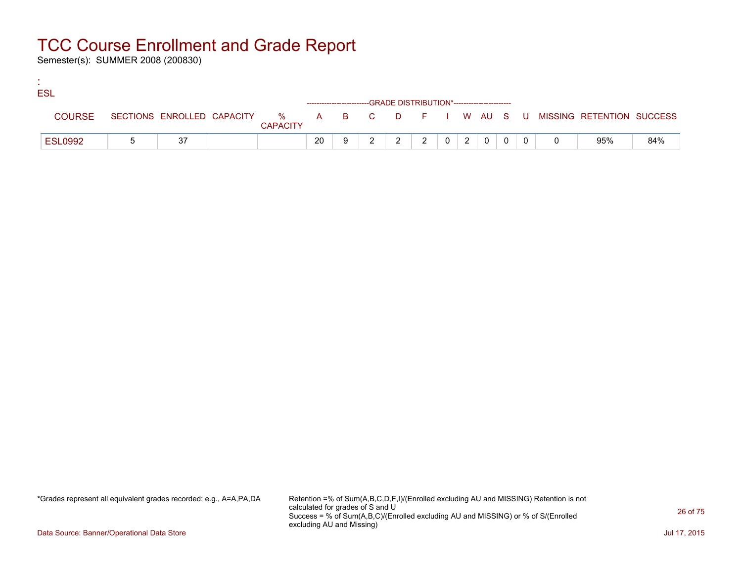Semester(s): SUMMER 2008 (200830)

:

| <b>ESL</b>     |    |                 |    |  |                                                                    |   |                |                |  |                                                                             |     |
|----------------|----|-----------------|----|--|--------------------------------------------------------------------|---|----------------|----------------|--|-----------------------------------------------------------------------------|-----|
|                |    |                 |    |  | ------------------------GRADE DISTRIBUTION*----------------------- |   |                |                |  |                                                                             |     |
| <b>COURSE</b>  |    | <b>CAPACITY</b> |    |  |                                                                    |   |                |                |  | SECTIONS ENROLLED CAPACITY % A B C D F I W AU S U MISSING RETENTION SUCCESS |     |
| <b>ESL0992</b> | 27 |                 | 20 |  |                                                                    | 2 | 0 <sup>1</sup> | $\overline{0}$ |  | 95%                                                                         | 84% |

\*Grades represent all equivalent grades recorded; e.g., A=A,PA,DA Retention =% of Sum(A,B,C,D,F,I)/(Enrolled excluding AU and MISSING) Retention is not calculated for grades of S and U Success = % of Sum(A,B,C)/(Enrolled excluding AU and MISSING) or % of S/(Enrolled excluding AU and Missing)

Data Source: Banner/Operational Data Store Jul 17, 2015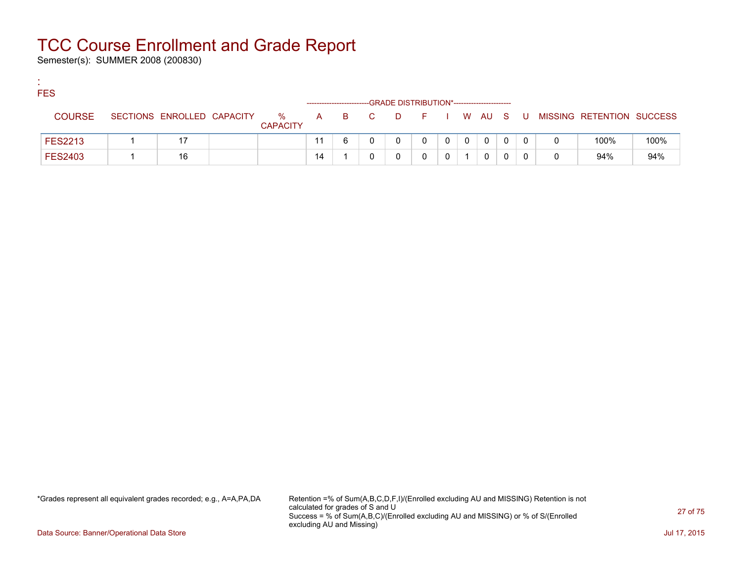Semester(s): SUMMER 2008 (200830)

:

| <b>FES</b>     |                            |                      |    |   |       | -GRADE DISTRIBUTION*----------------------- |         |   |          |     |                           |      |
|----------------|----------------------------|----------------------|----|---|-------|---------------------------------------------|---------|---|----------|-----|---------------------------|------|
| <b>COURSE</b>  | SECTIONS ENROLLED CAPACITY | %<br><b>CAPACITY</b> |    |   | A B C | D.                                          | $F = 1$ |   | I WAUS   | -U. | MISSING RETENTION SUCCESS |      |
| <b>FES2213</b> |                            |                      |    | 6 |       |                                             |         | 0 | $\Omega$ |     | 100%                      | 100% |
| <b>FES2403</b> | 16                         |                      | 14 |   |       |                                             |         |   | 0        |     | 94%                       | 94%  |

\*Grades represent all equivalent grades recorded; e.g., A=A,PA,DA Retention =% of Sum(A,B,C,D,F,I)/(Enrolled excluding AU and MISSING) Retention is not calculated for grades of S and U Success = % of Sum(A,B,C)/(Enrolled excluding AU and MISSING) or % of S/(Enrolled excluding AU and Missing)

Data Source: Banner/Operational Data Store Jul 17, 2015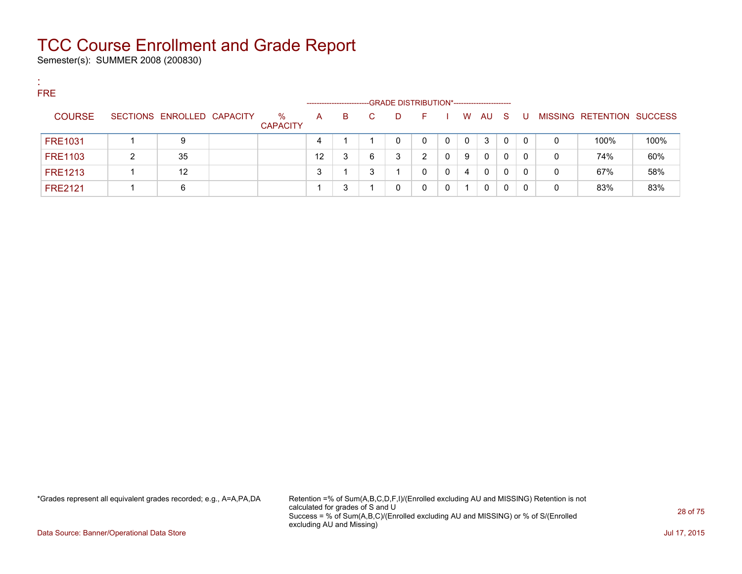Semester(s): SUMMER 2008 (200830)

:

| <b>FRE</b>     |   |                            |                         |                      |    |    |                                             |   |              |    |          |              |          |   |                           |      |
|----------------|---|----------------------------|-------------------------|----------------------|----|----|---------------------------------------------|---|--------------|----|----------|--------------|----------|---|---------------------------|------|
|                |   |                            |                         | -------------------- |    |    | -GRADE DISTRIBUTION*----------------------- |   |              |    |          |              |          |   |                           |      |
| <b>COURSE</b>  |   | SECTIONS ENROLLED CAPACITY | $\%$<br><b>CAPACITY</b> | A                    | B. | C. | D.                                          | E |              | W. | AU.      | S.           | . U      |   | MISSING RETENTION SUCCESS |      |
| <b>FRE1031</b> |   | 9                          |                         |                      |    |    | 0                                           | 0 | $\Omega$     | 0  | 3        | $\Omega$     | $\Omega$ | 0 | 100%                      | 100% |
| <b>FRE1103</b> | າ | 35                         |                         | 12                   | 3  | 6  | 3                                           | ◠ | $\mathbf{0}$ | 9  | $\Omega$ | $\Omega$     | $\Omega$ | 0 | 74%                       | 60%  |
| <b>FRE1213</b> |   | 12                         |                         |                      |    | 3  |                                             |   | 0            | 4  | $\Omega$ | $\mathbf{0}$ | $\Omega$ | 0 | 67%                       | 58%  |
| <b>FRE2121</b> |   | 6                          |                         |                      | 2  |    | 0                                           |   | 0            |    | 0        | 0            | $\Omega$ | 0 | 83%                       | 83%  |

\*Grades represent all equivalent grades recorded; e.g., A=A,PA,DA Retention =% of Sum(A,B,C,D,F,I)/(Enrolled excluding AU and MISSING) Retention is not calculated for grades of S and U Success = % of Sum(A,B,C)/(Enrolled excluding AU and MISSING) or % of S/(Enrolled excluding AU and Missing)

Data Source: Banner/Operational Data Store Jul 17, 2015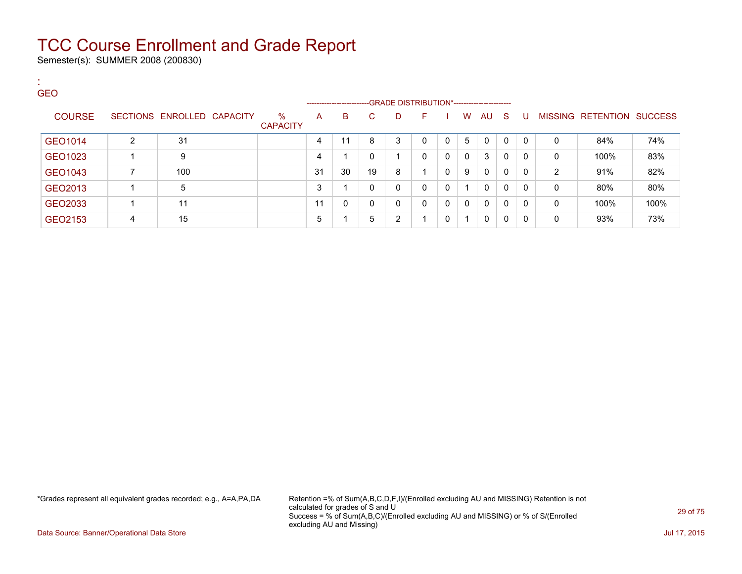Semester(s): SUMMER 2008 (200830)

:

| . .<br><b>GEO</b> |   |                            |                         |    | ------------------------ |    | --- GRADE DISTRIBUTION*------------------------ |              |   |              |              |              |          |                |                           |      |
|-------------------|---|----------------------------|-------------------------|----|--------------------------|----|-------------------------------------------------|--------------|---|--------------|--------------|--------------|----------|----------------|---------------------------|------|
| <b>COURSE</b>     |   | SECTIONS ENROLLED CAPACITY | $\%$<br><b>CAPACITY</b> | A  | B                        | C. | D                                               | F            |   | W            | AU S         |              | U        |                | MISSING RETENTION SUCCESS |      |
| GEO1014           | 2 | 31                         |                         | 4  | 11                       | 8  | 3                                               | $\Omega$     | 0 | 5            | 0            | $\mathbf{0}$ | $\Omega$ | 0              | 84%                       | 74%  |
| GEO1023           |   | 9                          |                         | 4  |                          | 0  |                                                 | $\mathbf{0}$ | 0 | $\mathbf{0}$ | 3            | $\mathbf{0}$ | $\Omega$ | 0              | 100%                      | 83%  |
| GEO1043           |   | 100                        |                         | 31 | 30                       | 19 | 8                                               |              | 0 | 9            | $\mathbf{0}$ | $\mathbf{0}$ | $\Omega$ | $\overline{2}$ | 91%                       | 82%  |
| GEO2013           |   | 5                          |                         | 3  |                          | 0  | 0                                               | 0            | 0 | -1           | $\mathbf{0}$ | $\mathbf{0}$ | 0        | 0              | 80%                       | 80%  |
| GEO2033           |   | 11                         |                         | 11 | 0                        | 0  | 0                                               | 0            | 0 | $\mathbf{0}$ | 0            | $\mathbf{0}$ | 0        | 0              | 100%                      | 100% |
| GEO2153           | 4 | 15                         |                         | 5  |                          | 5  | $\overline{2}$                                  | 1            | 0 | -1           | $\mathbf{0}$ | $\mathbf{0}$ | $\Omega$ | 0              | 93%                       | 73%  |

\*Grades represent all equivalent grades recorded; e.g., A=A,PA,DA Retention =% of Sum(A,B,C,D,F,I)/(Enrolled excluding AU and MISSING) Retention is not calculated for grades of S and U Success = % of Sum(A,B,C)/(Enrolled excluding AU and MISSING) or % of S/(Enrolled excluding AU and Missing)

Data Source: Banner/Operational Data Store Jul 17, 2015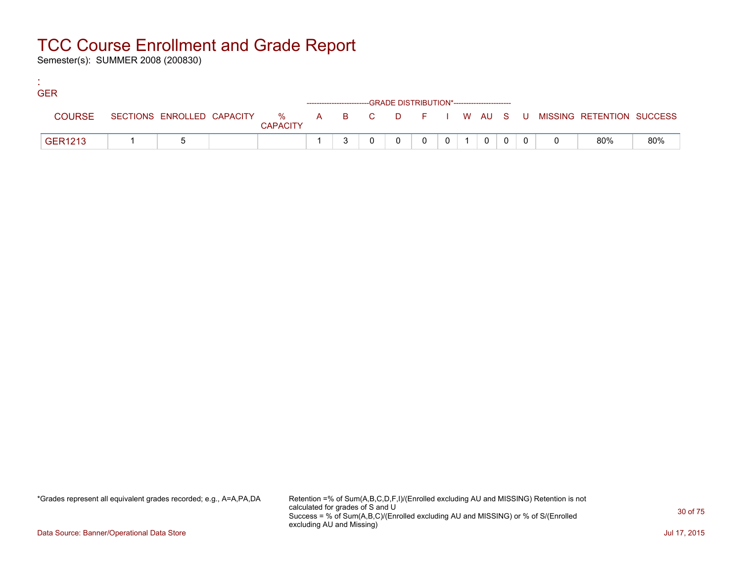Semester(s): SUMMER 2008 (200830)

:

| <b>GER</b>    |  |                 |  |                                              |                |                 |                |  |                                                                             |     |
|---------------|--|-----------------|--|----------------------------------------------|----------------|-----------------|----------------|--|-----------------------------------------------------------------------------|-----|
|               |  |                 |  | --GRADE DISTRIBUTION*----------------------- |                |                 |                |  |                                                                             |     |
| <b>COURSE</b> |  | <b>CAPACITY</b> |  |                                              |                |                 |                |  | SECTIONS ENROLLED CAPACITY % A B C D F I W AU S U MISSING RETENTION SUCCESS |     |
| GER1213       |  |                 |  |                                              | $\overline{0}$ | $0 \mid 1 \mid$ | $\overline{0}$ |  | 80%                                                                         | 80% |

\*Grades represent all equivalent grades recorded; e.g., A=A,PA,DA Retention =% of Sum(A,B,C,D,F,I)/(Enrolled excluding AU and MISSING) Retention is not calculated for grades of S and U Success = % of Sum(A,B,C)/(Enrolled excluding AU and MISSING) or % of S/(Enrolled excluding AU and Missing)

Data Source: Banner/Operational Data Store Jul 17, 2015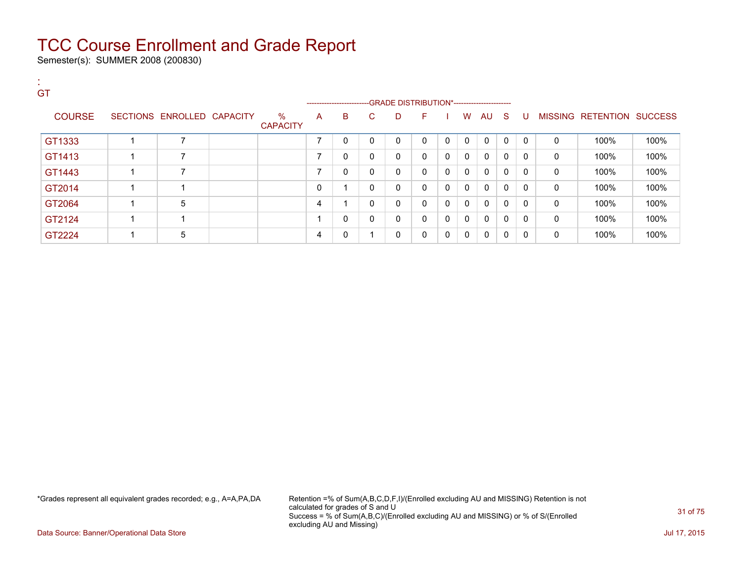Semester(s): SUMMER 2008 (200830)

| . .<br><b>GT</b> |                            |                      |                |   |              |                                                |              |              |              |              |              |              |             |                           |      |
|------------------|----------------------------|----------------------|----------------|---|--------------|------------------------------------------------|--------------|--------------|--------------|--------------|--------------|--------------|-------------|---------------------------|------|
|                  |                            |                      |                |   |              | -- GRADE DISTRIBUTION*------------------------ |              |              |              |              |              |              |             |                           |      |
| <b>COURSE</b>    | SECTIONS ENROLLED CAPACITY | %<br><b>CAPACITY</b> | A              | B | C.           | D                                              | F.           |              | W            | AU S         |              | -0           |             | MISSING RETENTION SUCCESS |      |
| GT1333           | ⇁                          |                      | $\overline{ }$ | 0 | 0            | 0                                              | $\mathbf{0}$ | $\mathbf{0}$ | $\Omega$     | $\Omega$     | $\mathbf{0}$ | $\mathbf{0}$ | $\Omega$    | 100%                      | 100% |
| GT1413           | ⇁                          |                      | ⇁              | 0 | 0            | 0                                              | $\mathbf{0}$ | 0            | $\mathbf{0}$ | 0            | $\Omega$     | 0            | 0           | 100%                      | 100% |
| GT1443           | $\overline{\phantom{a}}$   |                      | ⇁              | 0 | $\mathbf{0}$ | 0                                              | $\mathbf{0}$ | 0            | $\Omega$     | $\mathbf{0}$ | 0            | 0            | 0           | 100%                      | 100% |
| GT2014           |                            |                      | 0              |   | 0            | 0                                              | $\mathbf{0}$ | 0            | $\Omega$     | $\mathbf{0}$ | $\Omega$     | 0            | $\mathbf 0$ | 100%                      | 100% |
| GT2064           | 5                          |                      | 4              |   | $\mathbf{0}$ | 0                                              | $\mathbf{0}$ | 0            | $\Omega$     | $\mathbf{0}$ | $\mathbf{0}$ | 0            | 0           | 100%                      | 100% |
| GT2124           | $\overline{\mathbf{A}}$    |                      |                | 0 | 0            | 0                                              | $\mathbf{0}$ | 0            | $\Omega$     | 0            | $\Omega$     | 0            | 0           | 100%                      | 100% |
| GT2224           | 5                          |                      | 4              | 0 |              | 0                                              | $\Omega$     | 0            | 0            | 0            | 0            | 0            | 0           | 100%                      | 100% |

\*Grades represent all equivalent grades recorded; e.g., A=A,PA,DA Retention =% of Sum(A,B,C,D,F,I)/(Enrolled excluding AU and MISSING) Retention is not calculated for grades of S and U Success = % of Sum(A,B,C)/(Enrolled excluding AU and MISSING) or % of S/(Enrolled excluding AU and Missing)

Data Source: Banner/Operational Data Store Jul 17, 2015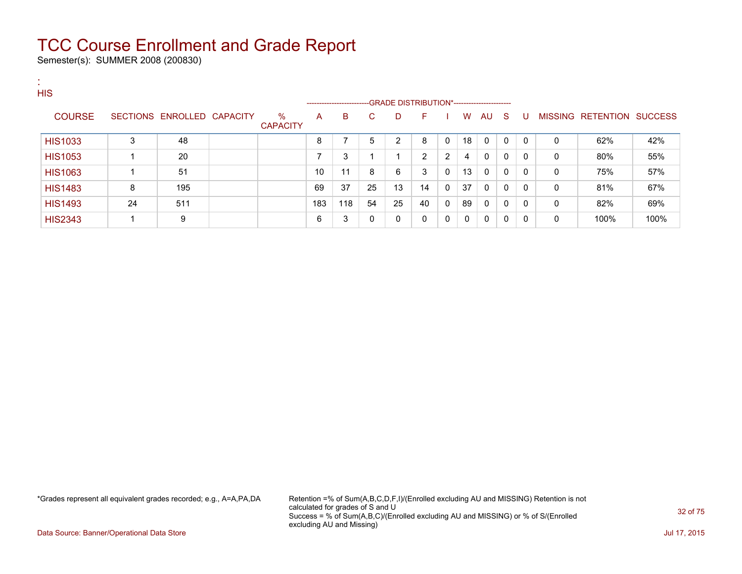Semester(s): SUMMER 2008 (200830)

| <b>COL</b> | <b>HIS</b>     |    |                            |                      |                          | --------------------------GRADE DISTRIBUTION*----------------------- |    |    |    |                |    |      |              |          |              |                                  |      |
|------------|----------------|----|----------------------------|----------------------|--------------------------|----------------------------------------------------------------------|----|----|----|----------------|----|------|--------------|----------|--------------|----------------------------------|------|
|            | <b>COURSE</b>  |    | SECTIONS ENROLLED CAPACITY | %<br><b>CAPACITY</b> | A                        | B                                                                    | C  | D  | F  |                | W  | AU S |              | -U       |              | <b>MISSING RETENTION SUCCESS</b> |      |
|            | <b>HIS1033</b> | 3  | 48                         |                      | 8                        | ⇁                                                                    | 5  | 2  | 8  | $\mathbf 0$    | 18 | 0    | $\Omega$     | $\Omega$ | $\mathbf{0}$ | 62%                              | 42%  |
|            | <b>HIS1053</b> |    | 20                         |                      | $\overline{\phantom{a}}$ | 3                                                                    |    |    | 2  | $\overline{2}$ | 4  | 0    | 0            | $\Omega$ | 0            | 80%                              | 55%  |
|            | <b>HIS1063</b> |    | 51                         |                      | 10                       | 11                                                                   | 8  | 6  | 3  | 0              | 13 | 0    | $\Omega$     | $\Omega$ | 0            | 75%                              | 57%  |
|            | <b>HIS1483</b> | 8  | 195                        |                      | 69                       | 37                                                                   | 25 | 13 | 14 | $\mathbf{0}$   | 37 | 0    | $\mathbf{0}$ | $\Omega$ | 0            | 81%                              | 67%  |
|            | <b>HIS1493</b> | 24 | 511                        |                      | 183                      | 118                                                                  | 54 | 25 | 40 | $\mathbf{0}$   | 89 | 0    | $\Omega$     | $\Omega$ | 0            | 82%                              | 69%  |
|            | <b>HIS2343</b> |    | 9                          |                      | 6                        | 3                                                                    | 0  | 0  | 0  | $\mathbf{0}$   | 0  | 0    | $\Omega$     | $\Omega$ | 0            | 100%                             | 100% |

\*Grades represent all equivalent grades recorded; e.g., A=A,PA,DA Retention =% of Sum(A,B,C,D,F,I)/(Enrolled excluding AU and MISSING) Retention is not calculated for grades of S and U Success = % of Sum(A,B,C)/(Enrolled excluding AU and MISSING) or % of S/(Enrolled excluding AU and Missing)

Data Source: Banner/Operational Data Store Jul 17, 2015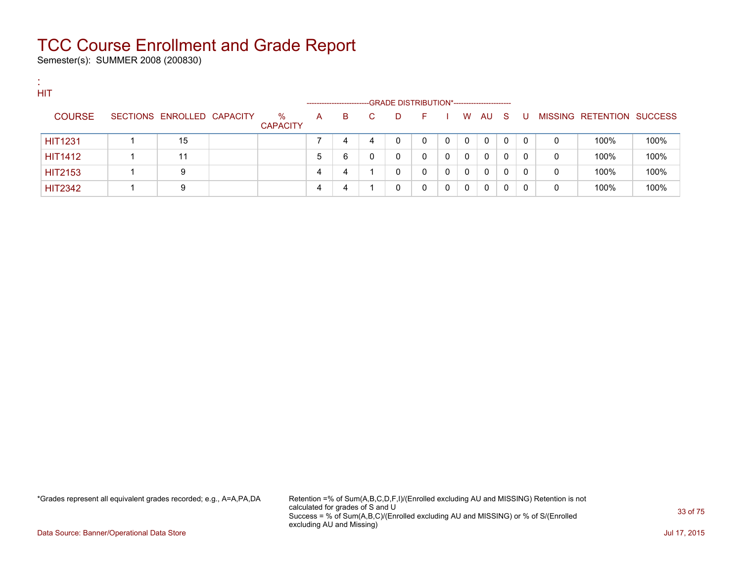Semester(s): SUMMER 2008 (200830)

:

| . .<br><b>HIT</b> |                            |                         |                      |    |    |                                             |    |          |          |          |              |          |   |                           |      |
|-------------------|----------------------------|-------------------------|----------------------|----|----|---------------------------------------------|----|----------|----------|----------|--------------|----------|---|---------------------------|------|
|                   |                            |                         | -------------------- |    |    | -GRADE DISTRIBUTION*----------------------- |    |          |          |          |              |          |   |                           |      |
| <b>COURSE</b>     | SECTIONS ENROLLED CAPACITY | $\%$<br><b>CAPACITY</b> | A                    | B. | C. | D                                           | F. |          | W        | AU S     |              | -U       |   | MISSING RETENTION SUCCESS |      |
|                   |                            |                         |                      |    |    |                                             |    |          |          |          |              |          |   |                           |      |
| <b>HIT1231</b>    | 15                         |                         |                      | 4  | 4  |                                             | 0  | $\Omega$ | $\Omega$ | $\Omega$ | $\mathbf{0}$ | $\Omega$ | 0 | 100%                      | 100% |
| <b>HIT1412</b>    | 11                         |                         | 5                    | 6  |    |                                             | 0  | $\Omega$ | $\Omega$ | $\Omega$ | $\Omega$     | 0        | 0 | 100%                      | 100% |
| <b>HIT2153</b>    | 9                          |                         |                      | 4  |    |                                             | 0  |          | $\Omega$ | $\Omega$ | $\mathbf{0}$ | 0        | 0 | 100%                      | 100% |
| <b>HIT2342</b>    | 9                          |                         |                      | 4  |    |                                             | 0  |          | 0        | $\Omega$ |              |          | 0 | 100%                      | 100% |

\*Grades represent all equivalent grades recorded; e.g., A=A,PA,DA Retention =% of Sum(A,B,C,D,F,I)/(Enrolled excluding AU and MISSING) Retention is not calculated for grades of S and U Success = % of Sum(A,B,C)/(Enrolled excluding AU and MISSING) or % of S/(Enrolled excluding AU and Missing)

Data Source: Banner/Operational Data Store **July 17, 2015**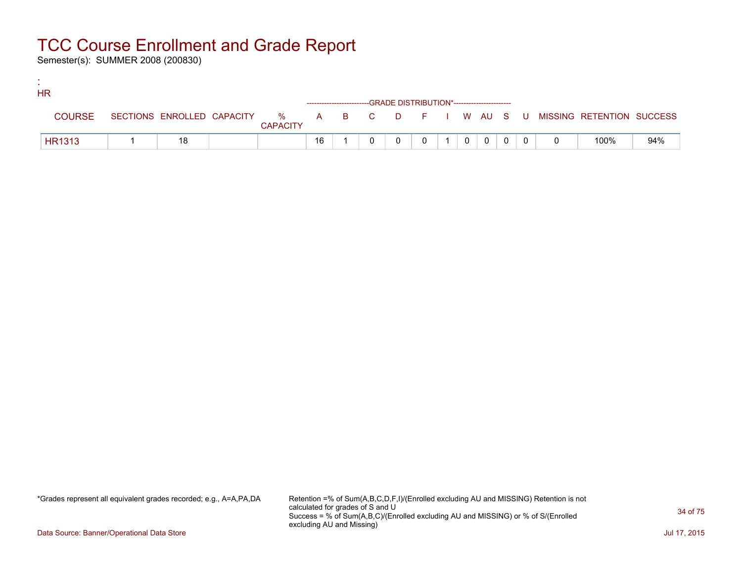Semester(s): SUMMER 2008 (200830)

:

| <b>HR</b>     |  |                 |    |  |                                                                                 |  |          |              |  |                                                                               |     |
|---------------|--|-----------------|----|--|---------------------------------------------------------------------------------|--|----------|--------------|--|-------------------------------------------------------------------------------|-----|
|               |  |                 |    |  | ------------------------GRADE            DISTRIBUTION*------------------------- |  |          |              |  |                                                                               |     |
| <b>COURSE</b> |  | <b>CAPACITY</b> |    |  |                                                                                 |  |          |              |  | SECTIONS ENROLLED CAPACITY 5 % A B C D F I W AU S U MISSING RETENTION SUCCESS |     |
| <b>HR1313</b> |  |                 | 16 |  |                                                                                 |  | $\Omega$ | $\mathbf{0}$ |  | 100%                                                                          | 94% |

\*Grades represent all equivalent grades recorded; e.g., A=A,PA,DA Retention =% of Sum(A,B,C,D,F,I)/(Enrolled excluding AU and MISSING) Retention is not calculated for grades of S and U Success = % of Sum(A,B,C)/(Enrolled excluding AU and MISSING) or % of S/(Enrolled excluding AU and Missing)

Data Source: Banner/Operational Data Store Jul 17, 2015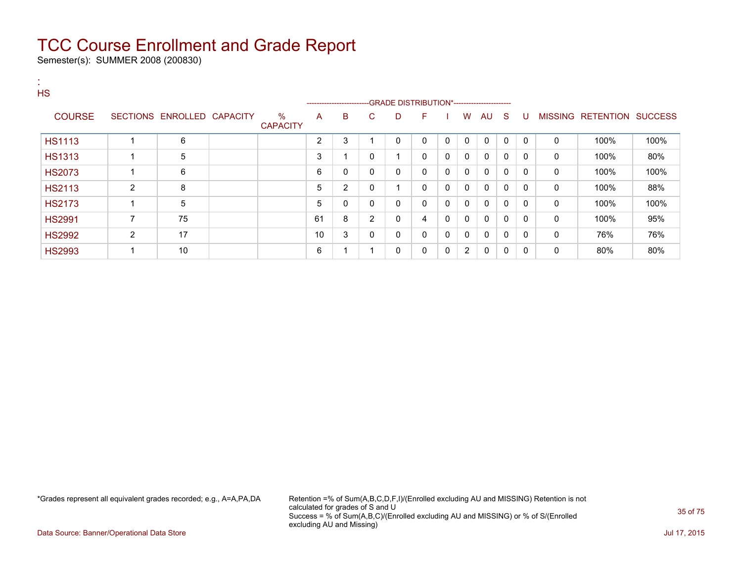Semester(s): SUMMER 2008 (200830)

| <b>HS</b>     |   |                            |                         |    |                                                                                  |              |              |              |              |                |              |              |              |              |                           |      |
|---------------|---|----------------------------|-------------------------|----|----------------------------------------------------------------------------------|--------------|--------------|--------------|--------------|----------------|--------------|--------------|--------------|--------------|---------------------------|------|
|               |   |                            |                         |    | ------------------------GRADE                DISTRIBUTION*---------------------- |              |              |              |              |                |              |              |              |              |                           |      |
| <b>COURSE</b> |   | SECTIONS ENROLLED CAPACITY | $\%$<br><b>CAPACITY</b> | A  | B                                                                                | C.           | D            | F            |              | W              | AU S         |              | -U           |              | MISSING RETENTION SUCCESS |      |
| <b>HS1113</b> |   | 6                          |                         | 2  | 3                                                                                |              | $\mathbf{0}$ | $\mathbf{0}$ | 0            | $\mathbf{0}$   | $\mathbf{0}$ | $\mathbf{0}$ | $\mathbf{0}$ | 0            | 100%                      | 100% |
| <b>HS1313</b> |   | 5                          |                         | 3  |                                                                                  | $\mathbf{0}$ | 1            | $\mathbf{0}$ | $\mathbf{0}$ | $\Omega$       | $\Omega$     | $\mathbf{0}$ | $\mathbf{0}$ | $\mathbf{0}$ | 100%                      | 80%  |
| <b>HS2073</b> |   | 6                          |                         | 6  | 0                                                                                | $\mathbf{0}$ | $\mathbf 0$  | $\mathbf{0}$ | 0            | $\mathbf{0}$   | $\mathbf{0}$ | 0            | $\Omega$     | 0            | 100%                      | 100% |
| <b>HS2113</b> | 2 | 8                          |                         | 5  | $\overline{2}$                                                                   | 0            | 1            | 0            | 0            | 0              | 0            | $\mathbf 0$  | 0            | 0            | 100%                      | 88%  |
| <b>HS2173</b> |   | 5                          |                         | 5  | 0                                                                                | 0            | $\mathbf 0$  | $\mathbf{0}$ | 0            | $\mathbf{0}$   | $\Omega$     | $\mathbf{0}$ | 0            | 0            | 100%                      | 100% |
| <b>HS2991</b> | 7 | 75                         |                         | 61 | 8                                                                                | 2            | $\mathbf 0$  | 4            | 0            | $\Omega$       | $\mathbf{0}$ | $\mathbf{0}$ | $\Omega$     | 0            | 100%                      | 95%  |
| <b>HS2992</b> | 2 | 17                         |                         | 10 | 3                                                                                | $\mathbf{0}$ | $\mathbf 0$  | $\mathbf{0}$ | 0            | $\mathbf{0}$   | $\mathbf{0}$ | $\mathbf 0$  | 0            | 0            | 76%                       | 76%  |
| <b>HS2993</b> |   | 10                         |                         | 6  |                                                                                  |              | 0            | 0            | 0            | $\overline{2}$ | $\Omega$     | $\mathbf{0}$ | 0            | 0            | 80%                       | 80%  |

\*Grades represent all equivalent grades recorded; e.g., A=A,PA,DA Retention =% of Sum(A,B,C,D,F,I)/(Enrolled excluding AU and MISSING) Retention is not calculated for grades of S and U Success = % of Sum(A,B,C)/(Enrolled excluding AU and MISSING) or % of S/(Enrolled excluding AU and Missing)

Data Source: Banner/Operational Data Store Jul 17, 2015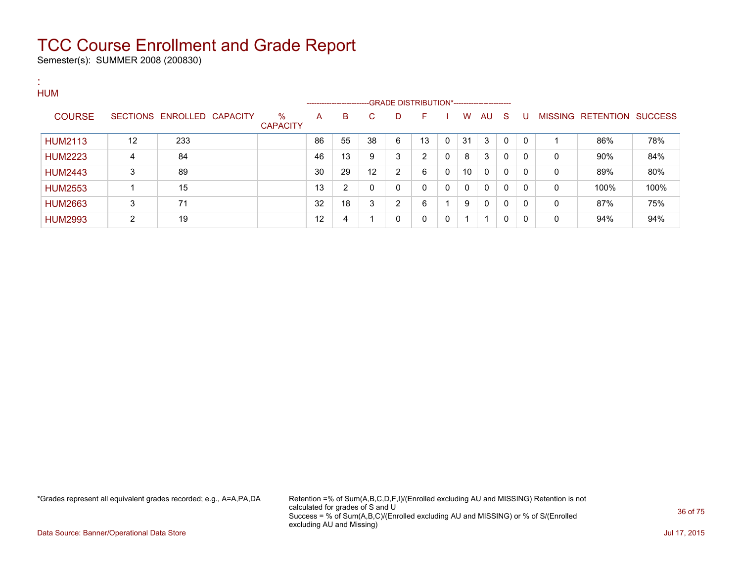Semester(s): SUMMER 2008 (200830)

| ж.<br><b>ALC</b><br><b>HUM</b> |    |                            |                         |    | ------------------------ |                   |                | --GRADE DISTRIBUTION*----------------------- |   |              |              |     |              |              |                           |      |
|--------------------------------|----|----------------------------|-------------------------|----|--------------------------|-------------------|----------------|----------------------------------------------|---|--------------|--------------|-----|--------------|--------------|---------------------------|------|
| <b>COURSE</b>                  |    | SECTIONS ENROLLED CAPACITY | $\%$<br><b>CAPACITY</b> | A  | В                        | C.                | D              | н.                                           |   | W            | AU           | - S | -U           |              | MISSING RETENTION SUCCESS |      |
| <b>HUM2113</b>                 | 12 | 233                        |                         | 86 | 55                       | 38                | 6              | 13                                           | 0 | 31           | 3            | 0   | $\mathbf{0}$ |              | 86%                       | 78%  |
| <b>HUM2223</b>                 | 4  | 84                         |                         | 46 | 13                       | 9                 | 3              | 2                                            | 0 | 8            | 3            | 0   | $\Omega$     | 0            | 90%                       | 84%  |
| <b>HUM2443</b>                 | 3  | 89                         |                         | 30 | 29                       | $12 \overline{ }$ | 2              | 6                                            | 0 | 10           | 0            | 0   | $\Omega$     | 0            | 89%                       | 80%  |
| <b>HUM2553</b>                 |    | 15                         |                         | 13 | $\overline{2}$           | 0                 | 0              | 0                                            | 0 | $\mathbf{0}$ | 0            | 0   | $\mathbf{0}$ | 0            | 100%                      | 100% |
| <b>HUM2663</b>                 | 3  | 71                         |                         | 32 | 18                       | 3                 | $\overline{2}$ | 6                                            |   | 9            | $\mathbf{0}$ | 0   | $\Omega$     | $\mathbf{0}$ | 87%                       | 75%  |
| <b>HUM2993</b>                 | 2  | 19                         |                         | 12 | 4                        |                   | 0              | $\mathbf{0}$                                 | 0 | -1           |              | 0   | $\Omega$     | 0            | 94%                       | 94%  |

\*Grades represent all equivalent grades recorded; e.g., A=A,PA,DA Retention =% of Sum(A,B,C,D,F,I)/(Enrolled excluding AU and MISSING) Retention is not calculated for grades of S and U Success = % of Sum(A,B,C)/(Enrolled excluding AU and MISSING) or % of S/(Enrolled excluding AU and Missing)

Data Source: Banner/Operational Data Store Jul 17, 2015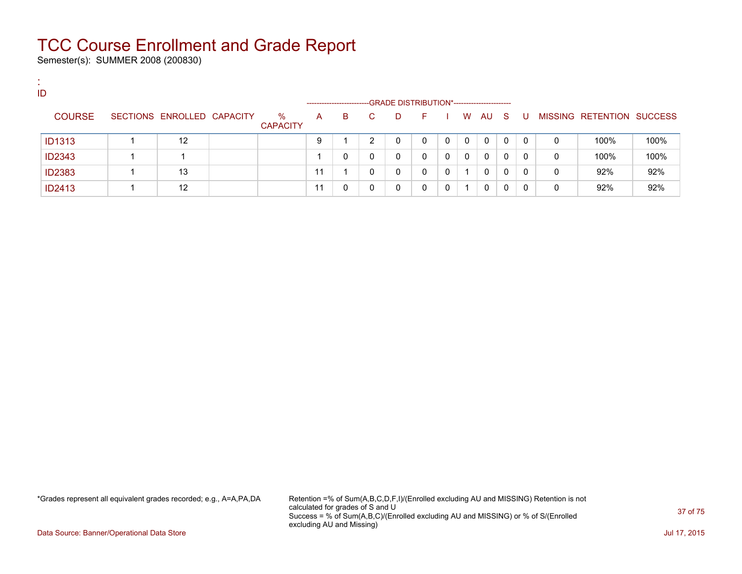Semester(s): SUMMER 2008 (200830)

:

| п. | ID            |                            |                         |                |                        |    |                                             |    |   |              |          |     |              |   |                           |      |
|----|---------------|----------------------------|-------------------------|----------------|------------------------|----|---------------------------------------------|----|---|--------------|----------|-----|--------------|---|---------------------------|------|
|    |               |                            |                         |                | ---------------------- |    | -GRADE DISTRIBUTION*----------------------- |    |   |              |          |     |              |   |                           |      |
|    | <b>COURSE</b> | SECTIONS ENROLLED CAPACITY | $\%$<br><b>CAPACITY</b> | A              | B.                     | C. | D.                                          | н. |   | W            | AU.      | - S | <b>U</b>     |   | MISSING RETENTION SUCCESS |      |
|    | <b>ID1313</b> | 12                         |                         |                |                        | ົ  | 0                                           | 0  | 0 | $\mathbf{0}$ | $\Omega$ | 0   | $\mathbf{0}$ | 0 | 100%                      | 100% |
|    | <b>ID2343</b> |                            |                         |                |                        |    | 0                                           | 0  | 0 | $\Omega$     | $\Omega$ | 0   | $\mathbf{0}$ | 0 | 100%                      | 100% |
|    | <b>ID2383</b> | 13                         |                         | l 1            |                        |    | 0                                           | 0  | 0 | 1.           | 0        | 0   | 0            | 0 | 92%                       | 92%  |
|    | ID2413        | 12                         |                         | $\blacksquare$ |                        |    | 0                                           |    |   |              | 0        | 0   |              | 0 | 92%                       | 92%  |

\*Grades represent all equivalent grades recorded; e.g., A=A,PA,DA Retention =% of Sum(A,B,C,D,F,I)/(Enrolled excluding AU and MISSING) Retention is not calculated for grades of S and U Success = % of Sum(A,B,C)/(Enrolled excluding AU and MISSING) or % of S/(Enrolled excluding AU and Missing)

Data Source: Banner/Operational Data Store **July 17, 2015**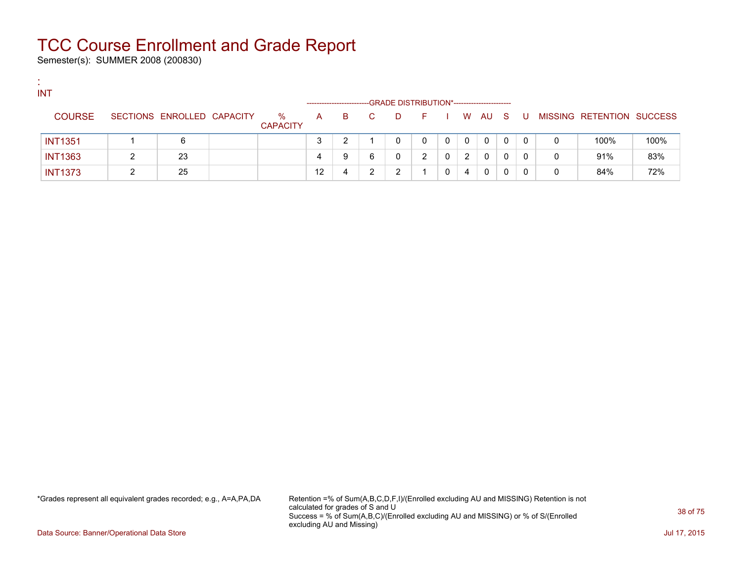Semester(s): SUMMER 2008 (200830)

:

| <b>INT</b>     |                            |                      |                      |    |    |                                             |     |   |              |      |   |     |              |                           |      |
|----------------|----------------------------|----------------------|----------------------|----|----|---------------------------------------------|-----|---|--------------|------|---|-----|--------------|---------------------------|------|
|                |                            |                      | -------------------- |    |    | -GRADE DISTRIBUTION*----------------------- |     |   |              |      |   |     |              |                           |      |
| <b>COURSE</b>  | SECTIONS ENROLLED CAPACITY | %<br><b>CAPACITY</b> | A                    | -B | C. | D                                           | .F. |   | <b>W</b>     | AU S |   | . U |              | MISSING RETENTION SUCCESS |      |
| <b>INT1351</b> | 6                          |                      |                      |    |    |                                             | 0   | 0 | $\mathbf{0}$ | 0    | 0 | 0   | 0            | 100%                      | 100% |
| <b>INT1363</b> | 23                         |                      |                      |    |    | 0                                           |     |   | 2            | 0    | 0 | 0   | $\Omega$     | 91%                       | 83%  |
| <b>INT1373</b> | 25                         |                      | 12                   | 4  |    | ົ                                           |     | 0 | 4            | 0    | 0 |     | $\mathbf{0}$ | 84%                       | 72%  |

\*Grades represent all equivalent grades recorded; e.g., A=A,PA,DA Retention =% of Sum(A,B,C,D,F,I)/(Enrolled excluding AU and MISSING) Retention is not calculated for grades of S and U Success = % of Sum(A,B,C)/(Enrolled excluding AU and MISSING) or % of S/(Enrolled excluding AU and Missing)

Data Source: Banner/Operational Data Store Jul 17, 2015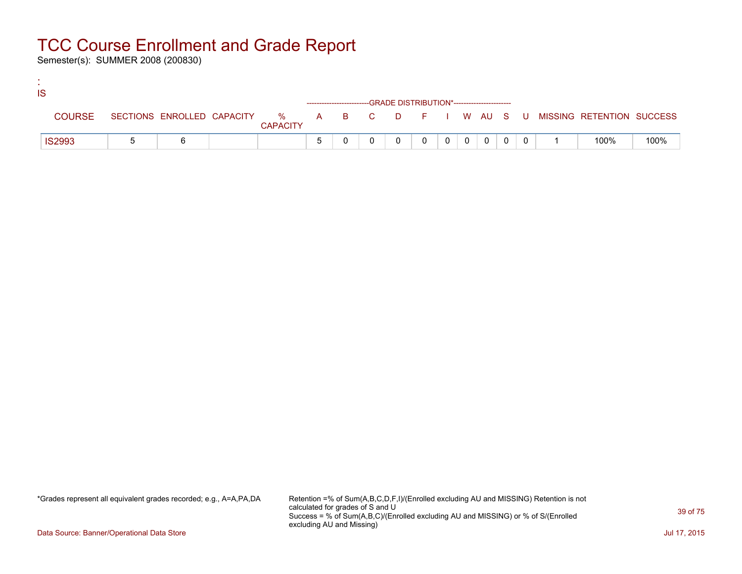Semester(s): SUMMER 2008 (200830)

:

| IS |               |  |                 |                                                                    |  |  |         |               |          |  |                                                                             |      |
|----|---------------|--|-----------------|--------------------------------------------------------------------|--|--|---------|---------------|----------|--|-----------------------------------------------------------------------------|------|
|    |               |  |                 | ------------------------GRADE DISTRIBUTION*----------------------- |  |  |         |               |          |  |                                                                             |      |
|    | <b>COURSE</b> |  | <b>CAPACITY</b> |                                                                    |  |  |         |               |          |  | SECTIONS ENROLLED CAPACITY % A B C D F I W AU S U MISSING RETENTION SUCCESS |      |
|    | <b>IS2993</b> |  |                 |                                                                    |  |  | 0 0 0 1 | $\pm$ 0 $\pm$ | $\Omega$ |  | 100%                                                                        | 100% |

\*Grades represent all equivalent grades recorded; e.g., A=A,PA,DA Retention =% of Sum(A,B,C,D,F,I)/(Enrolled excluding AU and MISSING) Retention is not calculated for grades of S and U Success = % of Sum(A,B,C)/(Enrolled excluding AU and MISSING) or % of S/(Enrolled excluding AU and Missing)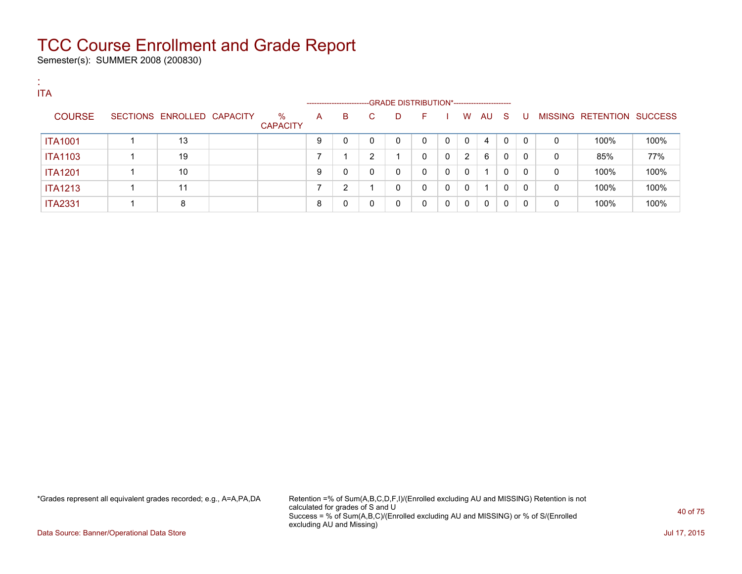Semester(s): SUMMER 2008 (200830)

:

| <b>ITA</b>     |                            |                         | ------------------- |        |   |   | -GRADE DISTRIBUTION*---------------------- |   |   |    |              |              |   |                           |      |
|----------------|----------------------------|-------------------------|---------------------|--------|---|---|--------------------------------------------|---|---|----|--------------|--------------|---|---------------------------|------|
| <b>COURSE</b>  | SECTIONS ENROLLED CAPACITY | $\%$<br><b>CAPACITY</b> | A                   | В      |   | D | F.                                         |   | W | AU | - S          | U            |   | MISSING RETENTION SUCCESS |      |
| <b>ITA1001</b> | 13                         |                         | 9                   | 0      | 0 | 0 | 0                                          | 0 | 0 | 4  | 0            | $\Omega$     | 0 | 100%                      | 100% |
| <b>ITA1103</b> | 19                         |                         |                     |        | C |   | 0                                          | 0 | 2 | 6  | 0            | $\mathbf{0}$ | 0 | 85%                       | 77%  |
| <b>ITA1201</b> | 10                         |                         | 9                   | 0      | 0 | 0 | 0                                          | 0 | 0 |    | $\mathbf{0}$ | $\mathbf{0}$ | 0 | 100%                      | 100% |
| <b>ITA1213</b> | 11                         |                         |                     | ົ<br>∠ |   | 0 | 0                                          | 0 | 0 |    | 0            | 0            | 0 | 100%                      | 100% |
| <b>ITA2331</b> | 8                          |                         | 8                   | 0      |   | 0 | 0                                          | 0 | 0 | 0  | $\mathbf{0}$ | $\Omega$     | 0 | 100%                      | 100% |

\*Grades represent all equivalent grades recorded; e.g., A=A,PA,DA Retention =% of Sum(A,B,C,D,F,I)/(Enrolled excluding AU and MISSING) Retention is not calculated for grades of S and U Success = % of Sum(A,B,C)/(Enrolled excluding AU and MISSING) or % of S/(Enrolled excluding AU and Missing)

Data Source: Banner/Operational Data Store Jul 17, 2015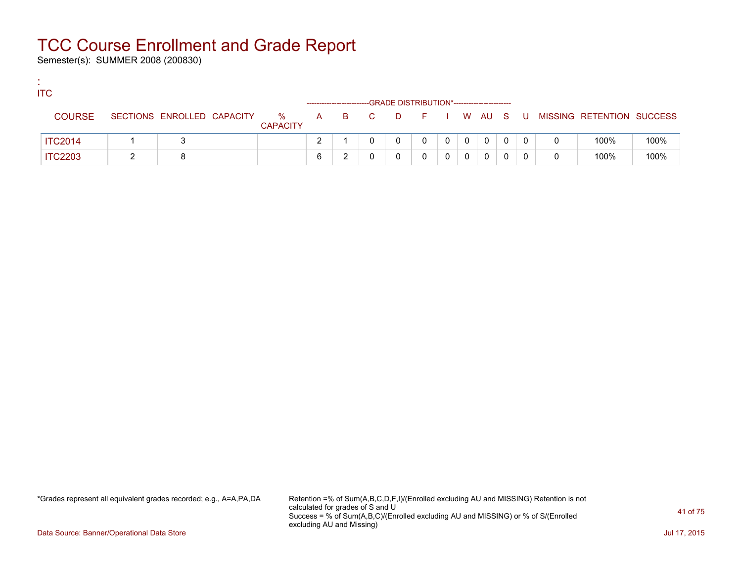Semester(s): SUMMER 2008 (200830)

:

| <b>ITC</b>     |                            |                         |   |       |          | -GRADE DISTRIBUTION*----------------------- |              |   |   |   |                           |      |
|----------------|----------------------------|-------------------------|---|-------|----------|---------------------------------------------|--------------|---|---|---|---------------------------|------|
| <b>COURSE</b>  | SECTIONS ENROLLED CAPACITY | $\%$<br><b>CAPACITY</b> |   | A B C | <b>D</b> | FIWAUS                                      |              |   |   | U | MISSING RETENTION SUCCESS |      |
| <b>ITC2014</b> |                            |                         |   |       |          | 0                                           | $\mathbf{0}$ | 0 | 0 |   | 100%                      | 100% |
| <b>ITC2203</b> |                            |                         | 6 |       |          |                                             |              |   |   |   | 100%                      | 100% |

\*Grades represent all equivalent grades recorded; e.g., A=A,PA,DA Retention =% of Sum(A,B,C,D,F,I)/(Enrolled excluding AU and MISSING) Retention is not calculated for grades of S and U Success = % of Sum(A,B,C)/(Enrolled excluding AU and MISSING) or % of S/(Enrolled excluding AU and Missing)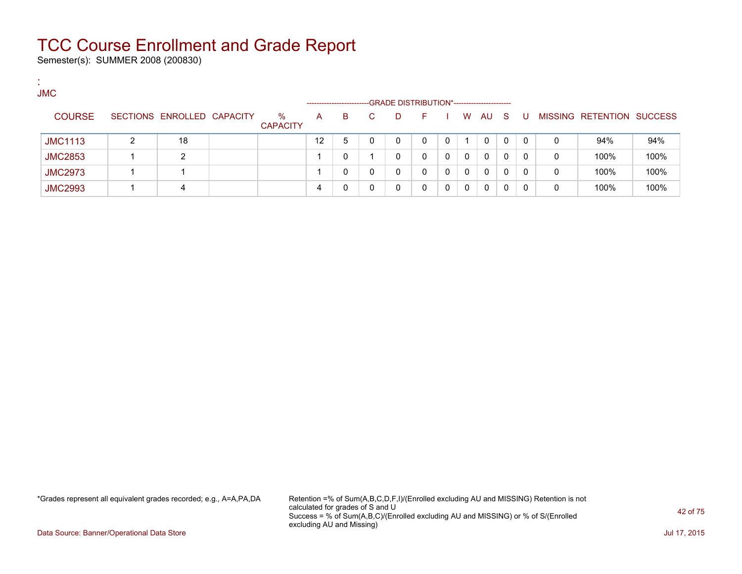Semester(s): SUMMER 2008 (200830)

:

| <b>JMC</b>     |   |                            |                      | ---------------------- |    |    | -GRADE DISTRIBUTION*----------------------- |   |          |          |              |          |          |   |                                  |      |
|----------------|---|----------------------------|----------------------|------------------------|----|----|---------------------------------------------|---|----------|----------|--------------|----------|----------|---|----------------------------------|------|
| <b>COURSE</b>  |   | SECTIONS ENROLLED CAPACITY | ℅<br><b>CAPACITY</b> | $\mathsf{A}$           | B. | C. | D                                           | н |          | W        | AU S         |          | <b>U</b> |   | <b>MISSING RETENTION SUCCESS</b> |      |
| <b>JMC1113</b> | ົ | 18                         |                      | 12                     | 5  |    | 0                                           |   | $\Omega$ |          | $\mathbf{0}$ | $\Omega$ | $\Omega$ | 0 | 94%                              | 94%  |
| <b>JMC2853</b> |   | ົ                          |                      |                        |    |    | 0                                           |   | 0        | $\Omega$ | $\Omega$     | 0        | 0        | 0 | 100%                             | 100% |
| <b>JMC2973</b> |   |                            |                      |                        |    |    | 0                                           |   | 0        | 0        | $\Omega$     | $\Omega$ | $\Omega$ | 0 | 100%                             | 100% |
| <b>JMC2993</b> |   | 4                          |                      | 4                      |    |    | 0                                           |   | 0        | 0        | 0            |          | 0        | 0 | 100%                             | 100% |

\*Grades represent all equivalent grades recorded; e.g., A=A,PA,DA Retention =% of Sum(A,B,C,D,F,I)/(Enrolled excluding AU and MISSING) Retention is not calculated for grades of S and U Success = % of Sum(A,B,C)/(Enrolled excluding AU and MISSING) or % of S/(Enrolled excluding AU and Missing)

Data Source: Banner/Operational Data Store Jul 17, 2015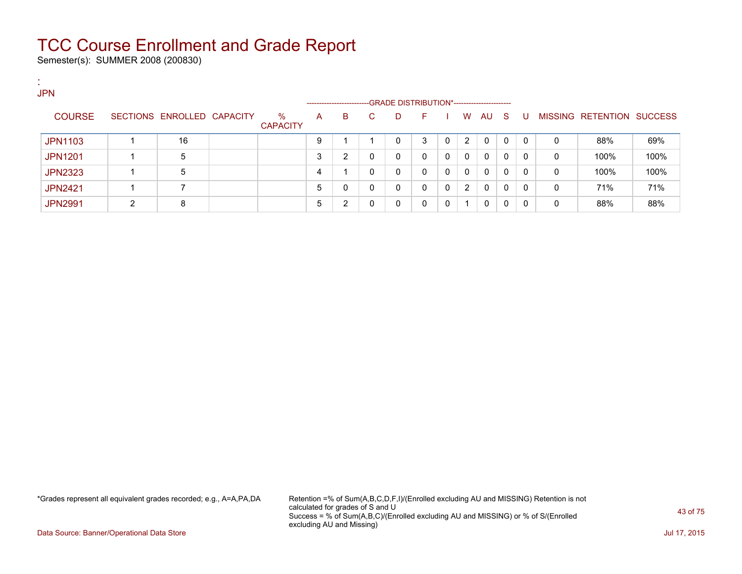Semester(s): SUMMER 2008 (200830)

| п.<br><b>COL</b> | <b>JPN</b>     |   |                            |                         |   |                         |              |                                            |    |          |                |              |   |     |              |                           |      |
|------------------|----------------|---|----------------------------|-------------------------|---|-------------------------|--------------|--------------------------------------------|----|----------|----------------|--------------|---|-----|--------------|---------------------------|------|
|                  |                |   |                            |                         |   | ----------------------- |              | -GRADE DISTRIBUTION*---------------------- |    |          |                |              |   |     |              |                           |      |
|                  | <b>COURSE</b>  |   | SECTIONS ENROLLED CAPACITY | $\%$<br><b>CAPACITY</b> | A | B.                      | $\mathsf{C}$ | D                                          | F. |          | W              | AU S         |   | - U |              | MISSING RETENTION SUCCESS |      |
|                  | <b>JPN1103</b> |   | 16                         |                         | 9 |                         |              | 0                                          | 3  | 0        | $\overline{2}$ | 0            | 0 | 0   | 0            | 88%                       | 69%  |
|                  | <b>JPN1201</b> |   | 5                          |                         | 3 | $\overline{2}$          | 0            | 0                                          | 0  | $\Omega$ | $\mathbf{0}$   | $\mathbf{0}$ | 0 | 0   | $\mathbf{0}$ | 100%                      | 100% |
|                  | <b>JPN2323</b> |   | 5                          |                         | 4 |                         | 0            | 0                                          | 0  | $\Omega$ | $\mathbf{0}$   | $\mathbf{0}$ | 0 | 0   | 0            | 100%                      | 100% |
|                  | <b>JPN2421</b> |   |                            |                         | 5 | 0                       | 0            | 0                                          | 0  | $\Omega$ | $\overline{2}$ | $\mathbf{0}$ | 0 | 0   | 0            | 71%                       | 71%  |
|                  | <b>JPN2991</b> | 2 | 8                          |                         | 5 | 2                       | 0            | $\Omega$                                   | 0  | $\Omega$ |                | $\mathbf{0}$ | 0 | 0   | 0            | 88%                       | 88%  |

\*Grades represent all equivalent grades recorded; e.g., A=A,PA,DA Retention =% of Sum(A,B,C,D,F,I)/(Enrolled excluding AU and MISSING) Retention is not calculated for grades of S and U Success = % of Sum(A,B,C)/(Enrolled excluding AU and MISSING) or % of S/(Enrolled excluding AU and Missing)

Data Source: Banner/Operational Data Store **July 17, 2015**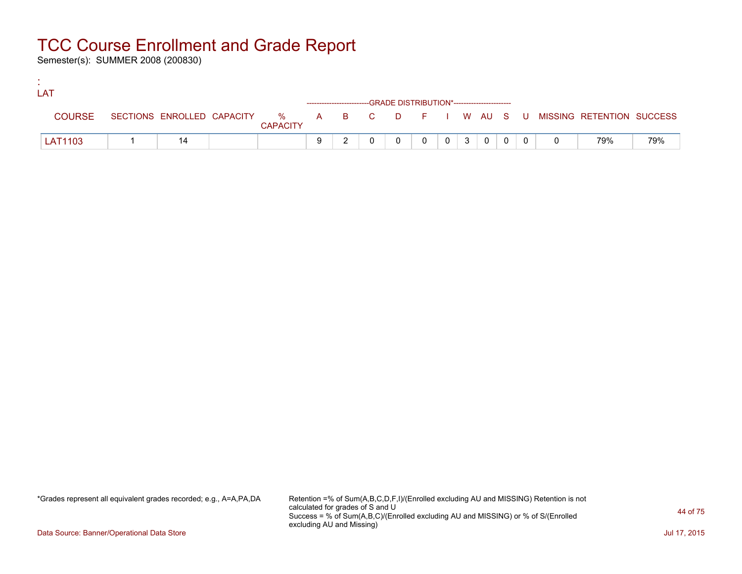Semester(s): SUMMER 2008 (200830)

:

| LAT            |    |                 |  |                                                                    |          |                |                |   |  |                                                                               |     |
|----------------|----|-----------------|--|--------------------------------------------------------------------|----------|----------------|----------------|---|--|-------------------------------------------------------------------------------|-----|
|                |    |                 |  | ------------------------GRADE DISTRIBUTION*----------------------- |          |                |                |   |  |                                                                               |     |
| <b>COURSE</b>  |    | <b>CAPACITY</b> |  |                                                                    |          |                |                |   |  | SECTIONS ENROLLED CAPACITY 5 % A B C D F I W AU S U MISSING RETENTION SUCCESS |     |
| <b>LAT1103</b> | 14 |                 |  |                                                                    | $\Omega$ | 0 <sup>1</sup> | 3 <sup>1</sup> | 0 |  | 79%                                                                           | 79% |

\*Grades represent all equivalent grades recorded; e.g., A=A,PA,DA Retention =% of Sum(A,B,C,D,F,I)/(Enrolled excluding AU and MISSING) Retention is not calculated for grades of S and U Success = % of Sum(A,B,C)/(Enrolled excluding AU and MISSING) or % of S/(Enrolled excluding AU and Missing)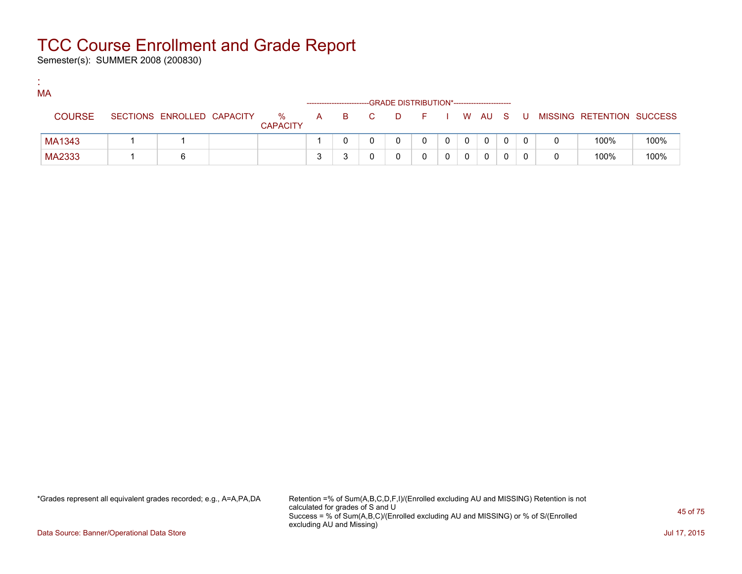Semester(s): SUMMER 2008 (200830)

:

| <b>MA</b>     |                            |                      |     |     | -GRADE DISTRIBUTION*----------------------- |        |  |   |   |                           |      |
|---------------|----------------------------|----------------------|-----|-----|---------------------------------------------|--------|--|---|---|---------------------------|------|
| <b>COURSE</b> | SECTIONS ENROLLED CAPACITY | %<br><b>CAPACITY</b> | A a | B C | <b>D</b>                                    | FIWAUS |  |   | U | MISSING RETENTION SUCCESS |      |
| MA1343        |                            |                      |     |     |                                             |        |  | 0 |   | 100%                      | 100% |
| MA2333        |                            |                      |     |     |                                             |        |  |   |   | 100%                      | 100% |

\*Grades represent all equivalent grades recorded; e.g., A=A,PA,DA Retention =% of Sum(A,B,C,D,F,I)/(Enrolled excluding AU and MISSING) Retention is not calculated for grades of S and U Success = % of Sum(A,B,C)/(Enrolled excluding AU and MISSING) or % of S/(Enrolled excluding AU and Missing)

Data Source: Banner/Operational Data Store Jul 17, 2015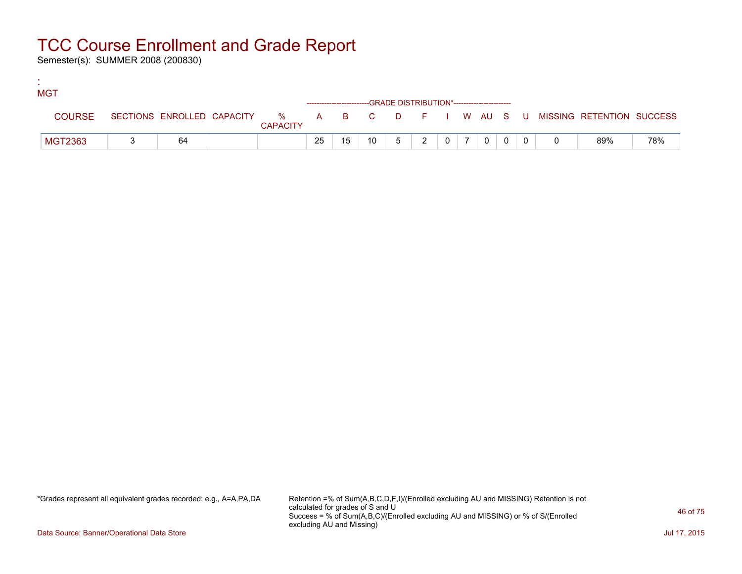Semester(s): SUMMER 2008 (200830)

:

| <b>MGT</b>    |    |                 |    |    |    |                                                                    |               |          |                |              |  |                                                                             |     |
|---------------|----|-----------------|----|----|----|--------------------------------------------------------------------|---------------|----------|----------------|--------------|--|-----------------------------------------------------------------------------|-----|
|               |    |                 |    |    |    | ------------------------GRADE DISTRIBUTION*----------------------- |               |          |                |              |  |                                                                             |     |
| <b>COURSE</b> |    | <b>CAPACITY</b> |    |    |    |                                                                    |               |          |                |              |  | SECTIONS ENROLLED CAPACITY % A B C D F I W AU S U MISSING RETENTION SUCCESS |     |
| MGT2363       | 64 |                 | 25 | 15 | 10 |                                                                    | $\mathcal{D}$ | $\Omega$ | 7 <sup>1</sup> | $\mathbf{0}$ |  | 89%                                                                         | 78% |

\*Grades represent all equivalent grades recorded; e.g., A=A,PA,DA Retention =% of Sum(A,B,C,D,F,I)/(Enrolled excluding AU and MISSING) Retention is not calculated for grades of S and U Success = % of Sum(A,B,C)/(Enrolled excluding AU and MISSING) or % of S/(Enrolled excluding AU and Missing)

Data Source: Banner/Operational Data Store Jul 17, 2015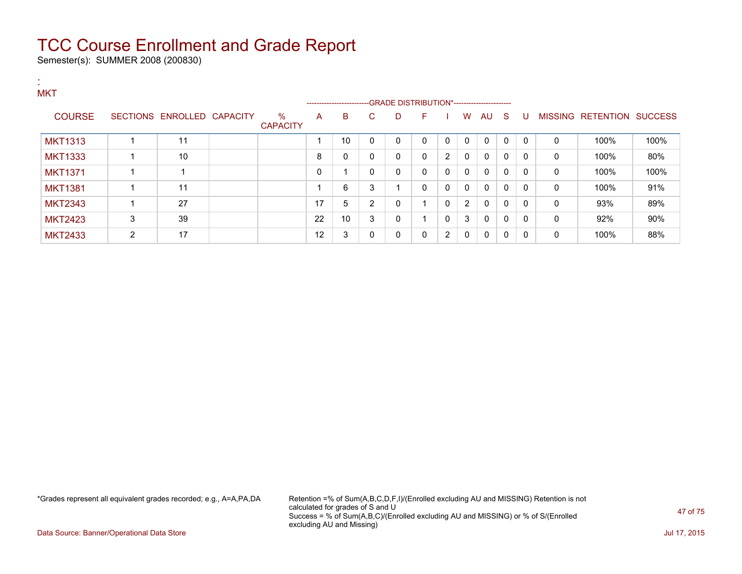Semester(s): SUMMER 2008 (200830)

:

| <b>MKT</b>     |   |                            |                      |    | ------------------------ |                |   |          |                |                |              |              |              |              |                           |      |
|----------------|---|----------------------------|----------------------|----|--------------------------|----------------|---|----------|----------------|----------------|--------------|--------------|--------------|--------------|---------------------------|------|
| <b>COURSE</b>  |   | SECTIONS ENROLLED CAPACITY | %<br><b>CAPACITY</b> | A  | B                        | C.             | D | F        |                | W              | AU           | S.           | U            |              | MISSING RETENTION SUCCESS |      |
| <b>MKT1313</b> |   | 11                         |                      |    | 10                       | 0              | 0 | $\Omega$ | 0              | $\mathbf{0}$   | 0            | $\mathbf{0}$ | $\mathbf{0}$ | 0            | 100%                      | 100% |
| <b>MKT1333</b> |   | 10                         |                      | 8  | 0                        | $\mathbf{0}$   | 0 | $\Omega$ | $\overline{2}$ | $\mathbf{0}$   | 0            | $\mathbf{0}$ | $\Omega$     | 0            | 100%                      | 80%  |
| <b>MKT1371</b> |   |                            |                      | 0  |                          | $\mathbf{0}$   | 0 | $\Omega$ | $\mathbf{0}$   | $\Omega$       | 0            | $\mathbf{0}$ | $\mathbf{0}$ | $\mathbf{0}$ | 100%                      | 100% |
| <b>MKT1381</b> |   | 11                         |                      |    | 6                        | 3              |   | $\Omega$ | 0              | $\Omega$       | 0            | $\mathbf{0}$ | $\Omega$     | 0            | 100%                      | 91%  |
| <b>MKT2343</b> |   | 27                         |                      | 17 | 5                        | $\overline{2}$ | 0 |          | 0              | $\overline{2}$ | $\mathbf{0}$ | $\mathbf{0}$ | $\mathbf{0}$ | $\mathbf{0}$ | 93%                       | 89%  |
| <b>MKT2423</b> | 3 | 39                         |                      | 22 | 10                       | 3              | 0 |          | 0              | 3              | 0            | 0            | $\mathbf{0}$ | $\mathbf{0}$ | 92%                       | 90%  |
| <b>MKT2433</b> | 2 | 17                         |                      | 12 | 3                        | $\mathbf{0}$   | 0 | $\Omega$ | $\overline{2}$ | 0              | $\mathbf{0}$ | $\mathbf{0}$ | $\mathbf{0}$ | $\mathbf{0}$ | 100%                      | 88%  |

\*Grades represent all equivalent grades recorded; e.g., A=A,PA,DA Retention =% of Sum(A,B,C,D,F,I)/(Enrolled excluding AU and MISSING) Retention is not calculated for grades of S and U Success = % of Sum(A,B,C)/(Enrolled excluding AU and MISSING) or % of S/(Enrolled excluding AU and Missing)

Data Source: Banner/Operational Data Store Jul 17, 2015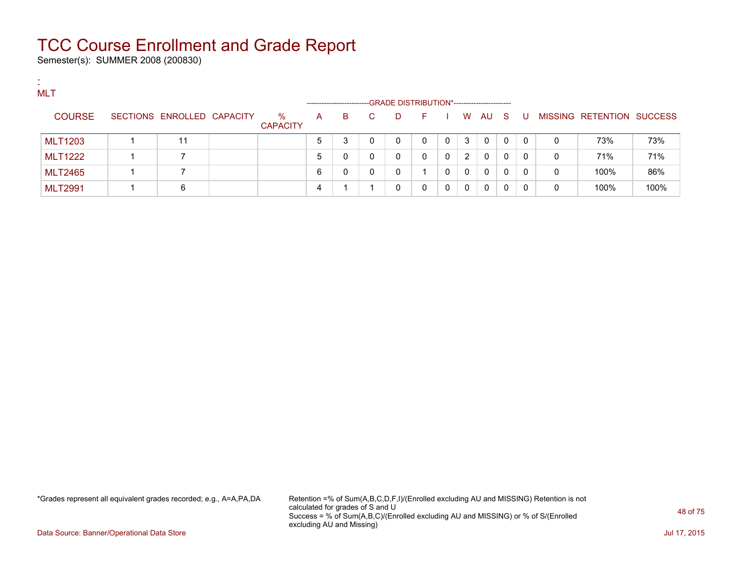Semester(s): SUMMER 2008 (200830)

| <b>A</b><br><b>COL</b> | <b>MLT</b>     |                            |                         | -------------------- |   |   | -GRADE DISTRIBUTION*---------------------- |              |          |          |              |              |          |          |                                  |      |
|------------------------|----------------|----------------------------|-------------------------|----------------------|---|---|--------------------------------------------|--------------|----------|----------|--------------|--------------|----------|----------|----------------------------------|------|
|                        | <b>COURSE</b>  | SECTIONS ENROLLED CAPACITY | $\%$<br><b>CAPACITY</b> | A                    | B |   | D                                          | $\vdash$     |          | W        | AU S         |              | - U      |          | <b>MISSING RETENTION SUCCESS</b> |      |
|                        | <b>MLT1203</b> | 11                         |                         | 5                    | 3 | 0 | 0                                          | 0            | 0        | 3        | 0            | $\mathbf{0}$ | $\Omega$ | 0        | 73%                              | 73%  |
|                        | <b>MLT1222</b> |                            |                         | 5                    | 0 | 0 | 0                                          | $\mathbf{0}$ | $\Omega$ | 2        | $\mathbf{0}$ | $\mathbf{0}$ | $\Omega$ | $\Omega$ | 71%                              | 71%  |
|                        | <b>MLT2465</b> |                            |                         | 6                    | 0 | 0 | 0                                          |              | 0        | $\Omega$ | 0            | $\mathbf{0}$ | $\Omega$ | 0        | 100%                             | 86%  |
|                        | <b>MLT2991</b> | 6                          |                         | 4                    |   |   | 0                                          | 0            | 0        | 0        | 0            | 0            | 0        | 0        | 100%                             | 100% |

\*Grades represent all equivalent grades recorded; e.g., A=A,PA,DA Retention =% of Sum(A,B,C,D,F,I)/(Enrolled excluding AU and MISSING) Retention is not calculated for grades of S and U Success = % of Sum(A,B,C)/(Enrolled excluding AU and MISSING) or % of S/(Enrolled excluding AU and Missing)

Data Source: Banner/Operational Data Store Jul 17, 2015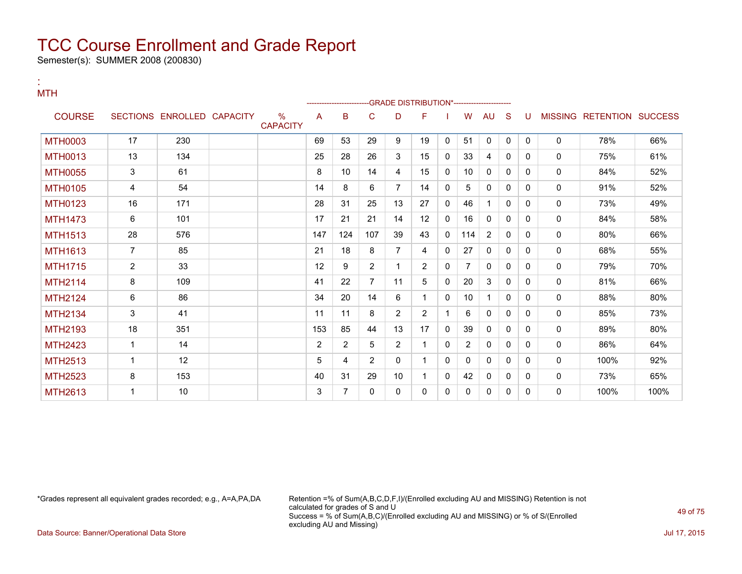Semester(s): SUMMER 2008 (200830)

| MIH            |                |                            |                         |     | -------------------- |                |                       | -GRADE DISTRIBUTION*---------------------- |              |                |                |              |              |              |                           |      |
|----------------|----------------|----------------------------|-------------------------|-----|----------------------|----------------|-----------------------|--------------------------------------------|--------------|----------------|----------------|--------------|--------------|--------------|---------------------------|------|
| <b>COURSE</b>  |                | SECTIONS ENROLLED CAPACITY | $\%$<br><b>CAPACITY</b> | A   | B                    | C              | D                     | F                                          |              | W              | <b>AU</b>      | <sub>S</sub> | U            |              | MISSING RETENTION SUCCESS |      |
| <b>MTH0003</b> | 17             | 230                        |                         | 69  | 53                   | 29             | 9                     | 19                                         | $\mathbf{0}$ | 51             | $\mathbf 0$    | $\mathbf{0}$ | $\mathbf{0}$ | $\mathbf 0$  | 78%                       | 66%  |
| <b>MTH0013</b> | 13             | 134                        |                         | 25  | 28                   | 26             | 3                     | 15                                         | $\mathbf{0}$ | 33             | 4              | 0            | $\mathbf{0}$ | 0            | 75%                       | 61%  |
| <b>MTH0055</b> | 3              | 61                         |                         | 8   | 10                   | 14             | $\overline{4}$        | 15                                         | $\mathbf{0}$ | 10             | $\mathbf{0}$   | 0            | $\Omega$     | 0            | 84%                       | 52%  |
| <b>MTH0105</b> | 4              | 54                         |                         | 14  | 8                    | 6              | $\overline{7}$        | 14                                         | $\Omega$     | 5              | $\mathbf{0}$   | 0            | $\Omega$     | 0            | 91%                       | 52%  |
| <b>MTH0123</b> | 16             | 171                        |                         | 28  | 31                   | 25             | 13                    | 27                                         | $\mathbf{0}$ | 46             | 1              | $\Omega$     | 0            | $\mathbf{0}$ | 73%                       | 49%  |
| <b>MTH1473</b> | 6              | 101                        |                         | 17  | 21                   | 21             | 14                    | 12                                         | $\mathbf{0}$ | 16             | 0              | 0            | 0            | $\mathbf{0}$ | 84%                       | 58%  |
| <b>MTH1513</b> | 28             | 576                        |                         | 147 | 124                  | 107            | 39                    | 43                                         | $\mathbf{0}$ | 114            | $\overline{2}$ | 0            | 0            | 0            | 80%                       | 66%  |
| <b>MTH1613</b> | $\overline{7}$ | 85                         |                         | 21  | 18                   | 8              | $\overline{7}$        | 4                                          | $\mathbf{0}$ | 27             | $\mathbf{0}$   | 0            | 0            | 0            | 68%                       | 55%  |
| <b>MTH1715</b> | 2              | 33                         |                         | 12  | 9                    | $\overline{2}$ |                       | 2                                          | $\Omega$     | 7              | $\mathbf{0}$   | $\Omega$     | $\Omega$     | $\mathbf{0}$ | 79%                       | 70%  |
| <b>MTH2114</b> | 8              | 109                        |                         | 41  | 22                   | 7              | 11                    | 5                                          | $\Omega$     | 20             | 3              | $\Omega$     | 0            | 0            | 81%                       | 66%  |
| <b>MTH2124</b> | 6              | 86                         |                         | 34  | 20                   | 14             | 6                     |                                            | $\mathbf{0}$ | 10             | 1              | $\mathbf{0}$ | 0            | $\mathbf 0$  | 88%                       | 80%  |
| <b>MTH2134</b> | 3              | 41                         |                         | 11  | 11                   | 8              | $\overline{2}$        | $\overline{2}$                             | 1            | 6              | 0              | 0            | $\Omega$     | 0            | 85%                       | 73%  |
| MTH2193        | 18             | 351                        |                         | 153 | 85                   | 44             | 13                    | 17                                         | $\Omega$     | 39             | $\mathbf{0}$   | $\Omega$     | $\Omega$     | 0            | 89%                       | 80%  |
| <b>MTH2423</b> | 1              | 14                         |                         | 2   | $\overline{2}$       | 5              | $\mathbf{2}^{\prime}$ |                                            | $\mathbf{0}$ | $\overline{2}$ | $\mathbf{0}$   | 0            | $\mathbf{0}$ | $\mathbf{0}$ | 86%                       | 64%  |
| <b>MTH2513</b> | 1              | 12                         |                         | 5   | 4                    | $\overline{2}$ | $\Omega$              |                                            | $\Omega$     | $\Omega$       | $\Omega$       | $\Omega$     | 0            | $\mathbf{0}$ | 100%                      | 92%  |
| <b>MTH2523</b> | 8              | 153                        |                         | 40  | 31                   | 29             | 10                    |                                            | $\mathbf{0}$ | 42             | 0              | 0            | 0            | 0            | 73%                       | 65%  |
| MTH2613        | 1              | 10                         |                         | 3   | 7                    | 0              | 0                     | 0                                          | 0            | 0              | 0              | 0            | 0            | 0            | 100%                      | 100% |

: MTH

\*Grades represent all equivalent grades recorded; e.g., A=A,PA,DA Retention =% of Sum(A,B,C,D,F,I)/(Enrolled excluding AU and MISSING) Retention is not calculated for grades of S and U Success = % of Sum(A,B,C)/(Enrolled excluding AU and MISSING) or % of S/(Enrolled excluding AU and Missing)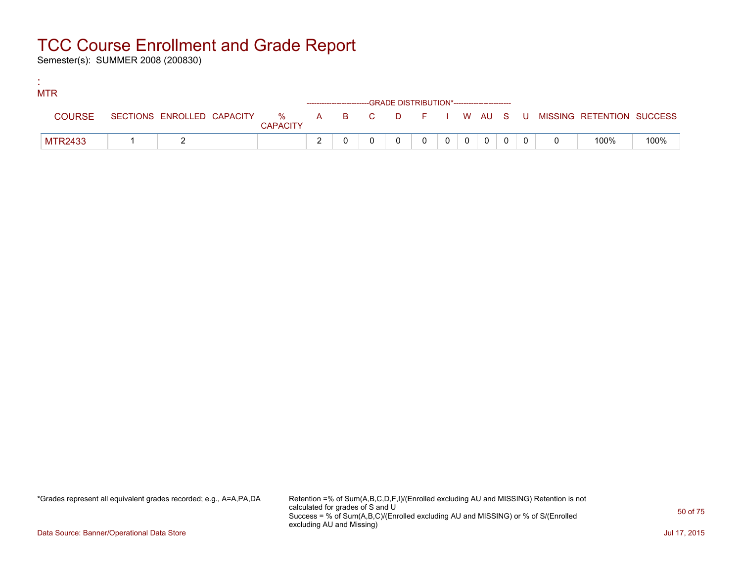Semester(s): SUMMER 2008 (200830)

:

| <b>MTR</b>     |  |                 |                                                                                 |  |          |                |                |                |  |                                                                             |      |
|----------------|--|-----------------|---------------------------------------------------------------------------------|--|----------|----------------|----------------|----------------|--|-----------------------------------------------------------------------------|------|
|                |  |                 | ------------------------GRADE            DISTRIBUTION*------------------------- |  |          |                |                |                |  |                                                                             |      |
| <b>COURSE</b>  |  | <b>CAPACITY</b> |                                                                                 |  |          |                |                |                |  | SECTIONS ENROLLED CAPACITY % A B C D F I W AU S U MISSING RETENTION SUCCESS |      |
| <b>MTR2433</b> |  |                 |                                                                                 |  | $\Omega$ | 0 <sup>1</sup> | $\overline{0}$ | $\overline{0}$ |  | 100%                                                                        | 100% |

\*Grades represent all equivalent grades recorded; e.g., A=A,PA,DA Retention =% of Sum(A,B,C,D,F,I)/(Enrolled excluding AU and MISSING) Retention is not calculated for grades of S and U Success = % of Sum(A,B,C)/(Enrolled excluding AU and MISSING) or % of S/(Enrolled excluding AU and Missing)

Data Source: Banner/Operational Data Store Jul 17, 2015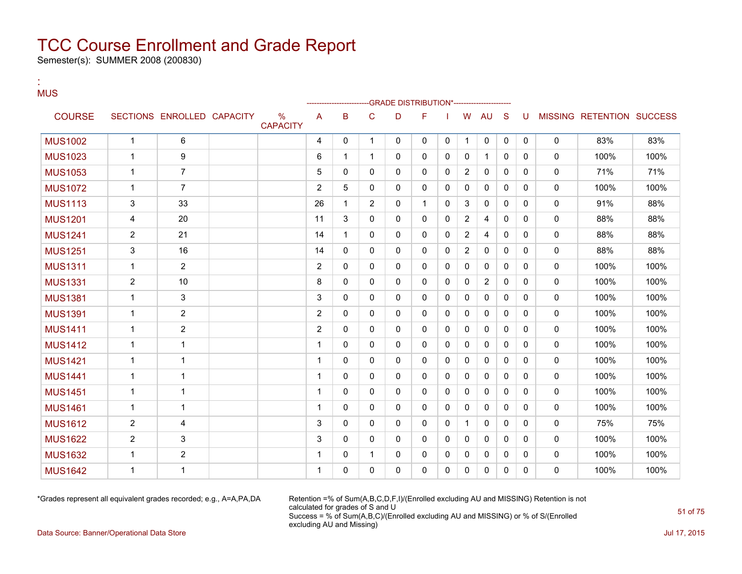Semester(s): SUMMER 2008 (200830)

:

### MUS --GRADE DISTRIBUTION\*------------------------COURSE SECTIONS ENROLLED CAPACITY % **CAPACITY** A B C D F I W AU S U MISSING RETENTION SUCCESS MUS1002 | 1 | 6 | | 4 | 0 | 1 | 0 | 0 | 0 | 1 | 0 | 0 | 0 | 83% | 83% MUS1023 | 1 | 9 | | 6 |1 | 1 | 0 | 0 |0 |1 | 0 | 0 | 0 | 100% | 100% MUS1053 1 7 5 0 0 0 0 0 2 0 0 0 71% 71% MUS1072 1 7 2 5 0 0 0 0 0 0 0 0 0 100% 100% MUS1113 | 3 | 33 | | 26 | 1 | 2 | 0 | 1 | 0 | 3 | 0 | 0 | 0 | 0 | 91% | 88% MUS1201 | 4 | 20 | | 11 | 3 | 0 | 0 | 0 | 2 | 4 | 0 | 0 | 0 | 88% | 88% | 88% MUS1241 | 2 | 21 | | 14 | 1 | 0 | 0 | 0 | 2 | 4 | 0 | 0 | 0 | 88% | 88% MUS1251 | 3 | 16 | | 14 | 0 | 0 | 0 | 0 | 2 | 0 | 0 | 0 | 88% | 88% | 88% MUS1311 1 2 2 0 0 0 0 0 0 0 0 0 0 100% 100% MUS1331 | 2 | 10 | | 8 |0 |0 |0 |0 |0 |2 |0 |0 | 0 | 100% | 100% MUS1381 1 3 3 0 0 0 0 0 0 0 0 0 0 100% 100% MUS1391 1 2 2 0 0 0 0 0 0 0 0 0 0 100% 100% MUS1411 1 2 2 0 0 0 0 0 0 0 0 0 0 100% 100% MUS1412 1 1 1 0 0 0 0 0 0 0 0 0 0 100% 100% MUS1421 1 1 1 0 0 0 0 0 0 0 0 0 0 100% 100% MUS1441 1 1 1 0 0 0 0 0 0 0 0 0 0 100% 100% MUS1451 1 1 1 0 0 0 0 0 0 0 0 0 0 100% 100% MUS1461 1 1 1 0 0 0 0 0 0 0 0 0 0 100% 100% MUS1612 | 2 | 4 | | | | | | 3 | 0 | 0 | 0 | 0 | 1 | 0 | 0 | 0 | 0 | 75% | 75% | 75% MUS1622 2 3 3 0 0 0 0 0 0 0 0 0 0 100% 100% MUS1632 1 2 1 0 1 0 0 0 0 0 0 0 0 100% 100% MUS1642 1 1 1 0 0 0 0 0 0 0 0 0 0 100% 100%

\*Grades represent all equivalent grades recorded; e.g., A=A,PA,DA Retention =% of Sum(A,B,C,D,F,I)/(Enrolled excluding AU and MISSING) Retention is not calculated for grades of S and U Success = % of Sum(A,B,C)/(Enrolled excluding AU and MISSING) or % of S/(Enrolled excluding AU and Missing)

Data Source: Banner/Operational Data Store Jul 17, 2015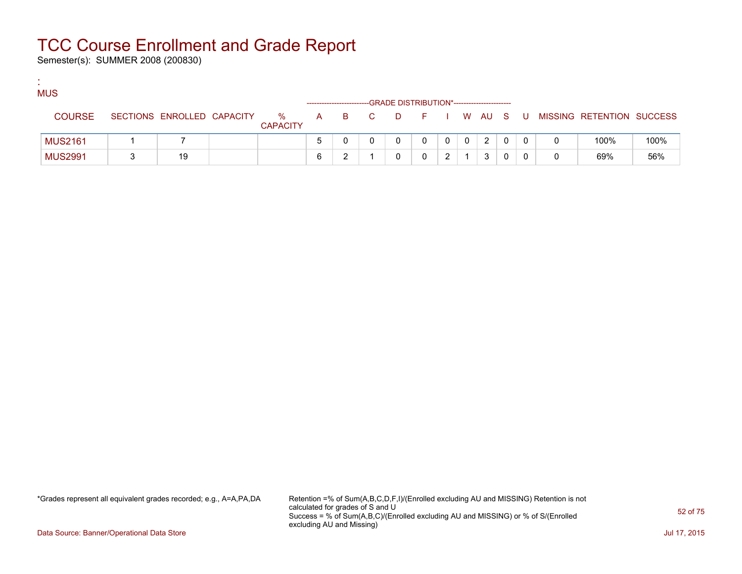Semester(s): SUMMER 2008 (200830)

:

| <b>MUS</b>     |                            |                         |   |     | -GRADE DISTRIBUTION*----------------------- |         |   |          |                |     |                           |      |
|----------------|----------------------------|-------------------------|---|-----|---------------------------------------------|---------|---|----------|----------------|-----|---------------------------|------|
| <b>COURSE</b>  | SECTIONS ENROLLED CAPACITY | $\%$<br><b>CAPACITY</b> | A | B C | $\Box$                                      | - F - 1 |   |          | I WAUS         | -U. | MISSING RETENTION SUCCESS |      |
| <b>MUS2161</b> |                            |                         | b |     |                                             |         |   | $\Omega$ | $\overline{2}$ |     | 100%                      | 100% |
| <b>MUS2991</b> | 19                         |                         | 6 |     |                                             |         | ◠ |          | 3              |     | 69%                       | 56%  |

\*Grades represent all equivalent grades recorded; e.g., A=A,PA,DA Retention =% of Sum(A,B,C,D,F,I)/(Enrolled excluding AU and MISSING) Retention is not calculated for grades of S and U Success = % of Sum(A,B,C)/(Enrolled excluding AU and MISSING) or % of S/(Enrolled excluding AU and Missing)

Data Source: Banner/Operational Data Store Jul 17, 2015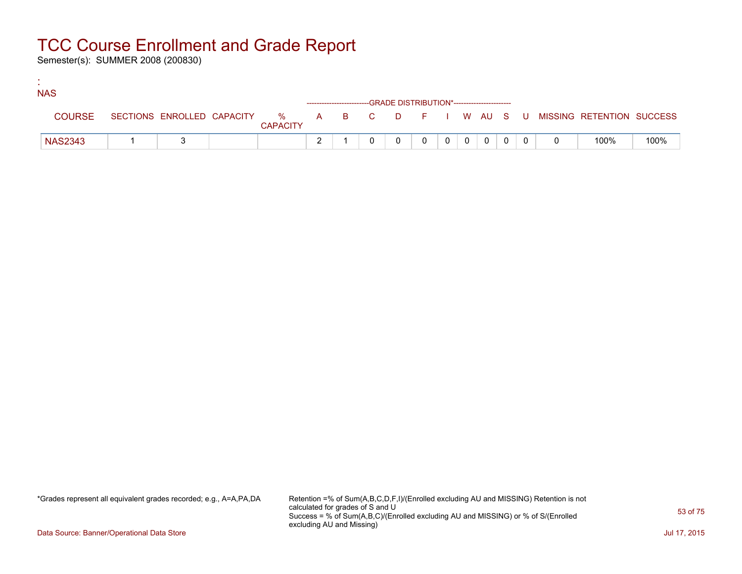Semester(s): SUMMER 2008 (200830)

:

| <b>NAS</b>     |  |                 |  |                                                                    |                |          |                |  |                                                                             |      |
|----------------|--|-----------------|--|--------------------------------------------------------------------|----------------|----------|----------------|--|-----------------------------------------------------------------------------|------|
|                |  |                 |  | ------------------------GRADE DISTRIBUTION*----------------------- |                |          |                |  |                                                                             |      |
| <b>COURSE</b>  |  | <b>CAPACITY</b> |  |                                                                    |                |          |                |  | SECTIONS ENROLLED CAPACITY % A B C D F I W AU S U MISSING RETENTION SUCCESS |      |
| <b>NAS2343</b> |  |                 |  |                                                                    | $\overline{0}$ | $\Omega$ | $\overline{0}$ |  | 100%                                                                        | 100% |

\*Grades represent all equivalent grades recorded; e.g., A=A,PA,DA Retention =% of Sum(A,B,C,D,F,I)/(Enrolled excluding AU and MISSING) Retention is not calculated for grades of S and U Success = % of Sum(A,B,C)/(Enrolled excluding AU and MISSING) or % of S/(Enrolled excluding AU and Missing)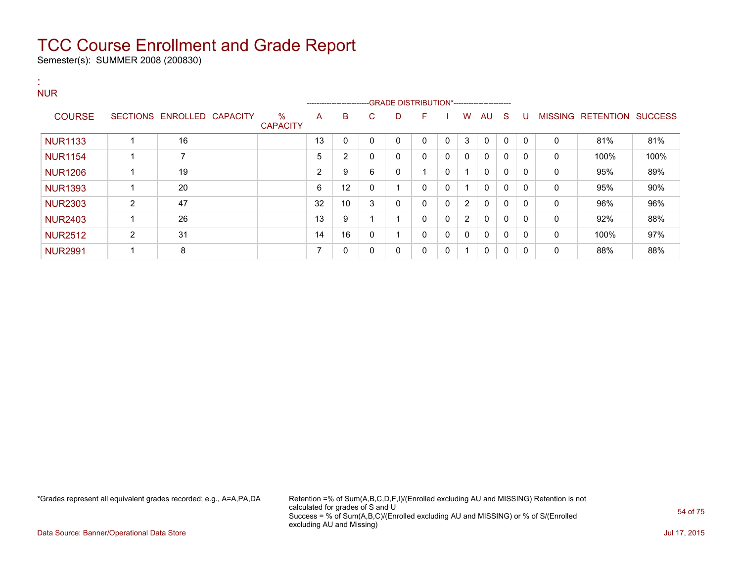Semester(s): SUMMER 2008 (200830)

:

| <b>NUR</b>     |   |                            |                         |                          | ---------------------- |          | -- GRADE DISTRIBUTION*----------------------- |              |   |                         |             |          |              |              |                   |                |
|----------------|---|----------------------------|-------------------------|--------------------------|------------------------|----------|-----------------------------------------------|--------------|---|-------------------------|-------------|----------|--------------|--------------|-------------------|----------------|
| <b>COURSE</b>  |   | SECTIONS ENROLLED CAPACITY | $\%$<br><b>CAPACITY</b> | A                        | B                      | C        | D                                             | F            |   | W                       | AU          | - S      | U            |              | MISSING RETENTION | <b>SUCCESS</b> |
| <b>NUR1133</b> |   | 16                         |                         | 13                       | $\Omega$               | $\Omega$ | 0                                             | $\mathbf{0}$ | 0 | 3                       | $\mathbf 0$ | 0        | $\Omega$     | $\Omega$     | 81%               | 81%            |
| <b>NUR1154</b> |   | 7                          |                         | 5                        | $\overline{2}$         | 0        | 0                                             | $\Omega$     | 0 | $\Omega$                | $\mathbf 0$ | 0        | 0            | 0            | 100%              | 100%           |
| <b>NUR1206</b> |   | 19                         |                         | 2                        | 9                      | 6        | 0                                             |              | 0 |                         | $\Omega$    | 0        | 0            | 0            | 95%               | 89%            |
| <b>NUR1393</b> |   | 20                         |                         | 6                        | 12                     | 0        | $\overline{\mathbf{A}}$                       | $\Omega$     | 0 |                         | $\Omega$    | $\Omega$ | 0            | 0            | 95%               | 90%            |
| <b>NUR2303</b> | 2 | 47                         |                         | 32                       | 10                     | 3        | $\mathbf 0$                                   | $\Omega$     | 0 | 2                       | $\Omega$    | 0        | $\mathbf{0}$ | 0            | 96%               | 96%            |
| <b>NUR2403</b> |   | 26                         |                         | 13                       | 9                      |          |                                               | 0            | 0 | 2                       | 0           | 0        | 0            | 0            | 92%               | 88%            |
| <b>NUR2512</b> | 2 | 31                         |                         | 14                       | 16                     | 0        |                                               | 0            | 0 | $\mathbf{0}$            | $\mathbf 0$ | $\Omega$ | $\Omega$     | $\mathbf{0}$ | 100%              | 97%            |
| <b>NUR2991</b> |   | 8                          |                         | $\overline{\phantom{a}}$ | 0                      | 0        | 0                                             | 0            | 0 | $\overline{\mathbf{A}}$ | 0           | 0        | 0            | 0            | 88%               | 88%            |

\*Grades represent all equivalent grades recorded; e.g., A=A,PA,DA Retention =% of Sum(A,B,C,D,F,I)/(Enrolled excluding AU and MISSING) Retention is not calculated for grades of S and U Success = % of Sum(A,B,C)/(Enrolled excluding AU and MISSING) or % of S/(Enrolled excluding AU and Missing)

Data Source: Banner/Operational Data Store Jul 17, 2015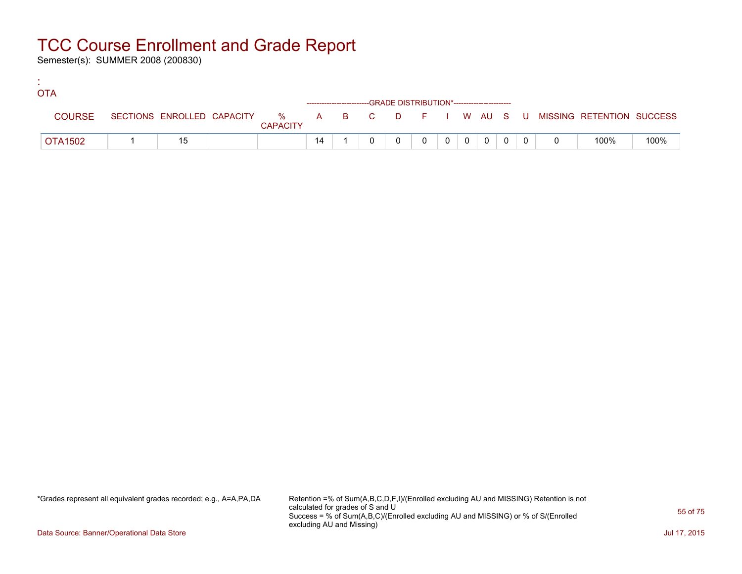Semester(s): SUMMER 2008 (200830)

:

| <b>OTA</b>     |    |                 |    |  |                                                                    |          |          |                |  |                                                                             |      |
|----------------|----|-----------------|----|--|--------------------------------------------------------------------|----------|----------|----------------|--|-----------------------------------------------------------------------------|------|
|                |    |                 |    |  | ------------------------GRADE DISTRIBUTION*----------------------- |          |          |                |  |                                                                             |      |
| <b>COURSE</b>  |    | <b>CAPACITY</b> |    |  |                                                                    |          |          |                |  | SECTIONS ENROLLED CAPACITY % A B C D F I W AU S U MISSING RETENTION SUCCESS |      |
| <b>OTA1502</b> | 15 |                 | 14 |  |                                                                    | $\Omega$ | $\Omega$ | $\overline{0}$ |  | 100%                                                                        | 100% |

\*Grades represent all equivalent grades recorded; e.g., A=A,PA,DA Retention =% of Sum(A,B,C,D,F,I)/(Enrolled excluding AU and MISSING) Retention is not calculated for grades of S and U Success = % of Sum(A,B,C)/(Enrolled excluding AU and MISSING) or % of S/(Enrolled excluding AU and Missing)

Data Source: Banner/Operational Data Store Jul 17, 2015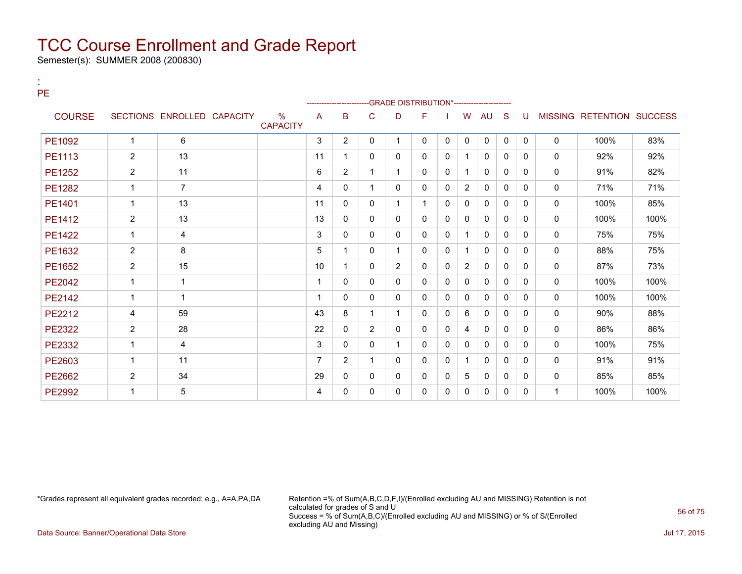Semester(s): SUMMER 2008 (200830)

:

|               |                |                            |                         |                |                |                |                | -GRADE DISTRIBUTION*---------------------- |              |                |              |              |          |              |                           |      |
|---------------|----------------|----------------------------|-------------------------|----------------|----------------|----------------|----------------|--------------------------------------------|--------------|----------------|--------------|--------------|----------|--------------|---------------------------|------|
| <b>COURSE</b> |                | SECTIONS ENROLLED CAPACITY | $\%$<br><b>CAPACITY</b> | A              | B              | C              | D              | F                                          |              | W              | AU           | S            | U        |              | MISSING RETENTION SUCCESS |      |
| PE1092        | 1              | 6                          |                         | 3              | $\overline{2}$ | $\mathbf{0}$   |                | 0                                          | $\Omega$     | 0              | 0            | $\mathbf{0}$ | 0        | 0            | 100%                      | 83%  |
| PE1113        | $\overline{c}$ | 13                         |                         | 11             |                | $\mathbf{0}$   | $\mathbf{0}$   | 0                                          | $\mathbf{0}$ |                | $\mathbf{0}$ | $\mathbf{0}$ | $\Omega$ | $\mathbf{0}$ | 92%                       | 92%  |
| <b>PE1252</b> | 2              | 11                         |                         | 6              | 2              | 1              |                | 0                                          | $\mathbf{0}$ |                | $\mathbf{0}$ | $\mathbf{0}$ | $\Omega$ | 0            | 91%                       | 82%  |
| <b>PE1282</b> |                | $\overline{7}$             |                         | 4              | $\Omega$       | 1              | 0              | 0                                          | $\mathbf{0}$ | $\overline{2}$ | 0            | $\mathbf{0}$ | 0        | 0            | 71%                       | 71%  |
| PE1401        |                | 13                         |                         | 11             | $\mathbf{0}$   | $\mathbf{0}$   |                |                                            | $\mathbf{0}$ | 0              | $\mathbf{0}$ | 0            | $\Omega$ | 0            | 100%                      | 85%  |
| PE1412        | $\overline{2}$ | 13                         |                         | 13             | $\mathbf{0}$   | $\mathbf{0}$   | 0              | $\mathbf{0}$                               | $\mathbf{0}$ | 0              | 0            | $\mathbf{0}$ | 0        | $\mathbf{0}$ | 100%                      | 100% |
| <b>PE1422</b> | $\overline{1}$ | 4                          |                         | 3              | 0              | 0              | 0              | 0                                          | $\mathbf{0}$ |                | 0            | 0            | 0        | 0            | 75%                       | 75%  |
| PE1632        | $\overline{2}$ | 8                          |                         | 5              | 1              | 0              |                | 0                                          | $\mathbf{0}$ |                | 0            | 0            | 0        | 0            | 88%                       | 75%  |
| PE1652        | 2              | 15                         |                         | 10             | 1              | 0              | $\overline{2}$ | 0                                          | $\mathbf{0}$ | $\overline{2}$ | $\mathbf{0}$ | 0            | $\Omega$ | 0            | 87%                       | 73%  |
| PE2042        | 1              | -1                         |                         |                | $\Omega$       | $\mathbf{0}$   | $\mathbf{0}$   | 0                                          | $\mathbf{0}$ | 0              | $\mathbf{0}$ | $\mathbf{0}$ | $\Omega$ | $\mathbf{0}$ | 100%                      | 100% |
| PE2142        | 1              | 1                          |                         |                | $\Omega$       | $\mathbf{0}$   | 0              | 0                                          | $\Omega$     | 0              | $\mathbf{0}$ | $\mathbf{0}$ | $\Omega$ | 0            | 100%                      | 100% |
| PE2212        | 4              | 59                         |                         | 43             | 8              | 1              |                | $\mathbf{0}$                               | $\mathbf{0}$ | 6              | $\mathbf{0}$ | $\mathbf{0}$ | $\Omega$ | 0            | 90%                       | 88%  |
| <b>PE2322</b> | 2              | 28                         |                         | 22             | $\mathbf{0}$   | $\overline{2}$ | $\mathbf{0}$   | $\mathbf{0}$                               | $\mathbf{0}$ | 4              | $\Omega$     | $\mathbf{0}$ | 0        | $\mathbf{0}$ | 86%                       | 86%  |
| PE2332        |                | 4                          |                         | 3              | $\Omega$       | $\mathbf{0}$   |                | $\Omega$                                   | $\Omega$     | 0              | 0            | $\Omega$     | $\Omega$ | 0            | 100%                      | 75%  |
| PE2603        | 1              | 11                         |                         | $\overline{7}$ | 2              | 1              | $\Omega$       | $\Omega$                                   | $\Omega$     |                | 0            | $\Omega$     | $\Omega$ | $\mathbf{0}$ | 91%                       | 91%  |
| <b>PE2662</b> | $\overline{2}$ | 34                         |                         | 29             | $\mathbf{0}$   | $\mathbf{0}$   | 0              | 0                                          | $\mathbf{0}$ | 5              | $\mathbf{0}$ | $\mathbf{0}$ | $\Omega$ | 0            | 85%                       | 85%  |
| <b>PE2992</b> |                | 5                          |                         | 4              | 0              | 0              | 0              | 0                                          | 0            | 0              | 0            | 0            | 0        | 1            | 100%                      | 100% |

\*Grades represent all equivalent grades recorded; e.g., A=A,PA,DA Retention =% of Sum(A,B,C,D,F,I)/(Enrolled excluding AU and MISSING) Retention is not calculated for grades of S and U Success = % of Sum(A,B,C)/(Enrolled excluding AU and MISSING) or % of S/(Enrolled excluding AU and Missing)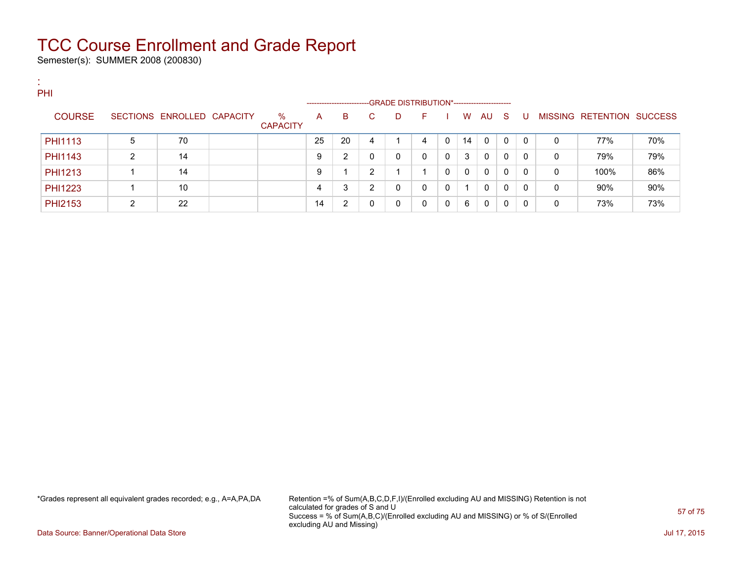Semester(s): SUMMER 2008 (200830)

:

| PHI            |                |                            |                         | ------------------- |    |    | -GRADE DISTRIBUTION*----------------------- |    |              |          |              |    |          |   |                           |     |
|----------------|----------------|----------------------------|-------------------------|---------------------|----|----|---------------------------------------------|----|--------------|----------|--------------|----|----------|---|---------------------------|-----|
| <b>COURSE</b>  |                | SECTIONS ENROLLED CAPACITY | $\%$<br><b>CAPACITY</b> | A                   | B  | C. | D                                           | F. |              | W        | AU           | -S | -U       |   | MISSING RETENTION SUCCESS |     |
| PHI1113        | 5              | 70                         |                         | 25                  | 20 | 4  |                                             |    |              | 14       | 0            | 0  | $\Omega$ | 0 | 77%                       | 70% |
| <b>PHI1143</b> | $\overline{2}$ | 14                         |                         | 9                   | 2  |    | 0                                           | 0  | $\Omega$     | 3        | 0            | 0  | $\Omega$ | 0 | 79%                       | 79% |
| PHI1213        |                | 14                         |                         | 9                   |    | ◠  |                                             |    |              | $\Omega$ | $\mathbf{0}$ | 0  | $\Omega$ | 0 | 100%                      | 86% |
| <b>PHI1223</b> |                | 10                         |                         | 4                   | 3  | ◠  | 0                                           | 0  | $\mathbf{0}$ | -1       | $\mathbf{0}$ | 0  | $\Omega$ | 0 | 90%                       | 90% |
| <b>PHI2153</b> | າ              | 22                         |                         | 14                  | 2  |    | 0                                           | 0  | $\Omega$     | 6        | 0            | 0  | 0        | 0 | 73%                       | 73% |

\*Grades represent all equivalent grades recorded; e.g., A=A,PA,DA Retention =% of Sum(A,B,C,D,F,I)/(Enrolled excluding AU and MISSING) Retention is not calculated for grades of S and U Success = % of Sum(A,B,C)/(Enrolled excluding AU and MISSING) or % of S/(Enrolled excluding AU and Missing)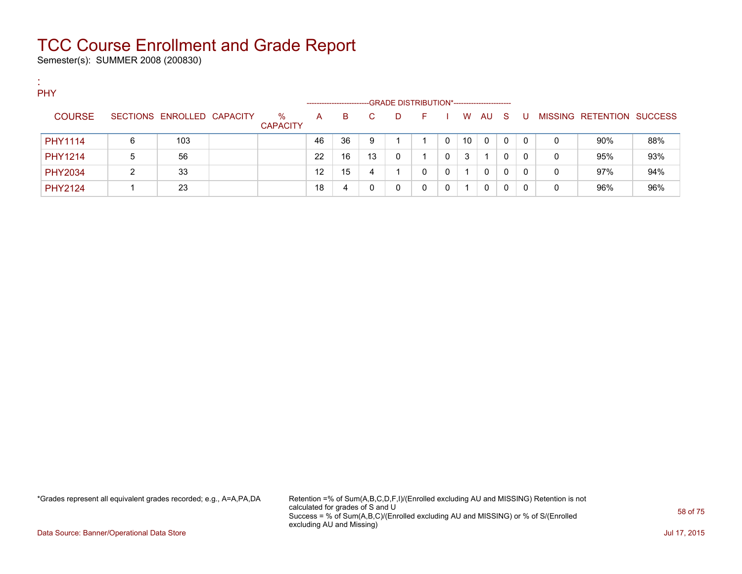Semester(s): SUMMER 2008 (200830)

:

| <b>PHY</b>     |   |                            |                         |                     |    |    |                                             |   |   |    |          |          |          |   |                                  |     |
|----------------|---|----------------------------|-------------------------|---------------------|----|----|---------------------------------------------|---|---|----|----------|----------|----------|---|----------------------------------|-----|
|                |   |                            |                         | ------------------- |    |    | -GRADE DISTRIBUTION*----------------------- |   |   |    |          |          |          |   |                                  |     |
| <b>COURSE</b>  |   | SECTIONS ENROLLED CAPACITY | $\%$<br><b>CAPACITY</b> | A                   | B. | C. | D                                           | F |   | W  | AU       | - S      | -0       |   | <b>MISSING RETENTION SUCCESS</b> |     |
| PHY1114        | 6 | 103                        |                         | 46                  | 36 | 9  |                                             |   | 0 | 10 | $\Omega$ | $\Omega$ | $\Omega$ | 0 | 90%                              | 88% |
| PHY1214        | 5 | 56                         |                         | 22                  | 16 | 13 | 0                                           |   | 0 | 3  |          | 0        | 0        | 0 | 95%                              | 93% |
| <b>PHY2034</b> | ົ | 33                         |                         | 12                  | 15 | 4  |                                             |   | 0 |    | $\Omega$ | $\Omega$ | $\Omega$ | 0 | 97%                              | 94% |
| <b>PHY2124</b> |   | 23                         |                         | 18                  |    |    | 0                                           |   | 0 |    | 0        | 0        | 0        | 0 | 96%                              | 96% |

\*Grades represent all equivalent grades recorded; e.g., A=A,PA,DA Retention =% of Sum(A,B,C,D,F,I)/(Enrolled excluding AU and MISSING) Retention is not calculated for grades of S and U Success = % of Sum(A,B,C)/(Enrolled excluding AU and MISSING) or % of S/(Enrolled excluding AU and Missing)

Data Source: Banner/Operational Data Store Jul 17, 2015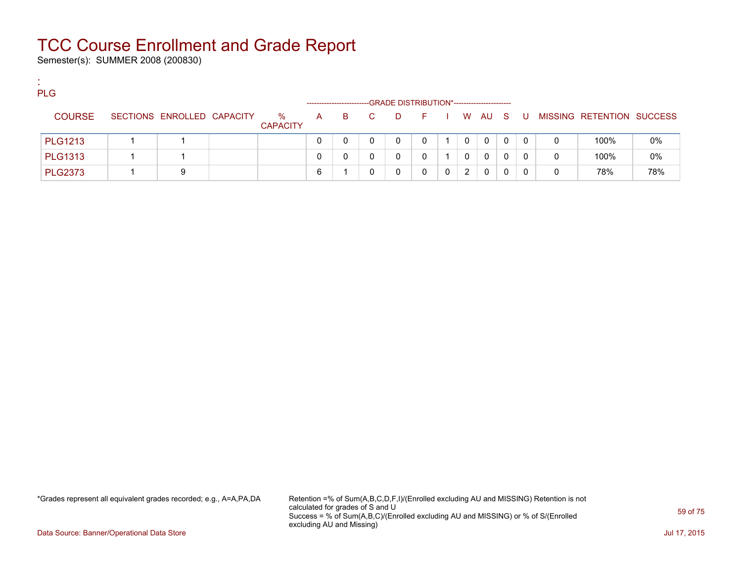Semester(s): SUMMER 2008 (200830)

:

| <b>PLG</b>     |                            |                         |   | ---------------------- |    | -GRADE DISTRIBUTION*----------------------- |               |   |        |   |          |   |                           |     |
|----------------|----------------------------|-------------------------|---|------------------------|----|---------------------------------------------|---------------|---|--------|---|----------|---|---------------------------|-----|
| <b>COURSE</b>  | SECTIONS ENROLLED CAPACITY | $\%$<br><b>CAPACITY</b> | A | B                      | C. | D                                           | <b>Figure</b> |   | W AU S |   | <b>U</b> |   | MISSING RETENTION SUCCESS |     |
| <b>PLG1213</b> |                            |                         |   |                        |    | 0                                           |               | 0 | 0      | 0 |          | 0 | 100%                      | 0%  |
| <b>PLG1313</b> |                            |                         |   |                        |    | 0                                           |               | 0 | 0      | 0 |          | 0 | 100%                      | 0%  |
| <b>PLG2373</b> | 9                          |                         |   |                        |    | 0                                           |               | 2 | 0      | 0 |          |   | 78%                       | 78% |

\*Grades represent all equivalent grades recorded; e.g., A=A,PA,DA Retention =% of Sum(A,B,C,D,F,I)/(Enrolled excluding AU and MISSING) Retention is not calculated for grades of S and U Success = % of Sum(A,B,C)/(Enrolled excluding AU and MISSING) or % of S/(Enrolled excluding AU and Missing)

Data Source: Banner/Operational Data Store Jul 17, 2015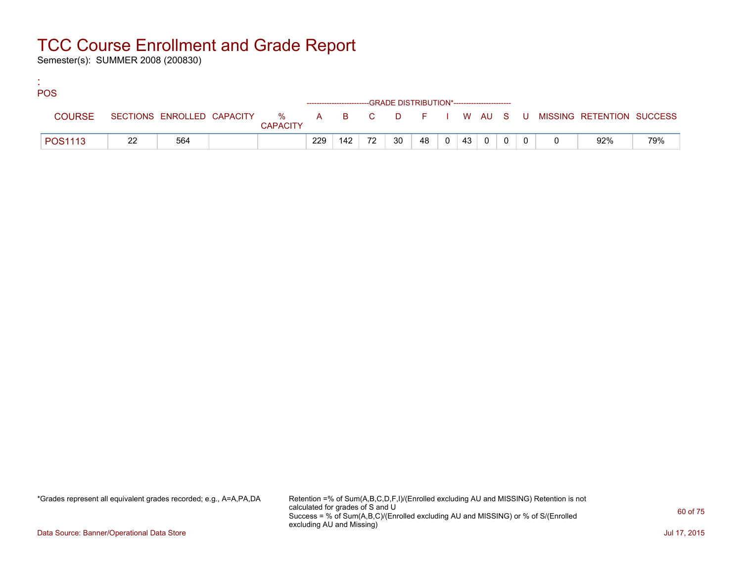Semester(s): SUMMER 2008 (200830)

:

| <b>POS</b>    |    |     |                 |     |     |    |                                              |    |                         |    |                |  |                                                                             |     |
|---------------|----|-----|-----------------|-----|-----|----|----------------------------------------------|----|-------------------------|----|----------------|--|-----------------------------------------------------------------------------|-----|
|               |    |     |                 |     |     |    | --GRADE DISTRIBUTION*----------------------- |    |                         |    |                |  |                                                                             |     |
| <b>COURSE</b> |    |     | <b>CAPACITY</b> |     |     |    |                                              |    |                         |    |                |  | SECTIONS ENROLLED CAPACITY % A B C D F I W AU S U MISSING RETENTION SUCCESS |     |
| POS1113       | 22 | 564 |                 | 229 | 142 | 72 | 30                                           | 48 | $^{\circ}$ 0 $^{\circ}$ | 43 | $\overline{0}$ |  | 92%                                                                         | 79% |

\*Grades represent all equivalent grades recorded; e.g., A=A,PA,DA Retention =% of Sum(A,B,C,D,F,I)/(Enrolled excluding AU and MISSING) Retention is not calculated for grades of S and U Success = % of Sum(A,B,C)/(Enrolled excluding AU and MISSING) or % of S/(Enrolled excluding AU and Missing)

Data Source: Banner/Operational Data Store Jul 17, 2015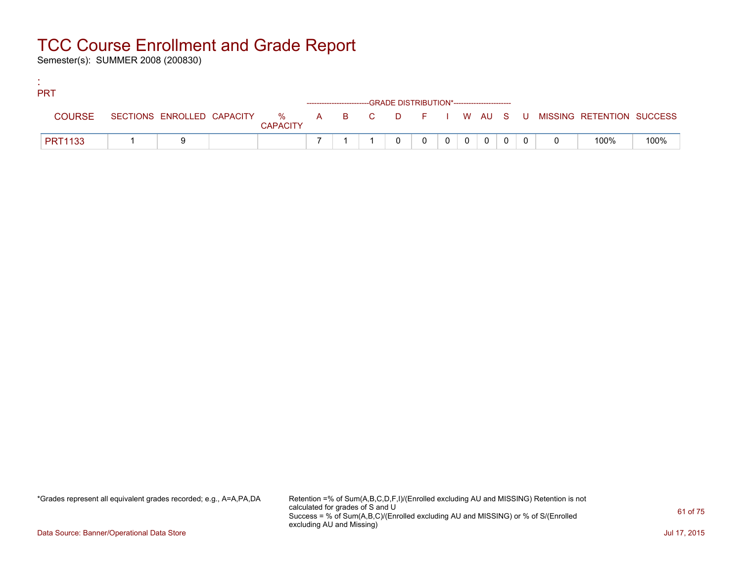Semester(s): SUMMER 2008 (200830)

:

| <b>PRT</b> |                |  |                 |  |                                                                    |          |          |                |  |                                                                             |      |
|------------|----------------|--|-----------------|--|--------------------------------------------------------------------|----------|----------|----------------|--|-----------------------------------------------------------------------------|------|
|            |                |  |                 |  | ------------------------GRADE DISTRIBUTION*----------------------- |          |          |                |  |                                                                             |      |
|            | <b>COURSE</b>  |  | <b>CAPACITY</b> |  |                                                                    |          |          |                |  | SECTIONS ENROLLED CAPACITY % A B C D F I W AU S U MISSING RETENTION SUCCESS |      |
|            | <b>PRT1133</b> |  |                 |  |                                                                    | $\Omega$ | $\Omega$ | $\overline{0}$ |  | 100%                                                                        | 100% |

\*Grades represent all equivalent grades recorded; e.g., A=A,PA,DA Retention =% of Sum(A,B,C,D,F,I)/(Enrolled excluding AU and MISSING) Retention is not calculated for grades of S and U Success = % of Sum(A,B,C)/(Enrolled excluding AU and MISSING) or % of S/(Enrolled excluding AU and Missing)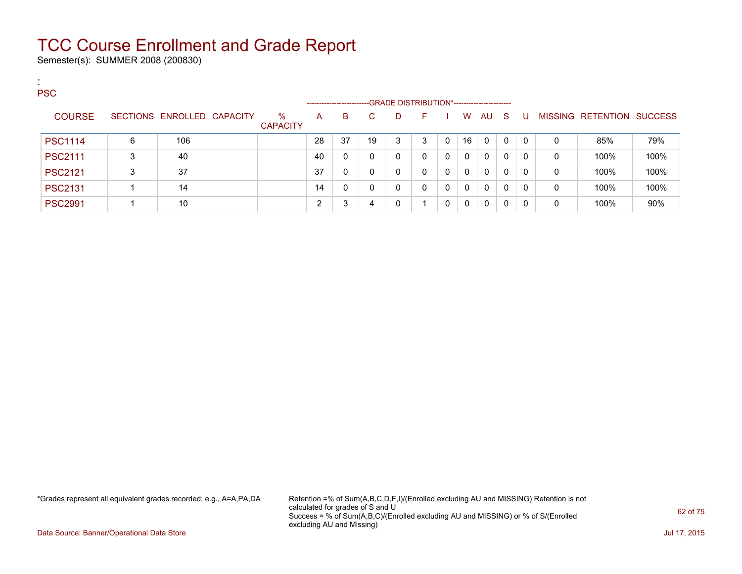Semester(s): SUMMER 2008 (200830)

:

| . .<br><b>PSC</b> |   |                            |                         |                           |    |    | -GRADE DISTRIBUTION*----------------------- |          |          |              |          |              |              |   |                           |      |
|-------------------|---|----------------------------|-------------------------|---------------------------|----|----|---------------------------------------------|----------|----------|--------------|----------|--------------|--------------|---|---------------------------|------|
| <b>COURSE</b>     |   | SECTIONS ENROLLED CAPACITY | $\%$<br><b>CAPACITY</b> | --------------------<br>A | B. | C. | D.                                          | F.       |          | W            | AU.      | <sub>S</sub> | U            |   | MISSING RETENTION SUCCESS |      |
| <b>PSC1114</b>    | 6 | 106                        |                         | 28                        | 37 | 19 | 3                                           | 3        | $\Omega$ | 16           | $\Omega$ | $\Omega$     | $\Omega$     | 0 | 85%                       | 79%  |
| <b>PSC2111</b>    | 3 | 40                         |                         | 40                        | 0  | 0  | $\mathbf{0}$                                | 0        | $\Omega$ | $\mathbf{0}$ | $\Omega$ | $\Omega$     | $\mathbf{0}$ | 0 | 100%                      | 100% |
| <b>PSC2121</b>    | 3 | 37                         |                         | 37                        |    | 0  | 0                                           | 0        | 0        | $\Omega$     | $\Omega$ | $\Omega$     | $\mathbf{0}$ | 0 | 100%                      | 100% |
| <b>PSC2131</b>    |   | 14                         |                         | 14                        | 0  | 0  | 0                                           | $\Omega$ | 0        | $\Omega$     | $\Omega$ | 0            | 0            | 0 | 100%                      | 100% |
| <b>PSC2991</b>    |   | 10                         |                         |                           | 3  |    | 0                                           |          | 0        | $\Omega$     | $\Omega$ | 0            | 0            | 0 | 100%                      | 90%  |

\*Grades represent all equivalent grades recorded; e.g., A=A,PA,DA Retention =% of Sum(A,B,C,D,F,I)/(Enrolled excluding AU and MISSING) Retention is not calculated for grades of S and U Success = % of Sum(A,B,C)/(Enrolled excluding AU and MISSING) or % of S/(Enrolled excluding AU and Missing)

Data Source: Banner/Operational Data Store **July 17, 2015**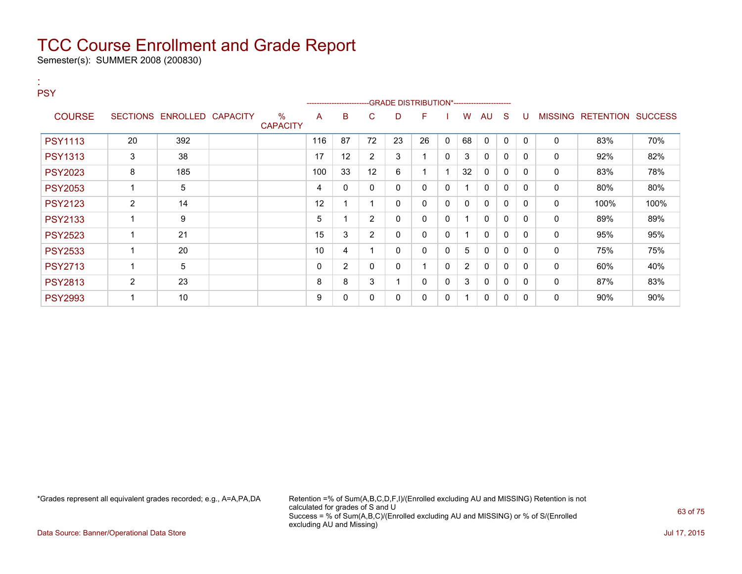Semester(s): SUMMER 2008 (200830)

:

| <b>PSY</b>     |                |                            |                      |     | -----------------------  |                | -GRADE DISTRIBUTION*----------------------- |              |              |                |              |              |          |              |                                  |      |
|----------------|----------------|----------------------------|----------------------|-----|--------------------------|----------------|---------------------------------------------|--------------|--------------|----------------|--------------|--------------|----------|--------------|----------------------------------|------|
| <b>COURSE</b>  |                | SECTIONS ENROLLED CAPACITY | %<br><b>CAPACITY</b> | A   | B                        | C              | D                                           | F            |              | W              | AU           | -S           | U        |              | <b>MISSING RETENTION SUCCESS</b> |      |
| <b>PSY1113</b> | 20             | 392                        |                      | 116 | 87                       | 72             | 23                                          | 26           | $\Omega$     | 68             | 0            | $\mathbf{0}$ | $\Omega$ | 0            | 83%                              | 70%  |
| <b>PSY1313</b> | 3              | 38                         |                      | 17  | 12 <sup>2</sup>          | $\overline{2}$ | 3                                           |              | 0            | 3              | $\mathbf 0$  | 0            | $\Omega$ | $\mathbf{0}$ | 92%                              | 82%  |
| <b>PSY2023</b> | 8              | 185                        |                      | 100 | 33                       | 12             | 6                                           |              |              | 32             | 0            | 0            | $\Omega$ | 0            | 83%                              | 78%  |
| <b>PSY2053</b> | 1              | 5                          |                      | 4   | 0                        | $\mathbf{0}$   | 0                                           | $\mathbf{0}$ | 0            | 1              | $\mathbf{0}$ | $\mathbf{0}$ | $\Omega$ | $\mathbf{0}$ | 80%                              | 80%  |
| <b>PSY2123</b> | $\overline{2}$ | 14                         |                      | 12  | $\overline{\phantom{a}}$ |                | 0                                           | 0            | 0            | 0              | 0            | 0            | $\Omega$ | 0            | 100%                             | 100% |
| <b>PSY2133</b> | 1              | 9                          |                      | 5   |                          | $\overline{2}$ | 0                                           | 0            | 0            | 1              | 0            | 0            | $\Omega$ | 0            | 89%                              | 89%  |
| <b>PSY2523</b> | 1              | 21                         |                      | 15  | 3                        | $\overline{2}$ | $\Omega$                                    | $\mathbf{0}$ | 0            | 1              | $\mathbf{0}$ | 0            | $\Omega$ | $\mathbf{0}$ | 95%                              | 95%  |
| <b>PSY2533</b> | 1              | 20                         |                      | 10  | 4                        |                | 0                                           | 0            | 0            | 5              | 0            | 0            | $\Omega$ | 0            | 75%                              | 75%  |
| <b>PSY2713</b> | 1              | 5                          |                      | 0   | $\overline{2}$           | 0              | 0                                           |              | 0            | $\overline{2}$ | 0            | 0            | $\Omega$ | 0            | 60%                              | 40%  |
| <b>PSY2813</b> | $\overline{2}$ | 23                         |                      | 8   | 8                        | 3              | 1                                           | $\mathbf{0}$ | $\mathbf{0}$ | 3              | $\mathbf{0}$ | $\mathbf 0$  | $\Omega$ | $\mathbf{0}$ | 87%                              | 83%  |
| <b>PSY2993</b> | 1              | 10                         |                      | 9   | 0                        | 0              | 0                                           | 0            | 0            | 1              | 0            | 0            | $\Omega$ | 0            | $90\%$                           | 90%  |

\*Grades represent all equivalent grades recorded; e.g., A=A,PA,DA Retention =% of Sum(A,B,C,D,F,I)/(Enrolled excluding AU and MISSING) Retention is not calculated for grades of S and U Success = % of Sum(A,B,C)/(Enrolled excluding AU and MISSING) or % of S/(Enrolled excluding AU and Missing)

Data Source: Banner/Operational Data Store **July 17, 2015**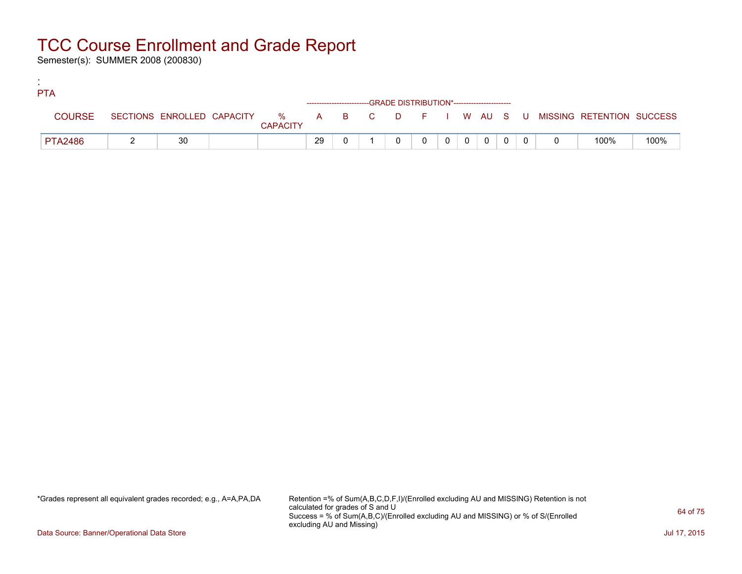Semester(s): SUMMER 2008 (200830)

:

| <b>PTA</b>     |    |                 |    |  |                                                                    |   |          |                |              |     |                                                                               |      |
|----------------|----|-----------------|----|--|--------------------------------------------------------------------|---|----------|----------------|--------------|-----|-------------------------------------------------------------------------------|------|
|                |    |                 |    |  | ------------------------GRADE DISTRIBUTION*----------------------- |   |          |                |              |     |                                                                               |      |
| <b>COURSE</b>  |    | <b>CAPACITY</b> |    |  |                                                                    |   |          |                |              |     | SECTIONS ENROLLED CAPACITY 5 % A B C D F I W AU S U MISSING RETENTION SUCCESS |      |
| <b>PTA2486</b> | 30 |                 | 29 |  |                                                                    | 0 | $\Omega$ | $\overline{0}$ | $\mathbf{0}$ | - 0 | 100%                                                                          | 100% |

\*Grades represent all equivalent grades recorded; e.g., A=A,PA,DA Retention =% of Sum(A,B,C,D,F,I)/(Enrolled excluding AU and MISSING) Retention is not calculated for grades of S and U Success = % of Sum(A,B,C)/(Enrolled excluding AU and MISSING) or % of S/(Enrolled excluding AU and Missing)

Data Source: Banner/Operational Data Store Jul 17, 2015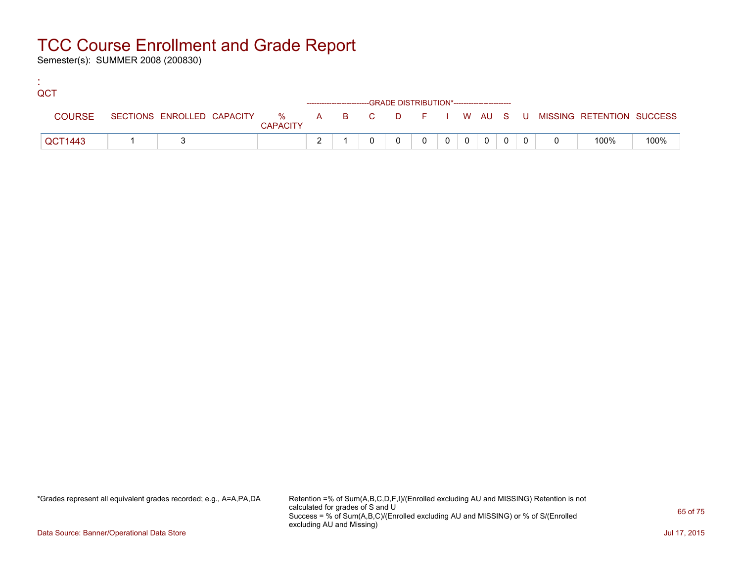Semester(s): SUMMER 2008 (200830)

:

| QCT           |  |                 |  |                                                                    |                |          |                         |  |                                                                               |      |
|---------------|--|-----------------|--|--------------------------------------------------------------------|----------------|----------|-------------------------|--|-------------------------------------------------------------------------------|------|
|               |  |                 |  | ------------------------GRADE DISTRIBUTION*----------------------- |                |          |                         |  |                                                                               |      |
| <b>COURSE</b> |  | <b>CAPACITY</b> |  |                                                                    |                |          |                         |  | SECTIONS ENROLLED CAPACITY 5 % A B C D F I W AU S U MISSING RETENTION SUCCESS |      |
| QCT1443       |  |                 |  |                                                                    | $\overline{0}$ | $\Omega$ | $\overline{\mathbf{0}}$ |  | 100%                                                                          | 100% |

\*Grades represent all equivalent grades recorded; e.g., A=A,PA,DA Retention =% of Sum(A,B,C,D,F,I)/(Enrolled excluding AU and MISSING) Retention is not calculated for grades of S and U Success = % of Sum(A,B,C)/(Enrolled excluding AU and MISSING) or % of S/(Enrolled excluding AU and Missing)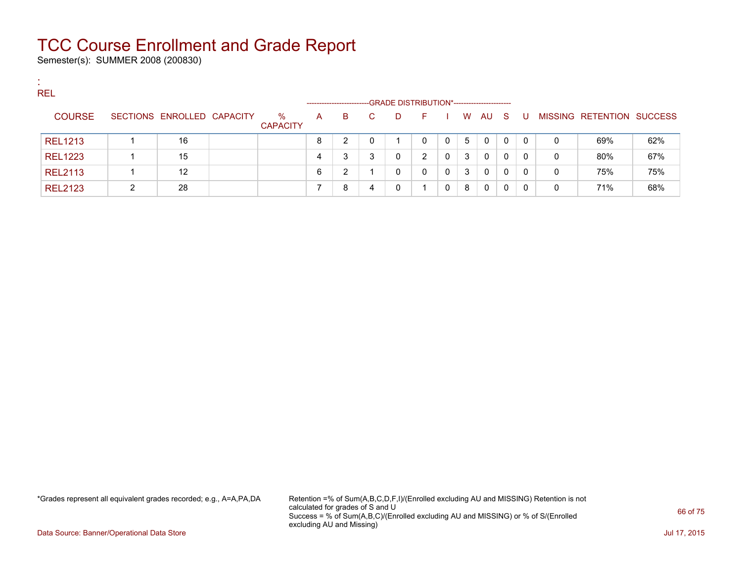Semester(s): SUMMER 2008 (200830)

:

| <b>REL</b>     |                            |                 |                       |    |    |                                             |    |                |    |          |              |          |   |                                  |     |
|----------------|----------------------------|-----------------|-----------------------|----|----|---------------------------------------------|----|----------------|----|----------|--------------|----------|---|----------------------------------|-----|
|                |                            |                 | --------------------- |    |    | -GRADE DISTRIBUTION*----------------------- |    |                |    |          |              |          |   |                                  |     |
| <b>COURSE</b>  | SECTIONS ENROLLED CAPACITY | $\%$            | A                     | B. | C. | D                                           | н. |                | W. | AU S     |              | . U      |   | <b>MISSING RETENTION SUCCESS</b> |     |
|                |                            | <b>CAPACITY</b> |                       |    |    |                                             |    |                |    |          |              |          |   |                                  |     |
| <b>REL1213</b> | 16                         |                 |                       | າ  |    |                                             |    | $\overline{0}$ | 5  | $\Omega$ | 0            | $\Omega$ | 0 | 69%                              | 62% |
| <b>REL1223</b> | 15                         |                 |                       | າ  | 3  | 0                                           | ົ  | 0              | 3  | $\Omega$ | 0            | 0        | 0 | 80%                              | 67% |
| <b>REL2113</b> | 12                         |                 | 6                     | ົ  |    | 0                                           |    | 0              | 3  | $\Omega$ | $\mathbf{0}$ | $\Omega$ | 0 | 75%                              | 75% |
| <b>REL2123</b> | 28                         |                 |                       | 8  |    | 0                                           |    | 0              | 8  | 0        | 0            | $\Omega$ | 0 | 71%                              | 68% |

\*Grades represent all equivalent grades recorded; e.g., A=A,PA,DA Retention =% of Sum(A,B,C,D,F,I)/(Enrolled excluding AU and MISSING) Retention is not calculated for grades of S and U Success = % of Sum(A,B,C)/(Enrolled excluding AU and MISSING) or % of S/(Enrolled excluding AU and Missing)

Data Source: Banner/Operational Data Store Jul 17, 2015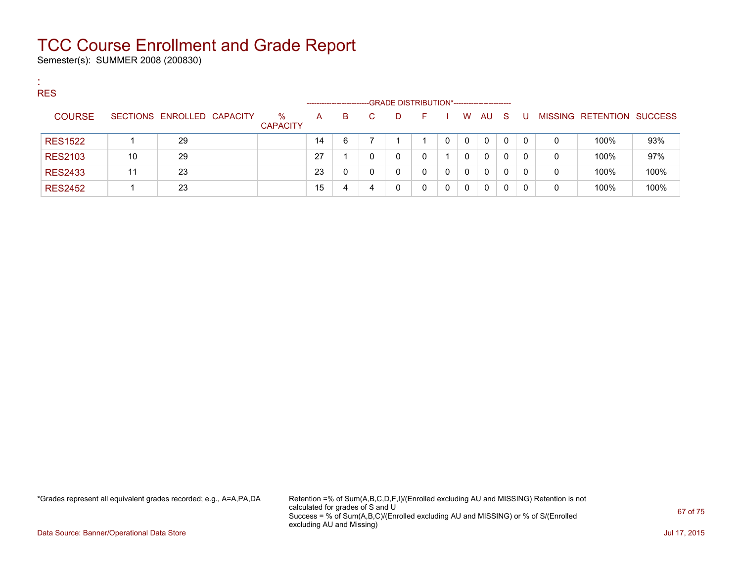Semester(s): SUMMER 2008 (200830)

:

| <b>RES</b>     |    |                            |                 |                       |    |    |                                             |   |          |              |    |          |   |                           |      |
|----------------|----|----------------------------|-----------------|-----------------------|----|----|---------------------------------------------|---|----------|--------------|----|----------|---|---------------------------|------|
|                |    |                            |                 | --------------------- |    |    | -GRADE DISTRIBUTION*----------------------- |   |          |              |    |          |   |                           |      |
| <b>COURSE</b>  |    | SECTIONS ENROLLED CAPACITY | $\%$            | A                     | B. | D. | н.                                          |   | W        | AU           | -S | .U       |   | MISSING RETENTION SUCCESS |      |
|                |    |                            | <b>CAPACITY</b> |                       |    |    |                                             |   |          |              |    |          |   |                           |      |
| <b>RES1522</b> |    | 29                         |                 | 14                    | 6  |    |                                             | 0 | $\Omega$ | $\mathbf{0}$ | 0  | $\Omega$ |   | 100%                      | 93%  |
| <b>RES2103</b> | 10 | 29                         |                 | 27                    |    | 0  |                                             |   | 0        | 0            | 0  | 0        | 0 | 100%                      | 97%  |
| <b>RES2433</b> | 11 | 23                         |                 | 23                    |    | 0  |                                             | 0 | $\Omega$ | $\mathbf{0}$ | 0  | 0        | 0 | 100%                      | 100% |
| <b>RES2452</b> |    | 23                         |                 | 15                    |    |    | 0                                           | 0 | 0        | 0            | 0  |          | 0 | 100%                      | 100% |

\*Grades represent all equivalent grades recorded; e.g., A=A,PA,DA Retention =% of Sum(A,B,C,D,F,I)/(Enrolled excluding AU and MISSING) Retention is not calculated for grades of S and U Success = % of Sum(A,B,C)/(Enrolled excluding AU and MISSING) or % of S/(Enrolled excluding AU and Missing)

Data Source: Banner/Operational Data Store **July 17, 2015**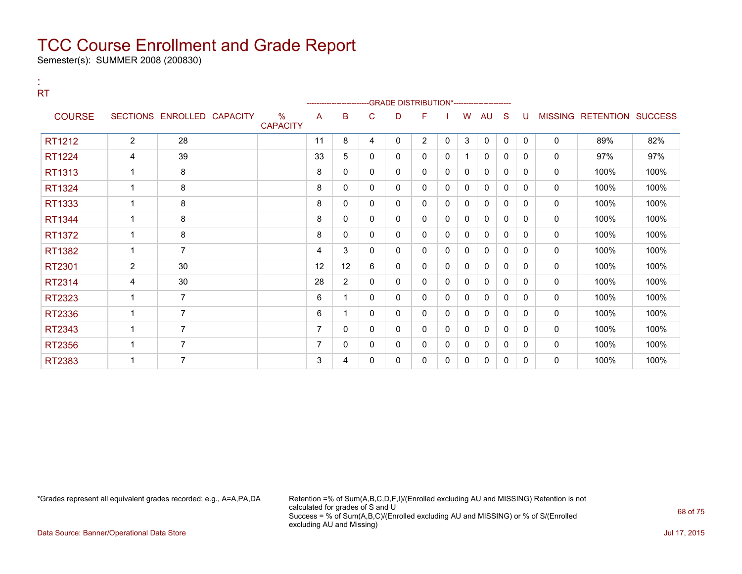Semester(s): SUMMER 2008 (200830)

:

| <b>RT</b>     |                |                            |                      |    | ---------------- |          | -GRADE DISTRIBUTION*---------------------- |                |              |   |              |              |              |              |                           |      |
|---------------|----------------|----------------------------|----------------------|----|------------------|----------|--------------------------------------------|----------------|--------------|---|--------------|--------------|--------------|--------------|---------------------------|------|
| <b>COURSE</b> |                | SECTIONS ENROLLED CAPACITY | %<br><b>CAPACITY</b> | A  | в                | С        | D                                          | F              |              | W | AU           | S            | U            |              | MISSING RETENTION SUCCESS |      |
| RT1212        | $\overline{2}$ | 28                         |                      | 11 | 8                | 4        | 0                                          | $\overline{2}$ | $\mathbf{0}$ | 3 | 0            | $\mathbf 0$  | $\mathbf{0}$ | $\mathbf 0$  | 89%                       | 82%  |
| RT1224        | 4              | 39                         |                      | 33 | 5                | 0        | 0                                          | 0              | 0            |   | 0            | 0            | 0            | 0            | 97%                       | 97%  |
| RT1313        | 1              | 8                          |                      | 8  | $\Omega$         | $\Omega$ | $\mathbf{0}$                               | 0              | $\Omega$     | 0 | 0            | $\mathbf{0}$ | 0            | 0            | 100%                      | 100% |
| RT1324        | 1              | 8                          |                      | 8  | 0                | 0        | 0                                          | 0              | $\Omega$     | 0 | 0            | $\mathbf{0}$ | $\Omega$     | 0            | 100%                      | 100% |
| RT1333        | $\mathbf 1$    | 8                          |                      | 8  | 0                | 0        | $\mathbf{0}$                               | 0              | $\Omega$     | 0 | 0            | $\mathbf{0}$ | $\Omega$     | 0            | 100%                      | 100% |
| RT1344        | 1              | 8                          |                      | 8  | 0                | 0        | 0                                          | 0              | 0            | 0 | 0            | 0            | 0            | 0            | 100%                      | 100% |
| RT1372        | 1              | 8                          |                      | 8  | 0                | 0        | 0                                          | 0              | 0            | 0 | 0            | 0            | 0            | 0            | 100%                      | 100% |
| RT1382        | $\mathbf{1}$   | $\overline{7}$             |                      | 4  | 3                | 0        | $\mathbf{0}$                               | 0              | $\Omega$     | 0 | 0            | $\mathbf{0}$ | 0            | 0            | 100%                      | 100% |
| RT2301        | $\overline{2}$ | 30                         |                      | 12 | 12               | 6        | 0                                          | 0              | 0            | 0 | 0            | 0            | 0            | 0            | 100%                      | 100% |
| RT2314        | 4              | 30                         |                      | 28 | $\overline{2}$   | 0        | 0                                          | 0              | $\Omega$     | 0 | $\Omega$     | $\mathbf{0}$ | 0            | 0            | 100%                      | 100% |
| RT2323        | 1              | $\overline{7}$             |                      | 6  |                  | 0        | 0                                          | 0              | 0            | 0 | $\Omega$     | 0            | 0            | 0            | 100%                      | 100% |
| RT2336        | 1              | $\overline{7}$             |                      | 6  |                  | 0        | 0                                          | 0              | 0            | 0 | 0            | 0            | $\mathbf{0}$ | 0            | 100%                      | 100% |
| RT2343        | $\mathbf{1}$   | $\overline{7}$             |                      | 7  | $\mathbf{0}$     | 0        | $\mathbf{0}$                               | 0              | 0            | 0 | $\mathbf{0}$ | $\mathbf{0}$ | 0            | $\mathbf{0}$ | 100%                      | 100% |
| RT2356        | 1              | $\overline{7}$             |                      | 7  | $\mathbf{0}$     | 0        | 0                                          | 0              | 0            | 0 | $\mathbf{0}$ | 0            | 0            | $\mathbf{0}$ | 100%                      | 100% |
| RT2383        | 1              | $\overline{7}$             |                      | 3  | 4                | 0        | 0                                          | 0              | 0            | 0 | 0            | 0            | 0            | 0            | 100%                      | 100% |

\*Grades represent all equivalent grades recorded; e.g., A=A,PA,DA Retention =% of Sum(A,B,C,D,F,I)/(Enrolled excluding AU and MISSING) Retention is not calculated for grades of S and U Success = % of Sum(A,B,C)/(Enrolled excluding AU and MISSING) or % of S/(Enrolled excluding AU and Missing)

Data Source: Banner/Operational Data Store Jul 17, 2015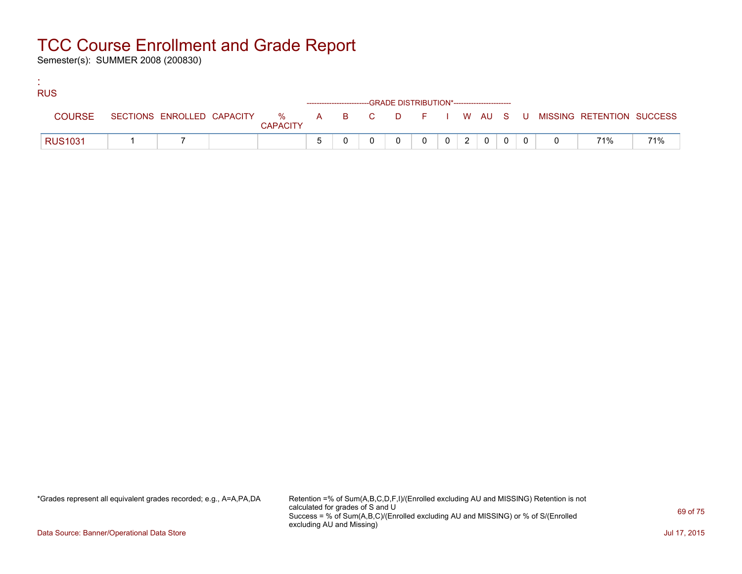Semester(s): SUMMER 2008 (200830)

:

| <b>RUS</b>     |  |                 |  |                                                                    |  |                |                |                |  |                                                                             |     |
|----------------|--|-----------------|--|--------------------------------------------------------------------|--|----------------|----------------|----------------|--|-----------------------------------------------------------------------------|-----|
|                |  |                 |  | ------------------------GRADE DISTRIBUTION*----------------------- |  |                |                |                |  |                                                                             |     |
| <b>COURSE</b>  |  | <b>CAPACITY</b> |  |                                                                    |  |                |                |                |  | SECTIONS ENROLLED CAPACITY % A B C D F I W AU S U MISSING RETENTION SUCCESS |     |
| <b>RUS1031</b> |  |                 |  |                                                                    |  | 2 <sup>1</sup> | $\overline{0}$ | $\overline{0}$ |  | 71%                                                                         | 71% |

\*Grades represent all equivalent grades recorded; e.g., A=A,PA,DA Retention =% of Sum(A,B,C,D,F,I)/(Enrolled excluding AU and MISSING) Retention is not calculated for grades of S and U Success = % of Sum(A,B,C)/(Enrolled excluding AU and MISSING) or % of S/(Enrolled excluding AU and Missing)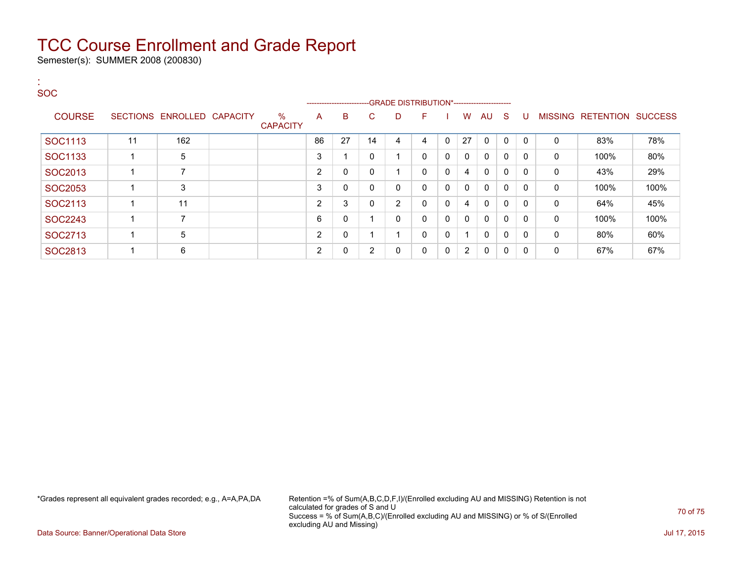Semester(s): SUMMER 2008 (200830)

:

| <b>SOC</b>    |    |                            |                         |                | ------------------------- |              | --GRADE DISTRIBUTION*----------------------- |              |              |              |              |              |              |          |                   |                |
|---------------|----|----------------------------|-------------------------|----------------|---------------------------|--------------|----------------------------------------------|--------------|--------------|--------------|--------------|--------------|--------------|----------|-------------------|----------------|
| <b>COURSE</b> |    | SECTIONS ENROLLED CAPACITY | $\%$<br><b>CAPACITY</b> | A              | B                         | C            | D                                            | F            |              | W            | AU S         |              | U            |          | MISSING RETENTION | <b>SUCCESS</b> |
| SOC1113       | 11 | 162                        |                         | 86             | 27                        | 14           | 4                                            | 4            | $\mathbf{0}$ | 27           | $\mathbf{0}$ | $\mathbf{0}$ | $\mathbf{0}$ | $\Omega$ | 83%               | 78%            |
| SOC1133       |    | 5                          |                         | 3              |                           | 0            |                                              | $\Omega$     | 0            | $\mathbf{0}$ | 0            | $\mathbf{0}$ | $\mathbf{0}$ | 0        | 100%              | 80%            |
| SOC2013       |    | 7                          |                         | $\overline{2}$ | 0                         | 0            | $\overline{\mathbf{A}}$                      | $\mathbf{0}$ | 0            | 4            | 0            | 0            | 0            | $\Omega$ | 43%               | 29%            |
| SOC2053       |    | 3                          |                         | 3              | 0                         | 0            | 0                                            | $\Omega$     | 0            | $\mathbf{0}$ | $\mathbf{0}$ | 0            | 0            | 0        | 100%              | 100%           |
| SOC2113       |    | 11                         |                         | C              | 3                         | $\mathbf{0}$ | $\overline{2}$                               | $\mathbf{0}$ | 0            | 4            | $\mathbf{0}$ | 0            | 0            | $\Omega$ | 64%               | 45%            |
| SOC2243       |    | $\overline{ }$             |                         | 6              | 0                         |              | 0                                            | $\mathbf{0}$ | 0            | $\mathbf{0}$ | $\mathbf{0}$ | 0            | 0            | $\Omega$ | 100%              | 100%           |
| SOC2713       |    | 5                          |                         | C              | 0                         |              |                                              | $\Omega$     | 0            | -4           | $\mathbf{0}$ | 0            | $\Omega$     | $\Omega$ | 80%               | 60%            |
| SOC2813       |    | 6                          |                         | $\overline{2}$ | 0                         | 2            | 0                                            | 0            | 0            | 2            | 0            | 0            | 0            | 0        | 67%               | 67%            |

\*Grades represent all equivalent grades recorded; e.g., A=A,PA,DA Retention =% of Sum(A,B,C,D,F,I)/(Enrolled excluding AU and MISSING) Retention is not calculated for grades of S and U Success = % of Sum(A,B,C)/(Enrolled excluding AU and MISSING) or % of S/(Enrolled excluding AU and Missing)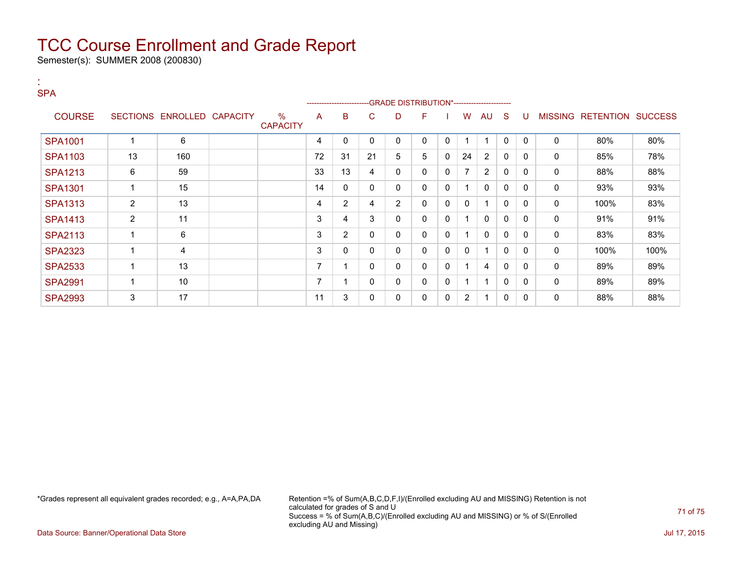Semester(s): SUMMER 2008 (200830)

:

| <b>SPA</b>     |                |                            |                         |    | ----------------------- |    |             | -- GRADE DISTRIBUTION*------------------------ |   |                |                |              |              |              |                           |      |
|----------------|----------------|----------------------------|-------------------------|----|-------------------------|----|-------------|------------------------------------------------|---|----------------|----------------|--------------|--------------|--------------|---------------------------|------|
| <b>COURSE</b>  |                | SECTIONS ENROLLED CAPACITY | $\%$<br><b>CAPACITY</b> | A  | B                       | С  | D           | F                                              |   | W              | AU             | <sub>S</sub> | U            |              | MISSING RETENTION SUCCESS |      |
| <b>SPA1001</b> |                | 6                          |                         | 4  | 0                       | 0  | $\mathbf 0$ | $\mathbf 0$                                    | 0 |                |                | 0            | $\mathbf{0}$ | 0            | 80%                       | 80%  |
| <b>SPA1103</b> | 13             | 160                        |                         | 72 | 31                      | 21 | 5           | 5                                              | 0 | 24             | $\overline{2}$ | 0            | 0            | 0            | 85%                       | 78%  |
| <b>SPA1213</b> | 6              | 59                         |                         | 33 | 13                      | 4  | 0           | 0                                              | 0 | $\overline{7}$ | 2              | 0            | 0            | 0            | 88%                       | 88%  |
| <b>SPA1301</b> |                | 15                         |                         | 14 | 0                       | 0  | 0           | $\mathbf{0}$                                   | 0 |                | 0              | $\mathbf{0}$ | 0            | 0            | 93%                       | 93%  |
| SPA1313        | $\overline{2}$ | 13                         |                         | 4  | $\overline{2}$          | 4  | 2           | 0                                              | 0 | 0              |                | 0            | 0            | 0            | 100%                      | 83%  |
| <b>SPA1413</b> | $\overline{2}$ | 11                         |                         | 3  | 4                       | 3  | 0           | 0                                              | 0 |                | $\mathbf{0}$   | 0            | 0            | $\mathbf 0$  | 91%                       | 91%  |
| SPA2113        |                | 6                          |                         | 3  | $\overline{2}$          | 0  | $\mathbf 0$ | $\mathbf{0}$                                   | 0 |                | $\mathbf{0}$   | $\mathbf{0}$ | $\mathbf{0}$ | $\mathbf 0$  | 83%                       | 83%  |
| <b>SPA2323</b> |                | 4                          |                         | 3  | 0                       | 0  | 0           | 0                                              | 0 | 0              |                | $\mathbf{0}$ | 0            | 0            | 100%                      | 100% |
| <b>SPA2533</b> |                | 13                         |                         | 7  |                         | 0  | 0           | $\mathbf{0}$                                   | 0 |                | 4              | 0            | 0            | 0            | 89%                       | 89%  |
| <b>SPA2991</b> |                | 10                         |                         | 7  | 4                       | 0  | 0           | $\mathbf{0}$                                   | 0 |                |                | $\Omega$     | 0            | $\mathbf{0}$ | 89%                       | 89%  |
| <b>SPA2993</b> | 3              | 17                         |                         | 11 | 3                       | 0  | 0           | $\mathbf{0}$                                   | 0 | 2              |                | $\Omega$     | $\mathbf{0}$ | 0            | 88%                       | 88%  |

\*Grades represent all equivalent grades recorded; e.g., A=A,PA,DA Retention =% of Sum(A,B,C,D,F,I)/(Enrolled excluding AU and MISSING) Retention is not calculated for grades of S and U Success = % of Sum(A,B,C)/(Enrolled excluding AU and MISSING) or % of S/(Enrolled excluding AU and Missing)

Data Source: Banner/Operational Data Store **July 17, 2015**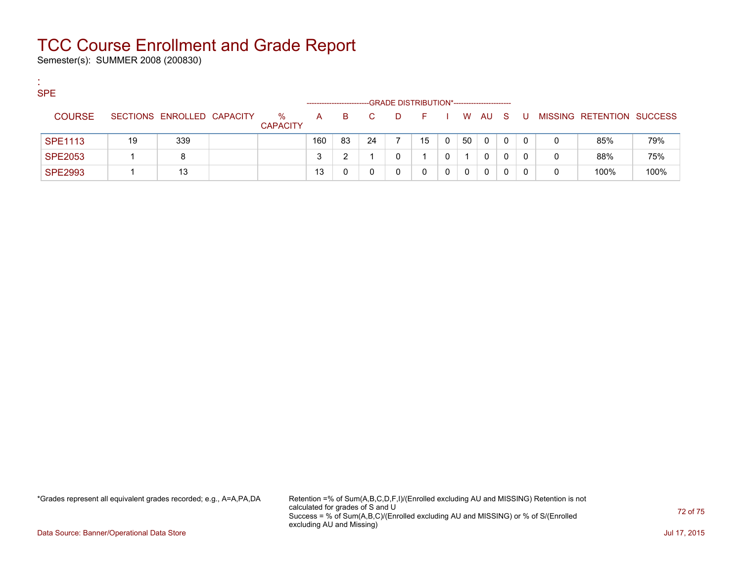Semester(s): SUMMER 2008 (200830)

:

| <b>SPE</b>     |    |                            |                         | ------------------ |    |    |    | -GRADE DISTRIBUTION*----------------------- |              |    |             |    |    |   |                           |      |
|----------------|----|----------------------------|-------------------------|--------------------|----|----|----|---------------------------------------------|--------------|----|-------------|----|----|---|---------------------------|------|
| <b>COURSE</b>  |    | SECTIONS ENROLLED CAPACITY | $\%$<br><b>CAPACITY</b> | A                  | B. | C. | D. | F.                                          |              | W. | AU          | S. | -U |   | MISSING RETENTION SUCCESS |      |
| <b>SPE1113</b> | 19 | 339                        |                         | 160                | 83 | 24 |    | 15                                          | $\mathbf{0}$ | 50 | $\mathbf 0$ | 0  | 0  | 0 | 85%                       | 79%  |
| <b>SPE2053</b> |    | 8                          |                         |                    |    |    |    |                                             |              |    | 0           |    | 0  | 0 | 88%                       | 75%  |
| <b>SPE2993</b> |    | 13                         |                         | 13                 |    |    |    |                                             |              |    | 0           | 0  | 0  | 0 | 100%                      | 100% |

\*Grades represent all equivalent grades recorded; e.g., A=A,PA,DA Retention =% of Sum(A,B,C,D,F,I)/(Enrolled excluding AU and MISSING) Retention is not calculated for grades of S and U Success = % of Sum(A,B,C)/(Enrolled excluding AU and MISSING) or % of S/(Enrolled excluding AU and Missing)

Data Source: Banner/Operational Data Store **July 17, 2015**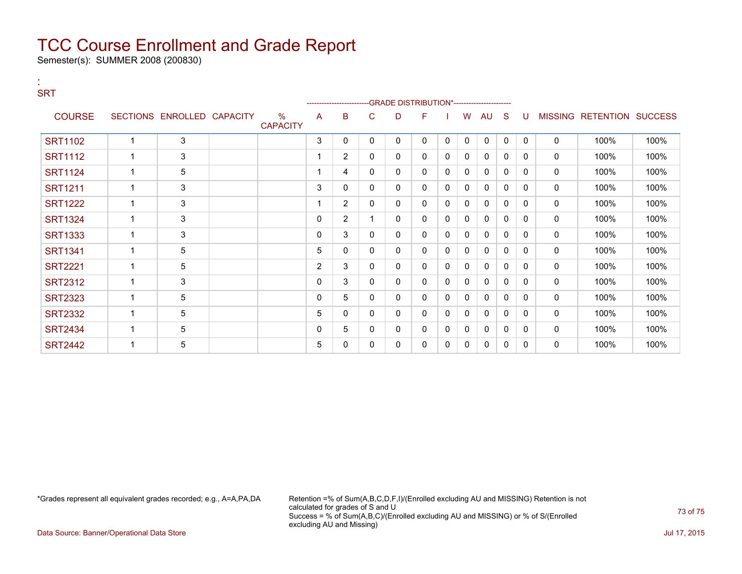## TCC Course Enrollment and Grade Report

Semester(s): SUMMER 2008 (200830)

| . .<br>_ |  |
|----------|--|

:

|                |   |                            |                                  |                | ---------------------- |              | -GRADE DISTRIBUTION*---------------------- |   |              |              |              |              |          |                |                  |                |
|----------------|---|----------------------------|----------------------------------|----------------|------------------------|--------------|--------------------------------------------|---|--------------|--------------|--------------|--------------|----------|----------------|------------------|----------------|
| <b>COURSE</b>  |   | SECTIONS ENROLLED CAPACITY | $\frac{0}{0}$<br><b>CAPACITY</b> | A              | B                      | C            | D                                          | F |              | W            | AU           | S            |          | <b>MISSING</b> | <b>RETENTION</b> | <b>SUCCESS</b> |
| <b>SRT1102</b> |   | 3                          |                                  | 3              | $\mathbf{0}$           | $\mathbf{0}$ | 0                                          | 0 | $\mathbf{0}$ | $\mathbf{0}$ | $\Omega$     | $\mathbf{0}$ | $\Omega$ | 0              | 100%             | 100%           |
| <b>SRT1112</b> |   | 3                          |                                  |                | $\overline{2}$         | 0            | 0                                          | 0 | $\Omega$     | 0            | 0            | 0            | $\Omega$ | 0              | 100%             | 100%           |
| <b>SRT1124</b> |   | 5                          |                                  |                | 4                      | 0            | 0                                          | 0 | $\mathbf{0}$ | 0            | $\Omega$     | 0            | $\Omega$ | 0              | 100%             | 100%           |
| <b>SRT1211</b> |   | 3                          |                                  | 3              | 0                      | 0            | 0                                          | 0 | 0            | 0            | 0            | 0            | $\Omega$ | 0              | 100%             | 100%           |
| <b>SRT1222</b> |   | 3                          |                                  |                | $\overline{2}$         | 0            | 0                                          | 0 | 0            | 0            | $\mathbf{0}$ | 0            | $\Omega$ | 0              | 100%             | 100%           |
| <b>SRT1324</b> |   | 3                          |                                  | 0              | $\overline{2}$         |              | 0                                          | 0 | 0            | $\mathbf{0}$ | 0            | 0            | $\Omega$ | 0              | 100%             | 100%           |
| <b>SRT1333</b> |   | 3                          |                                  | $\mathbf{0}$   | 3                      | 0            | 0                                          | 0 | $\mathbf{0}$ | $\Omega$     | $\mathbf{0}$ | $\mathbf{0}$ | $\Omega$ | 0              | 100%             | 100%           |
| <b>SRT1341</b> |   | 5                          |                                  | 5              | 0                      | 0            | 0                                          | 0 | $\mathbf{0}$ | 0            | $\mathbf{0}$ | 0            | $\Omega$ | 0              | 100%             | 100%           |
| <b>SRT2221</b> |   | 5                          |                                  | $\overline{2}$ | 3                      | 0            | 0                                          | 0 | $\mathbf{0}$ | $\Omega$     | $\mathbf{0}$ | 0            | $\Omega$ | 0              | 100%             | 100%           |
| <b>SRT2312</b> | 1 | 3                          |                                  | $\mathbf{0}$   | 3                      | 0            | 0                                          | 0 | $\mathbf{0}$ | 0            | $\mathbf{0}$ | $\mathbf{0}$ | $\Omega$ | 0              | 100%             | 100%           |
| <b>SRT2323</b> |   | 5                          |                                  | 0              | 5                      | 0            | 0                                          | 0 | 0            | 0            | 0            | 0            | $\Omega$ | 0              | 100%             | 100%           |
| <b>SRT2332</b> |   | 5                          |                                  | 5              | 0                      | $\Omega$     | 0                                          | 0 | $\mathbf{0}$ | 0            | $\mathbf{0}$ | $\Omega$     | $\Omega$ | 0              | 100%             | 100%           |
| <b>SRT2434</b> |   | 5                          |                                  | 0              | 5                      | 0            | 0                                          | 0 | 0            | 0            | $\mathbf{0}$ | 0            | $\Omega$ | 0              | 100%             | 100%           |
| <b>SRT2442</b> |   | 5                          |                                  | 5              | 0                      | 0            | 0                                          | 0 | 0            | 0            | $\mathbf{0}$ | 0            | $\Omega$ | 0              | 100%             | 100%           |

\*Grades represent all equivalent grades recorded; e.g., A=A,PA,DA Retention =% of Sum(A,B,C,D,F,I)/(Enrolled excluding AU and MISSING) Retention is not calculated for grades of S and U Success = % of Sum(A,B,C)/(Enrolled excluding AU and MISSING) or % of S/(Enrolled excluding AU and Missing)

Data Source: Banner/Operational Data Store Jul 17, 2015

73 of 75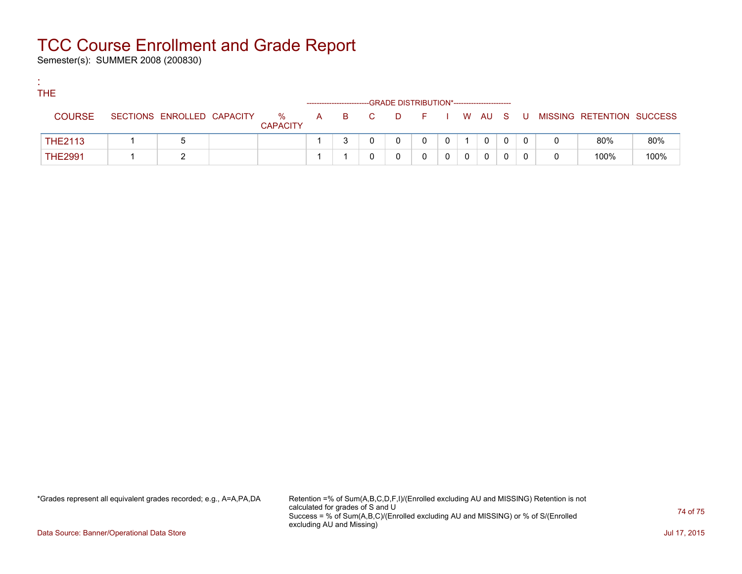## TCC Course Enrollment and Grade Report

Semester(s): SUMMER 2008 (200830)

:

| THE            |                            |                      |  |       | -GRADE DISTRIBUTION*---------------------- |       |             |        |       |   |                           |      |
|----------------|----------------------------|----------------------|--|-------|--------------------------------------------|-------|-------------|--------|-------|---|---------------------------|------|
| <b>COURSE</b>  | SECTIONS ENROLLED CAPACITY | %<br><b>CAPACITY</b> |  | A B C |                                            | D F I |             | I WAUS | . U . |   | MISSING RETENTION SUCCESS |      |
| <b>THE2113</b> |                            |                      |  |       |                                            |       | $\mathbf 0$ |        |       |   | 80%                       | 80%  |
| <b>THE2991</b> |                            |                      |  |       |                                            |       |             |        |       | 0 | 100%                      | 100% |

\*Grades represent all equivalent grades recorded; e.g., A=A,PA,DA Retention =% of Sum(A,B,C,D,F,I)/(Enrolled excluding AU and MISSING) Retention is not calculated for grades of S and U Success = % of Sum(A,B,C)/(Enrolled excluding AU and MISSING) or % of S/(Enrolled excluding AU and Missing)

Data Source: Banner/Operational Data Store Jul 17, 2015